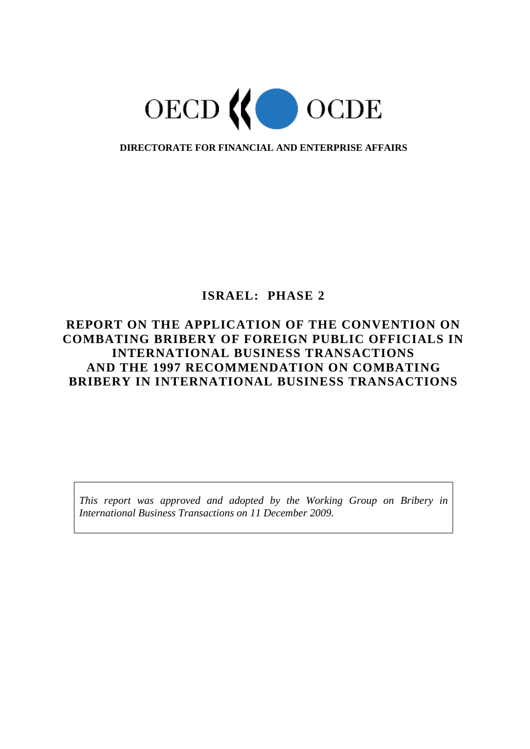

**DIRECTORATE FOR FINANCIAL AND ENTERPRISE AFFAIRS**

# **ISRAEL: PHASE 2**

# **REPORT ON THE APPLICATION OF THE CONVENTION ON COMBATING BRIBERY OF FOREIGN PUBLIC OFFICIALS IN INTERNATIONAL BUSINESS TRANSACTIONS AND THE 1997 RECOMMENDATION ON COMBATING BRIBERY IN INTERNATIONAL BUSINESS TRANSACTIONS**

*This report was approved and adopted by the Working Group on Bribery in International Business Transactions on 11 December 2009.*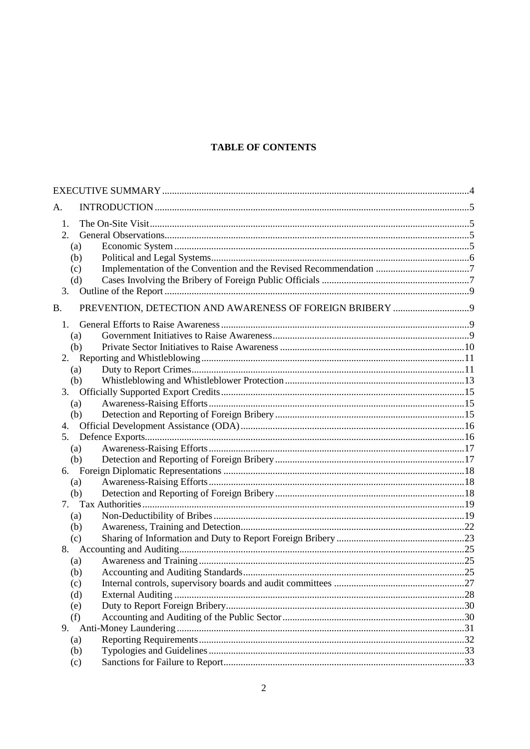# **TABLE OF CONTENTS**

| А.        |                                                                   |     |
|-----------|-------------------------------------------------------------------|-----|
| 1.        |                                                                   |     |
| 2.        |                                                                   |     |
|           | (a)                                                               |     |
|           | (b)                                                               |     |
|           | (c)                                                               |     |
|           | (d)                                                               |     |
| 3.        |                                                                   |     |
|           |                                                                   |     |
| <b>B.</b> |                                                                   |     |
|           | $1_{\cdot}$                                                       |     |
|           | (a)                                                               |     |
|           | (b)                                                               |     |
|           | 2.                                                                |     |
|           | (a)                                                               |     |
|           | (b)                                                               |     |
|           |                                                                   |     |
|           | (a)                                                               |     |
|           | (b)                                                               |     |
| 4.        |                                                                   |     |
|           | 5 <sub>1</sub>                                                    |     |
|           | (a)                                                               |     |
|           | (b)                                                               |     |
|           | 6.                                                                |     |
|           | (a)                                                               |     |
|           | (b)                                                               |     |
|           |                                                                   |     |
|           | (a)                                                               |     |
|           | (b)                                                               |     |
|           | (c)                                                               |     |
|           |                                                                   |     |
|           | (a)                                                               |     |
|           | (b)                                                               |     |
|           | Internal controls, supervisory boards and audit committees<br>(c) | .27 |
|           | (d)                                                               |     |
|           | (e)                                                               |     |
|           | (f)                                                               |     |
| 9.        |                                                                   |     |
|           | (a)                                                               |     |
|           | (b)                                                               |     |
|           | (c)                                                               |     |
|           |                                                                   |     |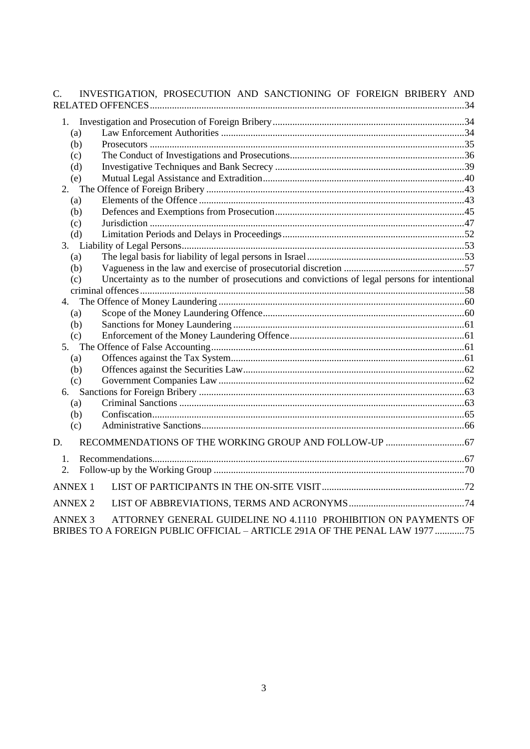| $\mathcal{C}$ . | INVESTIGATION, PROSECUTION AND SANCTIONING OF FOREIGN BRIBERY AND                                                                                                |  |
|-----------------|------------------------------------------------------------------------------------------------------------------------------------------------------------------|--|
|                 |                                                                                                                                                                  |  |
|                 |                                                                                                                                                                  |  |
|                 | (a)                                                                                                                                                              |  |
|                 | (b)                                                                                                                                                              |  |
|                 | (c)                                                                                                                                                              |  |
|                 | (d)                                                                                                                                                              |  |
|                 | (e)                                                                                                                                                              |  |
|                 |                                                                                                                                                                  |  |
|                 | (a)                                                                                                                                                              |  |
|                 | (b)                                                                                                                                                              |  |
|                 | (c)                                                                                                                                                              |  |
|                 | (d)                                                                                                                                                              |  |
|                 |                                                                                                                                                                  |  |
|                 | (a)                                                                                                                                                              |  |
|                 | (b)                                                                                                                                                              |  |
|                 | Uncertainty as to the number of prosecutions and convictions of legal persons for intentional<br>(c)                                                             |  |
|                 |                                                                                                                                                                  |  |
|                 |                                                                                                                                                                  |  |
|                 | (a)                                                                                                                                                              |  |
|                 | (b)                                                                                                                                                              |  |
|                 | (c)                                                                                                                                                              |  |
|                 |                                                                                                                                                                  |  |
|                 | (a)                                                                                                                                                              |  |
|                 | (b)                                                                                                                                                              |  |
|                 | (c)                                                                                                                                                              |  |
|                 |                                                                                                                                                                  |  |
|                 | (a)                                                                                                                                                              |  |
|                 | (b)                                                                                                                                                              |  |
|                 | (c)                                                                                                                                                              |  |
| D.              |                                                                                                                                                                  |  |
| $\mathbf{1}$ .  |                                                                                                                                                                  |  |
| 2.              |                                                                                                                                                                  |  |
|                 | <b>ANNEX 1</b>                                                                                                                                                   |  |
|                 | <b>ANNEX 2</b>                                                                                                                                                   |  |
|                 |                                                                                                                                                                  |  |
|                 | ATTORNEY GENERAL GUIDELINE NO 4.1110 PROHIBITION ON PAYMENTS OF<br><b>ANNEX 3</b><br>BRIBES TO A FOREIGN PUBLIC OFFICIAL - ARTICLE 291A OF THE PENAL LAW 1977 75 |  |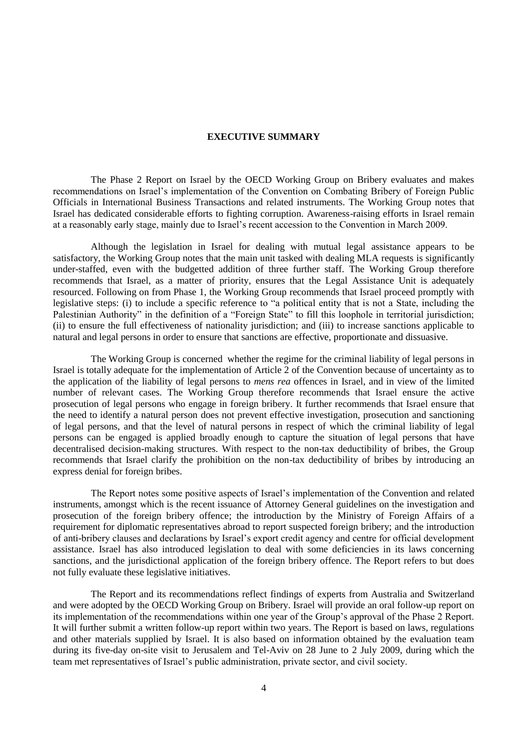#### **EXECUTIVE SUMMARY**

The Phase 2 Report on Israel by the OECD Working Group on Bribery evaluates and makes recommendations on Israel"s implementation of the Convention on Combating Bribery of Foreign Public Officials in International Business Transactions and related instruments. The Working Group notes that Israel has dedicated considerable efforts to fighting corruption. Awareness-raising efforts in Israel remain at a reasonably early stage, mainly due to Israel"s recent accession to the Convention in March 2009.

Although the legislation in Israel for dealing with mutual legal assistance appears to be satisfactory, the Working Group notes that the main unit tasked with dealing MLA requests is significantly under-staffed, even with the budgetted addition of three further staff. The Working Group therefore recommends that Israel, as a matter of priority, ensures that the Legal Assistance Unit is adequately resourced. Following on from Phase 1, the Working Group recommends that Israel proceed promptly with legislative steps: (i) to include a specific reference to "a political entity that is not a State, including the Palestinian Authority" in the definition of a "Foreign State" to fill this loophole in territorial jurisdiction; (ii) to ensure the full effectiveness of nationality jurisdiction; and (iii) to increase sanctions applicable to natural and legal persons in order to ensure that sanctions are effective, proportionate and dissuasive.

The Working Group is concerned whether the regime for the criminal liability of legal persons in Israel is totally adequate for the implementation of Article 2 of the Convention because of uncertainty as to the application of the liability of legal persons to *mens rea* offences in Israel, and in view of the limited number of relevant cases. The Working Group therefore recommends that Israel ensure the active prosecution of legal persons who engage in foreign bribery. It further recommends that Israel ensure that the need to identify a natural person does not prevent effective investigation, prosecution and sanctioning of legal persons, and that the level of natural persons in respect of which the criminal liability of legal persons can be engaged is applied broadly enough to capture the situation of legal persons that have decentralised decision-making structures. With respect to the non-tax deductibility of bribes, the Group recommends that Israel clarify the prohibition on the non-tax deductibility of bribes by introducing an express denial for foreign bribes.

The Report notes some positive aspects of Israel"s implementation of the Convention and related instruments, amongst which is the recent issuance of Attorney General guidelines on the investigation and prosecution of the foreign bribery offence; the introduction by the Ministry of Foreign Affairs of a requirement for diplomatic representatives abroad to report suspected foreign bribery; and the introduction of anti-bribery clauses and declarations by Israel"s export credit agency and centre for official development assistance. Israel has also introduced legislation to deal with some deficiencies in its laws concerning sanctions, and the jurisdictional application of the foreign bribery offence. The Report refers to but does not fully evaluate these legislative initiatives.

The Report and its recommendations reflect findings of experts from Australia and Switzerland and were adopted by the OECD Working Group on Bribery. Israel will provide an oral follow-up report on its implementation of the recommendations within one year of the Group"s approval of the Phase 2 Report. It will further submit a written follow-up report within two years. The Report is based on laws, regulations and other materials supplied by Israel. It is also based on information obtained by the evaluation team during its five-day on-site visit to Jerusalem and Tel-Aviv on 28 June to 2 July 2009, during which the team met representatives of Israel"s public administration, private sector, and civil society.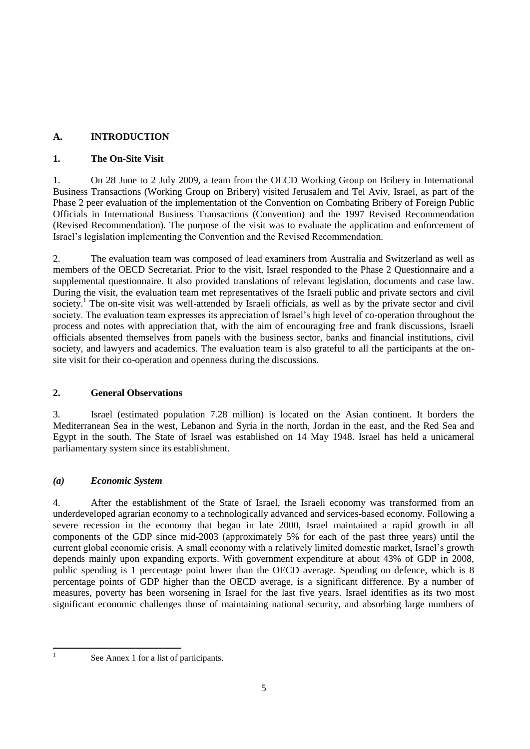# **A. INTRODUCTION**

# **1. The On-Site Visit**

1. On 28 June to 2 July 2009, a team from the OECD Working Group on Bribery in International Business Transactions (Working Group on Bribery) visited Jerusalem and Tel Aviv, Israel, as part of the Phase 2 peer evaluation of the implementation of the Convention on Combating Bribery of Foreign Public Officials in International Business Transactions (Convention) and the 1997 Revised Recommendation (Revised Recommendation). The purpose of the visit was to evaluate the application and enforcement of Israel"s legislation implementing the Convention and the Revised Recommendation.

2. The evaluation team was composed of lead examiners from Australia and Switzerland as well as members of the OECD Secretariat. Prior to the visit, Israel responded to the Phase 2 Questionnaire and a supplemental questionnaire. It also provided translations of relevant legislation, documents and case law. During the visit, the evaluation team met representatives of the Israeli public and private sectors and civil society.<sup>1</sup> The on-site visit was well-attended by Israeli officials, as well as by the private sector and civil society. The evaluation team expresses its appreciation of Israel"s high level of co-operation throughout the process and notes with appreciation that, with the aim of encouraging free and frank discussions, Israeli officials absented themselves from panels with the business sector, banks and financial institutions, civil society, and lawyers and academics. The evaluation team is also grateful to all the participants at the onsite visit for their co-operation and openness during the discussions.

# **2. General Observations**

3. Israel (estimated population 7.28 million) is located on the Asian continent. It borders the Mediterranean Sea in the west, Lebanon and Syria in the north, Jordan in the east, and the Red Sea and Egypt in the south. The State of Israel was established on 14 May 1948. Israel has held a unicameral parliamentary system since its establishment.

# *(a) Economic System*

4. After the establishment of the State of Israel, the Israeli economy was transformed from an underdeveloped agrarian economy to a technologically advanced and services-based economy. Following a severe recession in the economy that began in late 2000, Israel maintained a rapid growth in all components of the GDP since mid-2003 (approximately 5% for each of the past three years) until the current global economic crisis. A small economy with a relatively limited domestic market, Israel"s growth depends mainly upon expanding exports. With government expenditure at about 43% of GDP in 2008, public spending is 1 percentage point lower than the OECD average. Spending on defence, which is 8 percentage points of GDP higher than the OECD average, is a significant difference. By a number of measures, poverty has been worsening in Israel for the last five years. Israel identifies as its two most significant economic challenges those of maintaining national security, and absorbing large numbers of

 $\frac{1}{1}$ 

See Annex 1 for a list of participants.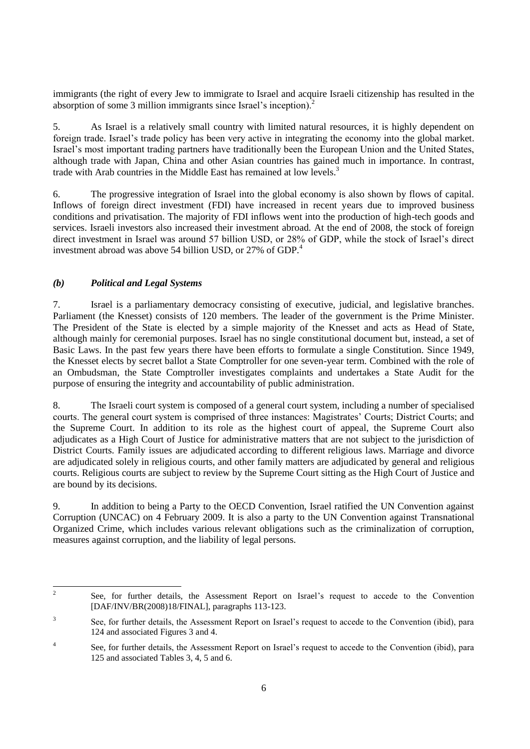immigrants (the right of every Jew to immigrate to Israel and acquire Israeli citizenship has resulted in the absorption of some 3 million immigrants since Israel"s inception).<sup>2</sup>

5. As Israel is a relatively small country with limited natural resources, it is highly dependent on foreign trade. Israel"s trade policy has been very active in integrating the economy into the global market. Israel"s most important trading partners have traditionally been the European Union and the United States, although trade with Japan, China and other Asian countries has gained much in importance. In contrast, trade with Arab countries in the Middle East has remained at low levels.<sup>3</sup>

6. The progressive integration of Israel into the global economy is also shown by flows of capital. Inflows of foreign direct investment (FDI) have increased in recent years due to improved business conditions and privatisation. The majority of FDI inflows went into the production of high-tech goods and services. Israeli investors also increased their investment abroad. At the end of 2008, the stock of foreign direct investment in Israel was around 57 billion USD, or 28% of GDP, while the stock of Israel's direct investment abroad was above 54 billion USD, or 27% of GDP.<sup>4</sup>

# *(b) Political and Legal Systems*

7. Israel is a parliamentary democracy consisting of executive, judicial, and legislative branches. Parliament (the Knesset) consists of 120 members. The leader of the government is the Prime Minister. The President of the State is elected by a simple majority of the Knesset and acts as Head of State, although mainly for ceremonial purposes. Israel has no single constitutional document but, instead, a set of Basic Laws. In the past few years there have been efforts to formulate a single Constitution. Since 1949, the Knesset elects by secret ballot a State Comptroller for one seven-year term. Combined with the role of an Ombudsman, the State Comptroller investigates complaints and undertakes a State Audit for the purpose of ensuring the integrity and accountability of public administration.

8. The Israeli court system is composed of a general court system, including a number of specialised courts. The general court system is comprised of three instances: Magistrates" Courts; District Courts; and the Supreme Court. In addition to its role as the highest court of appeal, the Supreme Court also adjudicates as a High Court of Justice for administrative matters that are not subject to the jurisdiction of District Courts. Family issues are adjudicated according to different religious laws. Marriage and divorce are adjudicated solely in religious courts, and other family matters are adjudicated by general and religious courts. Religious courts are subject to review by the Supreme Court sitting as the High Court of Justice and are bound by its decisions.

9. In addition to being a Party to the OECD Convention, Israel ratified the UN Convention against Corruption (UNCAC) on 4 February 2009. It is also a party to the UN Convention against Transnational Organized Crime, which includes various relevant obligations such as the criminalization of corruption, measures against corruption, and the liability of legal persons.

 $\frac{1}{2}$ See, for further details, the Assessment Report on Israel"s request to accede to the Convention [DAF/INV/BR(2008)18/FINAL], paragraphs 113-123.

<sup>3</sup> See, for further details, the Assessment Report on Israel"s request to accede to the Convention (ibid), para 124 and associated Figures 3 and 4.

<sup>4</sup> See, for further details, the Assessment Report on Israel"s request to accede to the Convention (ibid), para 125 and associated Tables 3, 4, 5 and 6.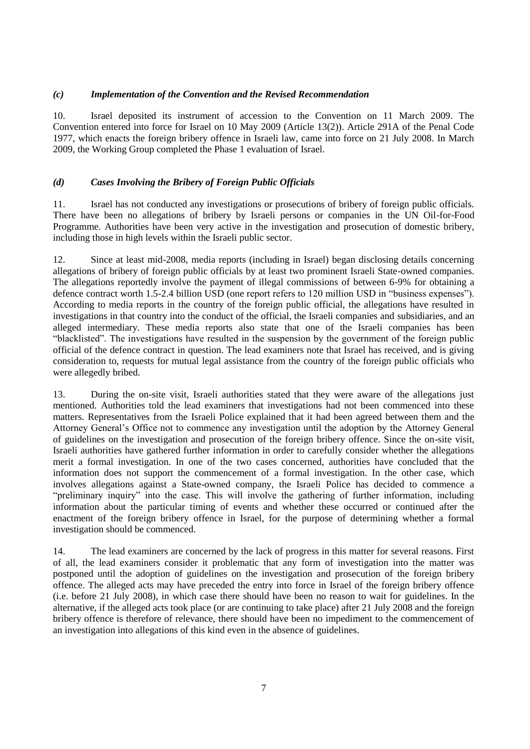# *(c) Implementation of the Convention and the Revised Recommendation*

10. Israel deposited its instrument of accession to the Convention on 11 March 2009. The Convention entered into force for Israel on 10 May 2009 (Article 13(2)). Article 291A of the Penal Code 1977, which enacts the foreign bribery offence in Israeli law, came into force on 21 July 2008. In March 2009, the Working Group completed the Phase 1 evaluation of Israel.

# *(d) Cases Involving the Bribery of Foreign Public Officials*

11. Israel has not conducted any investigations or prosecutions of bribery of foreign public officials. There have been no allegations of bribery by Israeli persons or companies in the UN Oil-for-Food Programme. Authorities have been very active in the investigation and prosecution of domestic bribery, including those in high levels within the Israeli public sector.

12. Since at least mid-2008, media reports (including in Israel) began disclosing details concerning allegations of bribery of foreign public officials by at least two prominent Israeli State-owned companies. The allegations reportedly involve the payment of illegal commissions of between 6-9% for obtaining a defence contract worth 1.5-2.4 billion USD (one report refers to 120 million USD in "business expenses"). According to media reports in the country of the foreign public official, the allegations have resulted in investigations in that country into the conduct of the official, the Israeli companies and subsidiaries, and an alleged intermediary. These media reports also state that one of the Israeli companies has been "blacklisted". The investigations have resulted in the suspension by the government of the foreign public official of the defence contract in question. The lead examiners note that Israel has received, and is giving consideration to, requests for mutual legal assistance from the country of the foreign public officials who were allegedly bribed.

13. During the on-site visit, Israeli authorities stated that they were aware of the allegations just mentioned. Authorities told the lead examiners that investigations had not been commenced into these matters. Representatives from the Israeli Police explained that it had been agreed between them and the Attorney General"s Office not to commence any investigation until the adoption by the Attorney General of guidelines on the investigation and prosecution of the foreign bribery offence. Since the on-site visit, Israeli authorities have gathered further information in order to carefully consider whether the allegations merit a formal investigation. In one of the two cases concerned, authorities have concluded that the information does not support the commencement of a formal investigation. In the other case, which involves allegations against a State-owned company, the Israeli Police has decided to commence a "preliminary inquiry" into the case. This will involve the gathering of further information, including information about the particular timing of events and whether these occurred or continued after the enactment of the foreign bribery offence in Israel, for the purpose of determining whether a formal investigation should be commenced.

14. The lead examiners are concerned by the lack of progress in this matter for several reasons. First of all, the lead examiners consider it problematic that any form of investigation into the matter was postponed until the adoption of guidelines on the investigation and prosecution of the foreign bribery offence. The alleged acts may have preceded the entry into force in Israel of the foreign bribery offence (i.e. before 21 July 2008), in which case there should have been no reason to wait for guidelines. In the alternative, if the alleged acts took place (or are continuing to take place) after 21 July 2008 and the foreign bribery offence is therefore of relevance, there should have been no impediment to the commencement of an investigation into allegations of this kind even in the absence of guidelines.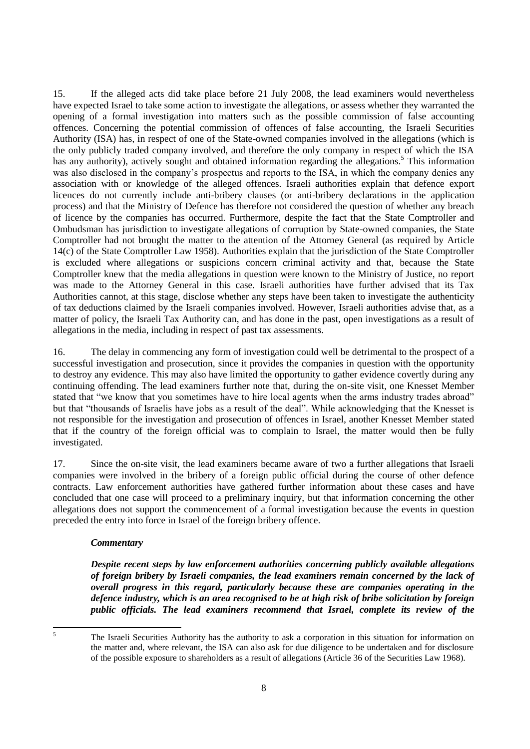15. If the alleged acts did take place before 21 July 2008, the lead examiners would nevertheless have expected Israel to take some action to investigate the allegations, or assess whether they warranted the opening of a formal investigation into matters such as the possible commission of false accounting offences. Concerning the potential commission of offences of false accounting, the Israeli Securities Authority (ISA) has, in respect of one of the State-owned companies involved in the allegations (which is the only publicly traded company involved, and therefore the only company in respect of which the ISA has any authority), actively sought and obtained information regarding the allegations.<sup>5</sup> This information was also disclosed in the company's prospectus and reports to the ISA, in which the company denies any association with or knowledge of the alleged offences. Israeli authorities explain that defence export licences do not currently include anti-bribery clauses (or anti-bribery declarations in the application process) and that the Ministry of Defence has therefore not considered the question of whether any breach of licence by the companies has occurred. Furthermore, despite the fact that the State Comptroller and Ombudsman has jurisdiction to investigate allegations of corruption by State-owned companies, the State Comptroller had not brought the matter to the attention of the Attorney General (as required by Article 14(c) of the State Comptroller Law 1958). Authorities explain that the jurisdiction of the State Comptroller is excluded where allegations or suspicions concern criminal activity and that, because the State Comptroller knew that the media allegations in question were known to the Ministry of Justice, no report was made to the Attorney General in this case. Israeli authorities have further advised that its Tax Authorities cannot, at this stage, disclose whether any steps have been taken to investigate the authenticity of tax deductions claimed by the Israeli companies involved. However, Israeli authorities advise that, as a matter of policy, the Israeli Tax Authority can, and has done in the past, open investigations as a result of allegations in the media, including in respect of past tax assessments.

16. The delay in commencing any form of investigation could well be detrimental to the prospect of a successful investigation and prosecution, since it provides the companies in question with the opportunity to destroy any evidence. This may also have limited the opportunity to gather evidence covertly during any continuing offending. The lead examiners further note that, during the on-site visit, one Knesset Member stated that "we know that you sometimes have to hire local agents when the arms industry trades abroad" but that "thousands of Israelis have jobs as a result of the deal". While acknowledging that the Knesset is not responsible for the investigation and prosecution of offences in Israel, another Knesset Member stated that if the country of the foreign official was to complain to Israel, the matter would then be fully investigated.

17. Since the on-site visit, the lead examiners became aware of two a further allegations that Israeli companies were involved in the bribery of a foreign public official during the course of other defence contracts. Law enforcement authorities have gathered further information about these cases and have concluded that one case will proceed to a preliminary inquiry, but that information concerning the other allegations does not support the commencement of a formal investigation because the events in question preceded the entry into force in Israel of the foreign bribery offence.

#### *Commentary*

*Despite recent steps by law enforcement authorities concerning publicly available allegations of foreign bribery by Israeli companies, the lead examiners remain concerned by the lack of overall progress in this regard, particularly because these are companies operating in the defence industry, which is an area recognised to be at high risk of bribe solicitation by foreign public officials. The lead examiners recommend that Israel, complete its review of the* 

 $\overline{5}$ 

<sup>5</sup> The Israeli Securities Authority has the authority to ask a corporation in this situation for information on the matter and, where relevant, the ISA can also ask for due diligence to be undertaken and for disclosure of the possible exposure to shareholders as a result of allegations (Article 36 of the Securities Law 1968).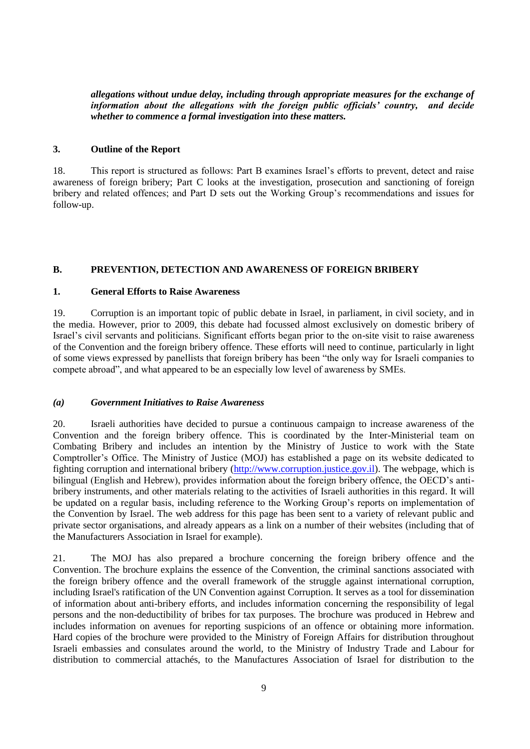*allegations without undue delay, including through appropriate measures for the exchange of information about the allegations with the foreign public officials' country, and decide whether to commence a formal investigation into these matters.*

#### **3. Outline of the Report**

18. This report is structured as follows: Part B examines Israel"s efforts to prevent, detect and raise awareness of foreign bribery; Part C looks at the investigation, prosecution and sanctioning of foreign bribery and related offences; and Part D sets out the Working Group's recommendations and issues for follow-up.

# **B. PREVENTION, DETECTION AND AWARENESS OF FOREIGN BRIBERY**

#### **1. General Efforts to Raise Awareness**

19. Corruption is an important topic of public debate in Israel, in parliament, in civil society, and in the media. However, prior to 2009, this debate had focussed almost exclusively on domestic bribery of Israel"s civil servants and politicians. Significant efforts began prior to the on-site visit to raise awareness of the Convention and the foreign bribery offence. These efforts will need to continue, particularly in light of some views expressed by panellists that foreign bribery has been "the only way for Israeli companies to compete abroad", and what appeared to be an especially low level of awareness by SMEs.

#### *(a) Government Initiatives to Raise Awareness*

20. Israeli authorities have decided to pursue a continuous campaign to increase awareness of the Convention and the foreign bribery offence. This is coordinated by the Inter-Ministerial team on Combating Bribery and includes an intention by the Ministry of Justice to work with the State Comptroller"s Office. The Ministry of Justice (MOJ) has established a page on its website dedicated to fighting corruption and international bribery [\(http://www.corruption.justice.gov.il\)](http://www.corruption.justice.gov.il/). The webpage, which is bilingual (English and Hebrew), provides information about the foreign bribery offence, the OECD's antibribery instruments, and other materials relating to the activities of Israeli authorities in this regard. It will be updated on a regular basis, including reference to the Working Group"s reports on implementation of the Convention by Israel. The web address for this page has been sent to a variety of relevant public and private sector organisations, and already appears as a link on a number of their websites (including that of the Manufacturers Association in Israel for example).

21. The MOJ has also prepared a brochure concerning the foreign bribery offence and the Convention. The brochure explains the essence of the Convention, the criminal sanctions associated with the foreign bribery offence and the overall framework of the struggle against international corruption, including Israel's ratification of the UN Convention against Corruption. It serves as a tool for dissemination of information about anti-bribery efforts, and includes information concerning the responsibility of legal persons and the non-deductibility of bribes for tax purposes. The brochure was produced in Hebrew and includes information on avenues for reporting suspicions of an offence or obtaining more information. Hard copies of the brochure were provided to the Ministry of Foreign Affairs for distribution throughout Israeli embassies and consulates around the world, to the Ministry of Industry Trade and Labour for distribution to commercial attachés, to the Manufactures Association of Israel for distribution to the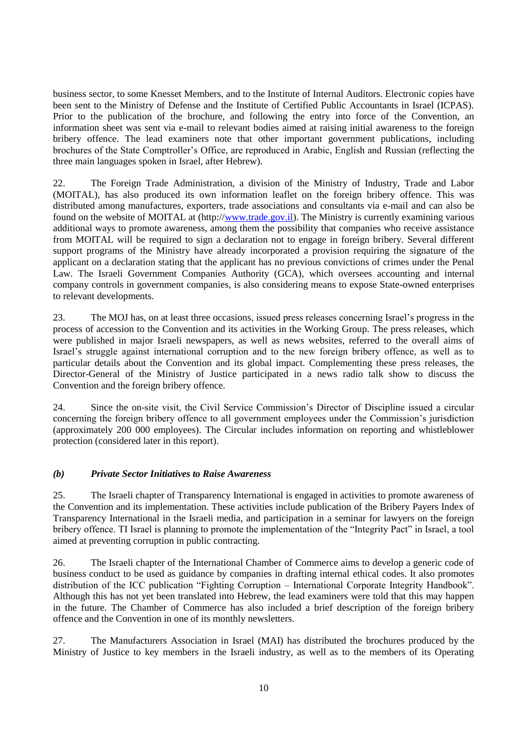business sector, to some Knesset Members, and to the Institute of Internal Auditors. Electronic copies have been sent to the Ministry of Defense and the Institute of Certified Public Accountants in Israel (ICPAS). Prior to the publication of the brochure, and following the entry into force of the Convention, an information sheet was sent via e-mail to relevant bodies aimed at raising initial awareness to the foreign bribery offence. The lead examiners note that other important government publications, including brochures of the State Comptroller"s Office, are reproduced in Arabic, English and Russian (reflecting the three main languages spoken in Israel, after Hebrew).

22. The Foreign Trade Administration, a division of the Ministry of Industry, Trade and Labor (MOITAL), has also produced its own information leaflet on the foreign bribery offence. This was distributed among manufactures, exporters, trade associations and consultants via e-mail and can also be found on the website of MOITAL at (http:/[/www.trade.gov.il\)](http://www.trade.gov.il/). The Ministry is currently examining various additional ways to promote awareness, among them the possibility that companies who receive assistance from MOITAL will be required to sign a declaration not to engage in foreign bribery. Several different support programs of the Ministry have already incorporated a provision requiring the signature of the applicant on a declaration stating that the applicant has no previous convictions of crimes under the Penal Law. The Israeli Government Companies Authority (GCA), which oversees accounting and internal company controls in government companies, is also considering means to expose State-owned enterprises to relevant developments.

23. The MOJ has, on at least three occasions, issued press releases concerning Israel"s progress in the process of accession to the Convention and its activities in the Working Group. The press releases, which were published in major Israeli newspapers, as well as news websites, referred to the overall aims of Israel"s struggle against international corruption and to the new foreign bribery offence, as well as to particular details about the Convention and its global impact. Complementing these press releases, the Director-General of the Ministry of Justice participated in a news radio talk show to discuss the Convention and the foreign bribery offence.

24. Since the on-site visit, the Civil Service Commission"s Director of Discipline issued a circular concerning the foreign bribery offence to all government employees under the Commission"s jurisdiction (approximately 200 000 employees). The Circular includes information on reporting and whistleblower protection (considered later in this report).

#### *(b) Private Sector Initiatives to Raise Awareness*

25. The Israeli chapter of Transparency International is engaged in activities to promote awareness of the Convention and its implementation. These activities include publication of the Bribery Payers Index of Transparency International in the Israeli media, and participation in a seminar for lawyers on the foreign bribery offence. TI Israel is planning to promote the implementation of the "Integrity Pact" in Israel, a tool aimed at preventing corruption in public contracting.

26. The Israeli chapter of the International Chamber of Commerce aims to develop a generic code of business conduct to be used as guidance by companies in drafting internal ethical codes. It also promotes distribution of the ICC publication "Fighting Corruption – International Corporate Integrity Handbook". Although this has not yet been translated into Hebrew, the lead examiners were told that this may happen in the future. The Chamber of Commerce has also included a brief description of the foreign bribery offence and the Convention in one of its monthly newsletters.

27. The Manufacturers Association in Israel (MAI) has distributed the brochures produced by the Ministry of Justice to key members in the Israeli industry, as well as to the members of its Operating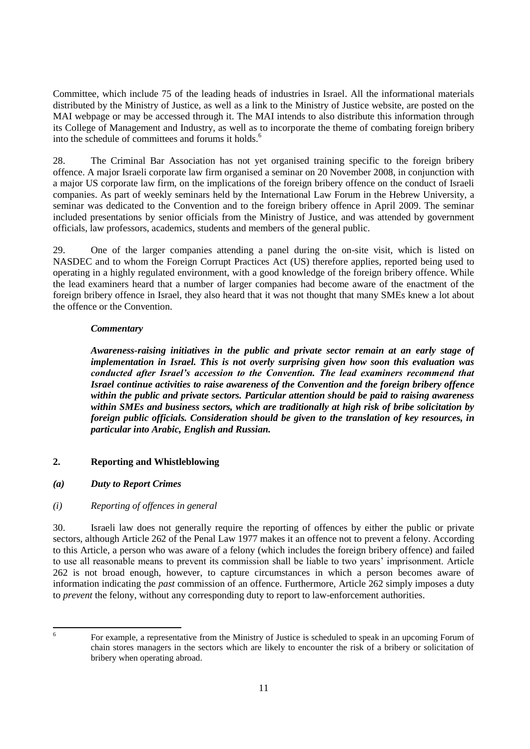Committee, which include 75 of the leading heads of industries in Israel. All the informational materials distributed by the Ministry of Justice, as well as a link to the Ministry of Justice website, are posted on the MAI webpage or may be accessed through it. The MAI intends to also distribute this information through its College of Management and Industry, as well as to incorporate the theme of combating foreign bribery into the schedule of committees and forums it holds.<sup>6</sup>

28. The Criminal Bar Association has not yet organised training specific to the foreign bribery offence. A major Israeli corporate law firm organised a seminar on 20 November 2008, in conjunction with a major US corporate law firm, on the implications of the foreign bribery offence on the conduct of Israeli companies. As part of weekly seminars held by the International Law Forum in the Hebrew University, a seminar was dedicated to the Convention and to the foreign bribery offence in April 2009. The seminar included presentations by senior officials from the Ministry of Justice, and was attended by government officials, law professors, academics, students and members of the general public.

29. One of the larger companies attending a panel during the on-site visit, which is listed on NASDEC and to whom the Foreign Corrupt Practices Act (US) therefore applies, reported being used to operating in a highly regulated environment, with a good knowledge of the foreign bribery offence. While the lead examiners heard that a number of larger companies had become aware of the enactment of the foreign bribery offence in Israel, they also heard that it was not thought that many SMEs knew a lot about the offence or the Convention.

# *Commentary*

*Awareness-raising initiatives in the public and private sector remain at an early stage of implementation in Israel. This is not overly surprising given how soon this evaluation was conducted after Israel's accession to the Convention. The lead examiners recommend that Israel continue activities to raise awareness of the Convention and the foreign bribery offence within the public and private sectors. Particular attention should be paid to raising awareness within SMEs and business sectors, which are traditionally at high risk of bribe solicitation by foreign public officials. Consideration should be given to the translation of key resources, in particular into Arabic, English and Russian.*

# **2. Reporting and Whistleblowing**

*(a) Duty to Report Crimes*

# *(i) Reporting of offences in general*

30. Israeli law does not generally require the reporting of offences by either the public or private sectors, although Article 262 of the Penal Law 1977 makes it an offence not to prevent a felony. According to this Article, a person who was aware of a felony (which includes the foreign bribery offence) and failed to use all reasonable means to prevent its commission shall be liable to two years" imprisonment. Article 262 is not broad enough, however, to capture circumstances in which a person becomes aware of information indicating the *past* commission of an offence. Furthermore, Article 262 simply imposes a duty to *prevent* the felony, without any corresponding duty to report to law-enforcement authorities.

6

For example, a representative from the Ministry of Justice is scheduled to speak in an upcoming Forum of chain stores managers in the sectors which are likely to encounter the risk of a bribery or solicitation of bribery when operating abroad.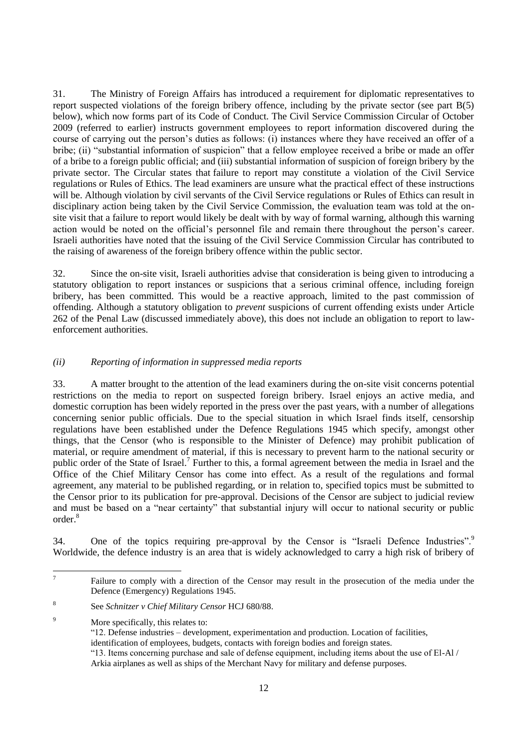31. The Ministry of Foreign Affairs has introduced a requirement for diplomatic representatives to report suspected violations of the foreign bribery offence, including by the private sector (see part B(5) below), which now forms part of its Code of Conduct. The Civil Service Commission Circular of October 2009 (referred to earlier) instructs government employees to report information discovered during the course of carrying out the person"s duties as follows: (i) instances where they have received an offer of a bribe; (ii) "substantial information of suspicion" that a fellow employee received a bribe or made an offer of a bribe to a foreign public official; and (iii) substantial information of suspicion of foreign bribery by the private sector. The Circular states that failure to report may constitute a violation of the Civil Service regulations or Rules of Ethics. The lead examiners are unsure what the practical effect of these instructions will be. Although violation by civil servants of the Civil Service regulations or Rules of Ethics can result in disciplinary action being taken by the Civil Service Commission, the evaluation team was told at the onsite visit that a failure to report would likely be dealt with by way of formal warning, although this warning action would be noted on the official's personnel file and remain there throughout the person's career. Israeli authorities have noted that the issuing of the Civil Service Commission Circular has contributed to the raising of awareness of the foreign bribery offence within the public sector.

32. Since the on-site visit, Israeli authorities advise that consideration is being given to introducing a statutory obligation to report instances or suspicions that a serious criminal offence, including foreign bribery, has been committed. This would be a reactive approach, limited to the past commission of offending. Although a statutory obligation to *prevent* suspicions of current offending exists under Article 262 of the Penal Law (discussed immediately above), this does not include an obligation to report to lawenforcement authorities.

# *(ii) Reporting of information in suppressed media reports*

33. A matter brought to the attention of the lead examiners during the on-site visit concerns potential restrictions on the media to report on suspected foreign bribery. Israel enjoys an active media, and domestic corruption has been widely reported in the press over the past years, with a number of allegations concerning senior public officials. Due to the special situation in which Israel finds itself, censorship regulations have been established under the Defence Regulations 1945 which specify, amongst other things, that the Censor (who is responsible to the Minister of Defence) may prohibit publication of material, or require amendment of material, if this is necessary to prevent harm to the national security or public order of the State of Israel.<sup>7</sup> Further to this, a formal agreement between the media in Israel and the Office of the Chief Military Censor has come into effect. As a result of the regulations and formal agreement, any material to be published regarding, or in relation to, specified topics must be submitted to the Censor prior to its publication for pre-approval. Decisions of the Censor are subject to judicial review and must be based on a "near certainty" that substantial injury will occur to national security or public order.<sup>8</sup>

34. One of the topics requiring pre-approval by the Censor is "Israeli Defence Industries".<sup>9</sup> Worldwide, the defence industry is an area that is widely acknowledged to carry a high risk of bribery of

<sup>&</sup>lt;sup>-</sup>7 Failure to comply with a direction of the Censor may result in the prosecution of the media under the Defence (Emergency) Regulations 1945.

<sup>8</sup> See *Schnitzer v Chief Military Censor* HCJ 680/88.

<sup>9</sup> More specifically, this relates to:

<sup>&</sup>quot;12. Defense industries – development, experimentation and production. Location of facilities,

identification of employees, budgets, contacts with foreign bodies and foreign states.

<sup>&</sup>quot;13. Items concerning purchase and sale of defense equipment, including items about the use of El-Al / Arkia airplanes as well as ships of the Merchant Navy for military and defense purposes.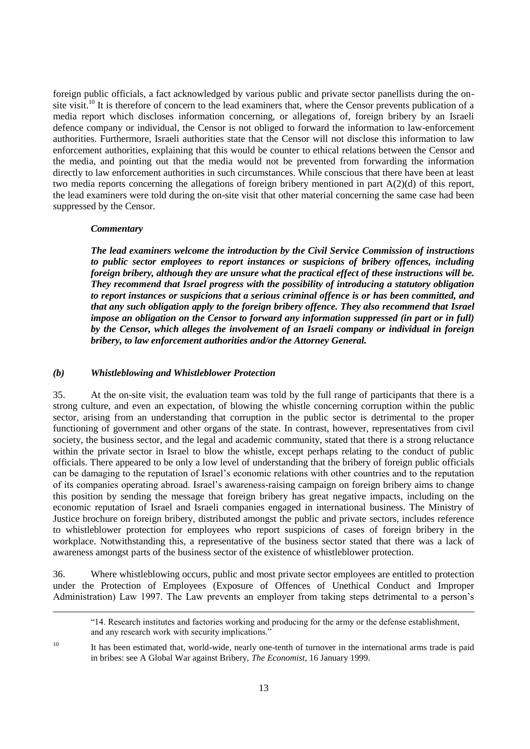foreign public officials, a fact acknowledged by various public and private sector panellists during the onsite visit.<sup>10</sup> It is therefore of concern to the lead examiners that, where the Censor prevents publication of a media report which discloses information concerning, or allegations of, foreign bribery by an Israeli defence company or individual, the Censor is not obliged to forward the information to law-enforcement authorities. Furthermore, Israeli authorities state that the Censor will not disclose this information to law enforcement authorities, explaining that this would be counter to ethical relations between the Censor and the media, and pointing out that the media would not be prevented from forwarding the information directly to law enforcement authorities in such circumstances. While conscious that there have been at least two media reports concerning the allegations of foreign bribery mentioned in part A(2)(d) of this report, the lead examiners were told during the on-site visit that other material concerning the same case had been suppressed by the Censor.

#### *Commentary*

 $\overline{a}$ 

*The lead examiners welcome the introduction by the Civil Service Commission of instructions to public sector employees to report instances or suspicions of bribery offences, including foreign bribery, although they are unsure what the practical effect of these instructions will be. They recommend that Israel progress with the possibility of introducing a statutory obligation to report instances or suspicions that a serious criminal offence is or has been committed, and that any such obligation apply to the foreign bribery offence. They also recommend that Israel impose an obligation on the Censor to forward any information suppressed (in part or in full) by the Censor, which alleges the involvement of an Israeli company or individual in foreign bribery, to law enforcement authorities and/or the Attorney General.*

#### *(b) Whistleblowing and Whistleblower Protection*

35. At the on-site visit, the evaluation team was told by the full range of participants that there is a strong culture, and even an expectation, of blowing the whistle concerning corruption within the public sector, arising from an understanding that corruption in the public sector is detrimental to the proper functioning of government and other organs of the state. In contrast, however, representatives from civil society, the business sector, and the legal and academic community, stated that there is a strong reluctance within the private sector in Israel to blow the whistle, except perhaps relating to the conduct of public officials. There appeared to be only a low level of understanding that the bribery of foreign public officials can be damaging to the reputation of Israel"s economic relations with other countries and to the reputation of its companies operating abroad. Israel"s awareness-raising campaign on foreign bribery aims to change this position by sending the message that foreign bribery has great negative impacts, including on the economic reputation of Israel and Israeli companies engaged in international business. The Ministry of Justice brochure on foreign bribery, distributed amongst the public and private sectors, includes reference to whistleblower protection for employees who report suspicions of cases of foreign bribery in the workplace. Notwithstanding this, a representative of the business sector stated that there was a lack of awareness amongst parts of the business sector of the existence of whistleblower protection.

36. Where whistleblowing occurs, public and most private sector employees are entitled to protection under the Protection of Employees (Exposure of Offences of Unethical Conduct and Improper Administration) Law 1997. The Law prevents an employer from taking steps detrimental to a person"s

"14. Research institutes and factories working and producing for the army or the defense establishment, and any research work with security implications."

<sup>10</sup> It has been estimated that, world-wide, nearly one-tenth of turnover in the international arms trade is paid in bribes: see A Global War against Bribery, *The Economist*, 16 January 1999.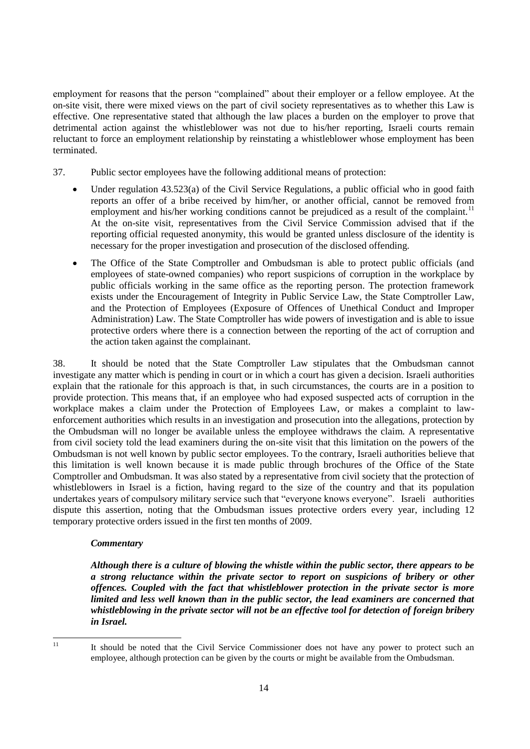employment for reasons that the person "complained" about their employer or a fellow employee. At the on-site visit, there were mixed views on the part of civil society representatives as to whether this Law is effective. One representative stated that although the law places a burden on the employer to prove that detrimental action against the whistleblower was not due to his/her reporting, Israeli courts remain reluctant to force an employment relationship by reinstating a whistleblower whose employment has been terminated.

- 37. Public sector employees have the following additional means of protection:
	- Under regulation 43.523(a) of the Civil Service Regulations, a public official who in good faith reports an offer of a bribe received by him/her, or another official, cannot be removed from employment and his/her working conditions cannot be prejudiced as a result of the complaint.<sup>11</sup> At the on-site visit, representatives from the Civil Service Commission advised that if the reporting official requested anonymity, this would be granted unless disclosure of the identity is necessary for the proper investigation and prosecution of the disclosed offending.
	- The Office of the State Comptroller and Ombudsman is able to protect public officials (and employees of state-owned companies) who report suspicions of corruption in the workplace by public officials working in the same office as the reporting person. The protection framework exists under the Encouragement of Integrity in Public Service Law, the State Comptroller Law, and the Protection of Employees (Exposure of Offences of Unethical Conduct and Improper Administration) Law. The State Comptroller has wide powers of investigation and is able to issue protective orders where there is a connection between the reporting of the act of corruption and the action taken against the complainant.

38. It should be noted that the State Comptroller Law stipulates that the Ombudsman cannot investigate any matter which is pending in court or in which a court has given a decision. Israeli authorities explain that the rationale for this approach is that, in such circumstances, the courts are in a position to provide protection. This means that, if an employee who had exposed suspected acts of corruption in the workplace makes a claim under the Protection of Employees Law, or makes a complaint to lawenforcement authorities which results in an investigation and prosecution into the allegations, protection by the Ombudsman will no longer be available unless the employee withdraws the claim. A representative from civil society told the lead examiners during the on-site visit that this limitation on the powers of the Ombudsman is not well known by public sector employees. To the contrary, Israeli authorities believe that this limitation is well known because it is made public through brochures of the Office of the State Comptroller and Ombudsman. It was also stated by a representative from civil society that the protection of whistleblowers in Israel is a fiction, having regard to the size of the country and that its population undertakes years of compulsory military service such that "everyone knows everyone". Israeli authorities dispute this assertion, noting that the Ombudsman issues protective orders every year, including 12 temporary protective orders issued in the first ten months of 2009.

#### *Commentary*

*Although there is a culture of blowing the whistle within the public sector, there appears to be a strong reluctance within the private sector to report on suspicions of bribery or other offences. Coupled with the fact that whistleblower protection in the private sector is more limited and less well known than in the public sector, the lead examiners are concerned that whistleblowing in the private sector will not be an effective tool for detection of foreign bribery in Israel.*

 $11$ 

<sup>11</sup> It should be noted that the Civil Service Commissioner does not have any power to protect such an employee, although protection can be given by the courts or might be available from the Ombudsman.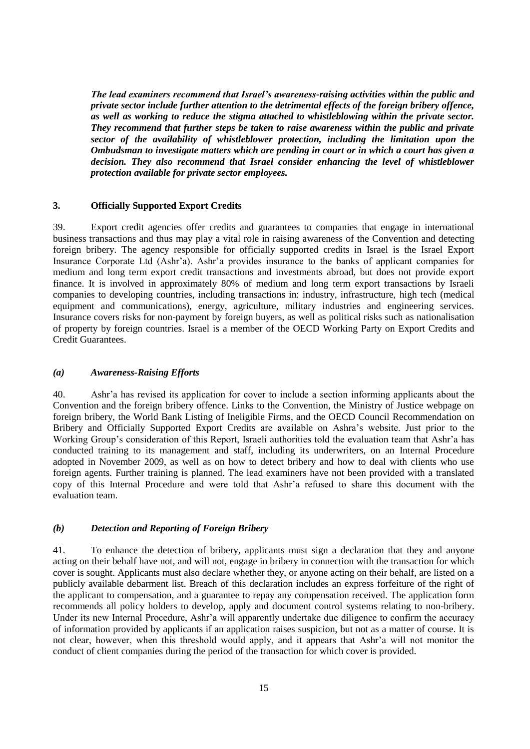*The lead examiners recommend that Israel's awareness-raising activities within the public and private sector include further attention to the detrimental effects of the foreign bribery offence, as well as working to reduce the stigma attached to whistleblowing within the private sector. They recommend that further steps be taken to raise awareness within the public and private sector of the availability of whistleblower protection, including the limitation upon the Ombudsman to investigate matters which are pending in court or in which a court has given a decision. They also recommend that Israel consider enhancing the level of whistleblower protection available for private sector employees.*

#### **3. Officially Supported Export Credits**

39. Export credit agencies offer credits and guarantees to companies that engage in international business transactions and thus may play a vital role in raising awareness of the Convention and detecting foreign bribery. The agency responsible for officially supported credits in Israel is the Israel Export Insurance Corporate Ltd (Ashr"a). Ashr"a provides insurance to the banks of applicant companies for medium and long term export credit transactions and investments abroad, but does not provide export finance. It is involved in approximately 80% of medium and long term export transactions by Israeli companies to developing countries, including transactions in: industry, infrastructure, high tech (medical equipment and communications), energy, agriculture, military industries and engineering services. Insurance covers risks for non-payment by foreign buyers, as well as political risks such as nationalisation of property by foreign countries. Israel is a member of the OECD Working Party on Export Credits and Credit Guarantees.

#### *(a) Awareness-Raising Efforts*

40. Ashr"a has revised its application for cover to include a section informing applicants about the Convention and the foreign bribery offence. Links to the Convention, the Ministry of Justice webpage on foreign bribery, the [World Bank Listing of Ineligible Firms,](http://web.worldbank.org/external/default/main?theSitePK=84266&contentMDK=64069844&menuPK=116730&pagePK=64148989&piPK=64148984) and the [OECD Council Recommendation on](http://www.ashra.gov.il/Eng/_Uploads/dbsAttachedFiles/OECDRecommendationonBribery.pdf)  [Bribery and Officially Supported Export Credits](http://www.ashra.gov.il/Eng/_Uploads/dbsAttachedFiles/OECDRecommendationonBribery.pdf) are available on Ashra"s website. Just prior to the Working Group"s consideration of this Report, Israeli authorities told the evaluation team that Ashr"a has conducted training to its management and staff, including its underwriters, on an Internal Procedure adopted in November 2009, as well as on how to detect bribery and how to deal with clients who use foreign agents. Further training is planned. The lead examiners have not been provided with a translated copy of this Internal Procedure and were told that Ashr"a refused to share this document with the evaluation team.

#### *(b) Detection and Reporting of Foreign Bribery*

41. To enhance the detection of bribery, applicants must sign a declaration that they and anyone acting on their behalf have not, and will not, engage in bribery in connection with the transaction for which cover is sought. Applicants must also declare whether they, or anyone acting on their behalf, are listed on a publicly available debarment list. Breach of this declaration includes an express forfeiture of the right of the applicant to compensation, and a guarantee to repay any compensation received. The application form recommends all policy holders to develop, apply and document control systems relating to non-bribery. Under its new Internal Procedure, Ashr'a will apparently undertake due diligence to confirm the accuracy of information provided by applicants if an application raises suspicion, but not as a matter of course. It is not clear, however, when this threshold would apply, and it appears that Ashr"a will not monitor the conduct of client companies during the period of the transaction for which cover is provided.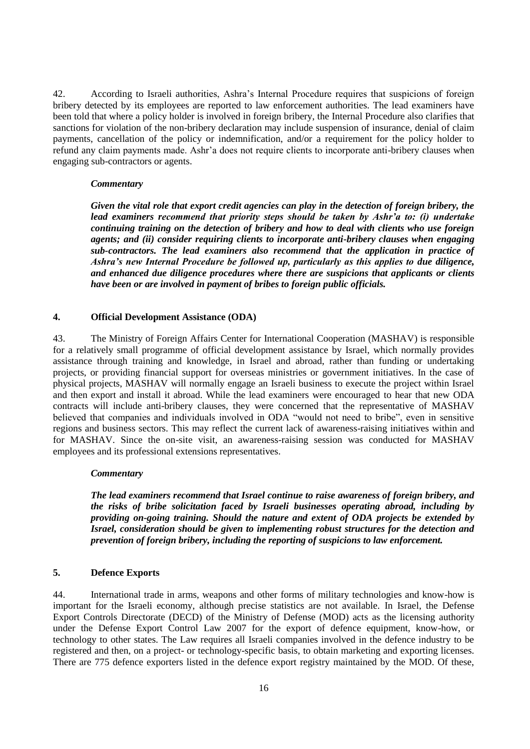42. According to Israeli authorities, Ashra"s Internal Procedure requires that suspicions of foreign bribery detected by its employees are reported to law enforcement authorities. The lead examiners have been told that where a policy holder is involved in foreign bribery, the Internal Procedure also clarifies that sanctions for violation of the non-bribery declaration may include suspension of insurance, denial of claim payments, cancellation of the policy or indemnification, and/or a requirement for the policy holder to refund any claim payments made. Ashr"a does not require clients to incorporate anti-bribery clauses when engaging sub-contractors or agents.

#### *Commentary*

*Given the vital role that export credit agencies can play in the detection of foreign bribery, the lead examiners recommend that priority steps should be taken by Ashr'a to: (i) undertake continuing training on the detection of bribery and how to deal with clients who use foreign agents; and (ii) consider requiring clients to incorporate anti-bribery clauses when engaging sub-contractors. The lead examiners also recommend that the application in practice of Ashra's new Internal Procedure be followed up, particularly as this applies to due diligence, and enhanced due diligence procedures where there are suspicions that applicants or clients have been or are involved in payment of bribes to foreign public officials.*

#### **4. Official Development Assistance (ODA)**

43. The Ministry of Foreign Affairs Center for International Cooperation (MASHAV) is responsible for a relatively small programme of official development assistance by Israel, which normally provides assistance through training and knowledge, in Israel and abroad, rather than funding or undertaking projects, or providing financial support for overseas ministries or government initiatives. In the case of physical projects, MASHAV will normally engage an Israeli business to execute the project within Israel and then export and install it abroad. While the lead examiners were encouraged to hear that new ODA contracts will include anti-bribery clauses, they were concerned that the representative of MASHAV believed that companies and individuals involved in ODA "would not need to bribe", even in sensitive regions and business sectors. This may reflect the current lack of awareness-raising initiatives within and for MASHAV. Since the on-site visit, an awareness-raising session was conducted for MASHAV employees and its professional extensions representatives.

#### *Commentary*

*The lead examiners recommend that Israel continue to raise awareness of foreign bribery, and the risks of bribe solicitation faced by Israeli businesses operating abroad, including by providing on-going training. Should the nature and extent of ODA projects be extended by Israel, consideration should be given to implementing robust structures for the detection and prevention of foreign bribery, including the reporting of suspicions to law enforcement.*

#### **5. Defence Exports**

44. International trade in arms, weapons and other forms of military technologies and know-how is important for the Israeli economy, although precise statistics are not available. In Israel, the Defense Export Controls Directorate (DECD) of the Ministry of Defense (MOD) acts as the licensing authority under the Defense Export Control Law 2007 for the export of defence equipment, know-how, or technology to other states. The Law requires all Israeli companies involved in the defence industry to be registered and then, on a project- or technology-specific basis, to obtain marketing and exporting licenses. There are 775 defence exporters listed in the defence export registry maintained by the MOD. Of these,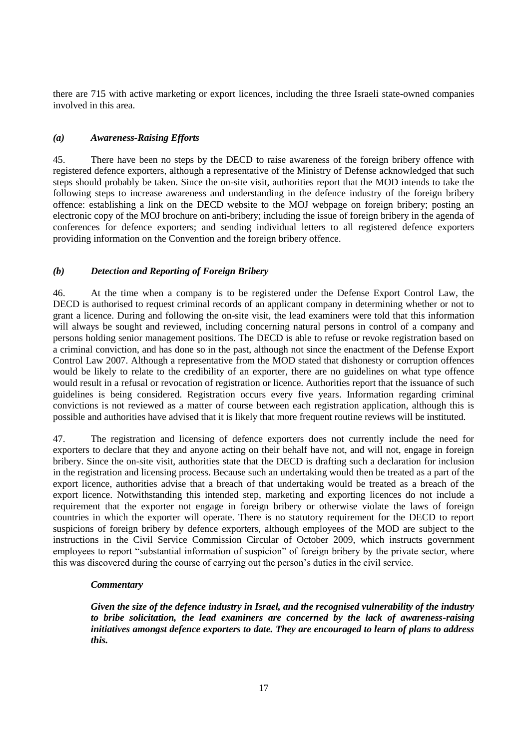there are 715 with active marketing or export licences, including the three Israeli state-owned companies involved in this area.

# *(a) Awareness-Raising Efforts*

45. There have been no steps by the DECD to raise awareness of the foreign bribery offence with registered defence exporters, although a representative of the Ministry of Defense acknowledged that such steps should probably be taken. Since the on-site visit, authorities report that the MOD intends to take the following steps to increase awareness and understanding in the defence industry of the foreign bribery offence: establishing a link on the DECD website to the MOJ webpage on foreign bribery; posting an electronic copy of the MOJ brochure on anti-bribery; including the issue of foreign bribery in the agenda of conferences for defence exporters; and sending individual letters to all registered defence exporters providing information on the Convention and the foreign bribery offence.

# *(b) Detection and Reporting of Foreign Bribery*

46. At the time when a company is to be registered under the Defense Export Control Law, the DECD is authorised to request criminal records of an applicant company in determining whether or not to grant a licence. During and following the on-site visit, the lead examiners were told that this information will always be sought and reviewed, including concerning natural persons in control of a company and persons holding senior management positions. The DECD is able to refuse or revoke registration based on a criminal conviction, and has done so in the past, although not since the enactment of the Defense Export Control Law 2007. Although a representative from the MOD stated that dishonesty or corruption offences would be likely to relate to the credibility of an exporter, there are no guidelines on what type offence would result in a refusal or revocation of registration or licence. Authorities report that the issuance of such guidelines is being considered. Registration occurs every five years. Information regarding criminal convictions is not reviewed as a matter of course between each registration application, although this is possible and authorities have advised that it is likely that more frequent routine reviews will be instituted.

47. The registration and licensing of defence exporters does not currently include the need for exporters to declare that they and anyone acting on their behalf have not, and will not, engage in foreign bribery. Since the on-site visit, authorities state that the DECD is drafting such a declaration for inclusion in the registration and licensing process. Because such an undertaking would then be treated as a part of the export licence, authorities advise that a breach of that undertaking would be treated as a breach of the export licence. Notwithstanding this intended step, marketing and exporting licences do not include a requirement that the exporter not engage in foreign bribery or otherwise violate the laws of foreign countries in which the exporter will operate. There is no statutory requirement for the DECD to report suspicions of foreign bribery by defence exporters, although employees of the MOD are subject to the instructions in the Civil Service Commission Circular of October 2009, which instructs government employees to report "substantial information of suspicion" of foreign bribery by the private sector, where this was discovered during the course of carrying out the person"s duties in the civil service.

#### *Commentary*

*Given the size of the defence industry in Israel, and the recognised vulnerability of the industry to bribe solicitation, the lead examiners are concerned by the lack of awareness-raising initiatives amongst defence exporters to date. They are encouraged to learn of plans to address this.*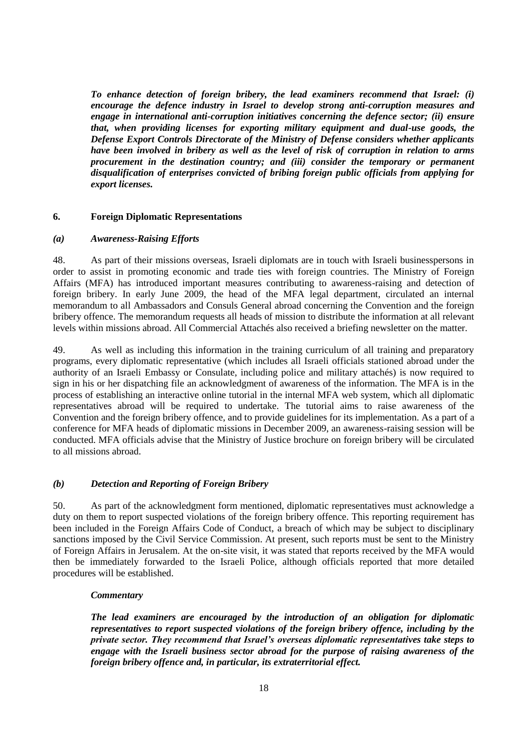*To enhance detection of foreign bribery, the lead examiners recommend that Israel: (i) encourage the defence industry in Israel to develop strong anti-corruption measures and engage in international anti-corruption initiatives concerning the defence sector; (ii) ensure that, when providing licenses for exporting military equipment and dual-use goods, the Defense Export Controls Directorate of the Ministry of Defense considers whether applicants have been involved in bribery as well as the level of risk of corruption in relation to arms procurement in the destination country; and (iii) consider the temporary or permanent disqualification of enterprises convicted of bribing foreign public officials from applying for export licenses.*

#### **6. Foreign Diplomatic Representations**

#### *(a) Awareness-Raising Efforts*

48. As part of their missions overseas, Israeli diplomats are in touch with Israeli businesspersons in order to assist in promoting economic and trade ties with foreign countries. The Ministry of Foreign Affairs (MFA) has introduced important measures contributing to awareness-raising and detection of foreign bribery. In early June 2009, the head of the MFA legal department, circulated an internal memorandum to all Ambassadors and Consuls General abroad concerning the Convention and the foreign bribery offence. The memorandum requests all heads of mission to distribute the information at all relevant levels within missions abroad. All Commercial Attachés also received a briefing newsletter on the matter.

49. As well as including this information in the training curriculum of all training and preparatory programs, every diplomatic representative (which includes all Israeli officials stationed abroad under the authority of an Israeli Embassy or Consulate, including police and military attachés) is now required to sign in his or her dispatching file an acknowledgment of awareness of the information. The MFA is in the process of establishing an interactive online tutorial in the internal MFA web system, which all diplomatic representatives abroad will be required to undertake. The tutorial aims to raise awareness of the Convention and the foreign bribery offence, and to provide guidelines for its implementation. As a part of a conference for MFA heads of diplomatic missions in December 2009, an awareness-raising session will be conducted. MFA officials advise that the Ministry of Justice brochure on foreign bribery will be circulated to all missions abroad.

#### *(b) Detection and Reporting of Foreign Bribery*

50. As part of the acknowledgment form mentioned, diplomatic representatives must acknowledge a duty on them to report suspected violations of the foreign bribery offence. This reporting requirement has been included in the Foreign Affairs Code of Conduct, a breach of which may be subject to disciplinary sanctions imposed by the Civil Service Commission. At present, such reports must be sent to the Ministry of Foreign Affairs in Jerusalem. At the on-site visit, it was stated that reports received by the MFA would then be immediately forwarded to the Israeli Police, although officials reported that more detailed procedures will be established.

#### *Commentary*

*The lead examiners are encouraged by the introduction of an obligation for diplomatic representatives to report suspected violations of the foreign bribery offence, including by the private sector. They recommend that Israel's overseas diplomatic representatives take steps to engage with the Israeli business sector abroad for the purpose of raising awareness of the foreign bribery offence and, in particular, its extraterritorial effect.*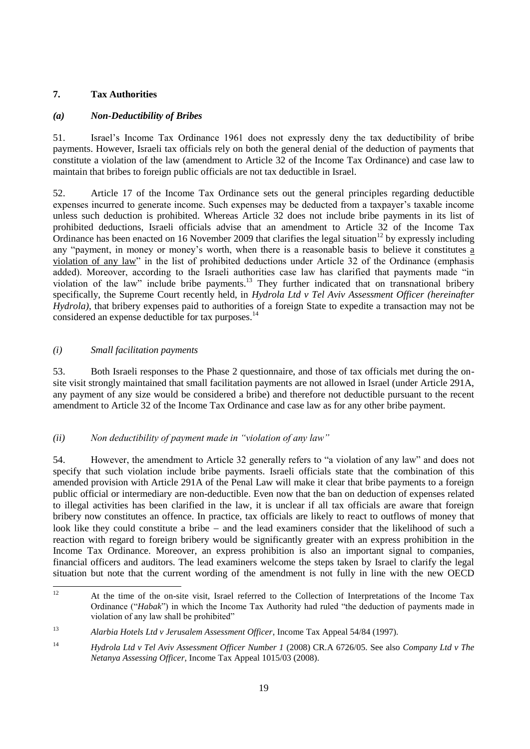# **7. Tax Authorities**

# *(a) Non-Deductibility of Bribes*

51. Israel"s Income Tax Ordinance 1961 does not expressly deny the tax deductibility of bribe payments. However, Israeli tax officials rely on both the general denial of the deduction of payments that constitute a violation of the law (amendment to Article 32 of the Income Tax Ordinance) and case law to maintain that bribes to foreign public officials are not tax deductible in Israel.

52. Article 17 of the Income Tax Ordinance sets out the general principles regarding deductible expenses incurred to generate income. Such expenses may be deducted from a taxpayer"s taxable income unless such deduction is prohibited. Whereas Article 32 does not include bribe payments in its list of prohibited deductions, Israeli officials advise that an amendment to Article 32 of the Income Tax Ordinance has been enacted on 16 November 2009 that clarifies the legal situation<sup>12</sup> by expressly including any "payment, in money or money"s worth, when there is a reasonable basis to believe it constitutes a violation of any law" in the list of prohibited deductions under Article 32 of the Ordinance (emphasis added). Moreover, according to the Israeli authorities case law has clarified that payments made "in violation of the law" include bribe payments.<sup>13</sup> They further indicated that on transnational bribery specifically, the Supreme Court recently held, in *Hydrola Ltd v Tel Aviv Assessment Officer (hereinafter Hydrola)*, that bribery expenses paid to authorities of a foreign State to expedite a transaction may not be considered an expense deductible for tax purposes.<sup>14</sup>

#### *(i) Small facilitation payments*

53. Both Israeli responses to the Phase 2 questionnaire, and those of tax officials met during the onsite visit strongly maintained that small facilitation payments are not allowed in Israel (under Article 291A, any payment of any size would be considered a bribe) and therefore not deductible pursuant to the recent amendment to Article 32 of the Income Tax Ordinance and case law as for any other bribe payment.

# *(ii) Non deductibility of payment made in "violation of any law"*

54. However, the amendment to Article 32 generally refers to "a violation of any law" and does not specify that such violation include bribe payments. Israeli officials state that the combination of this amended provision with Article 291A of the Penal Law will make it clear that bribe payments to a foreign public official or intermediary are non-deductible. Even now that the ban on deduction of expenses related to illegal activities has been clarified in the law, it is unclear if all tax officials are aware that foreign bribery now constitutes an offence. In practice, tax officials are likely to react to outflows of money that look like they could constitute a bribe  $-$  and the lead examiners consider that the likelihood of such a reaction with regard to foreign bribery would be significantly greater with an express prohibition in the Income Tax Ordinance. Moreover, an express prohibition is also an important signal to companies, financial officers and auditors. The lead examiners welcome the steps taken by Israel to clarify the legal situation but note that the current wording of the amendment is not fully in line with the new OECD

 $12$ <sup>12</sup> At the time of the on-site visit, Israel referred to the Collection of Interpretations of the Income Tax Ordinance ("*Habak*") in which the Income Tax Authority had ruled "the deduction of payments made in violation of any law shall be prohibited"

<sup>13</sup> *Alarbia Hotels Ltd v Jerusalem Assessment Officer*, Income Tax Appeal 54/84 (1997).

<sup>14</sup> *Hydrola Ltd v Tel Aviv Assessment Officer Number 1* (2008) CR.A 6726/05. See also *Company Ltd v The Netanya Assessing Officer*, Income Tax Appeal 1015/03 (2008).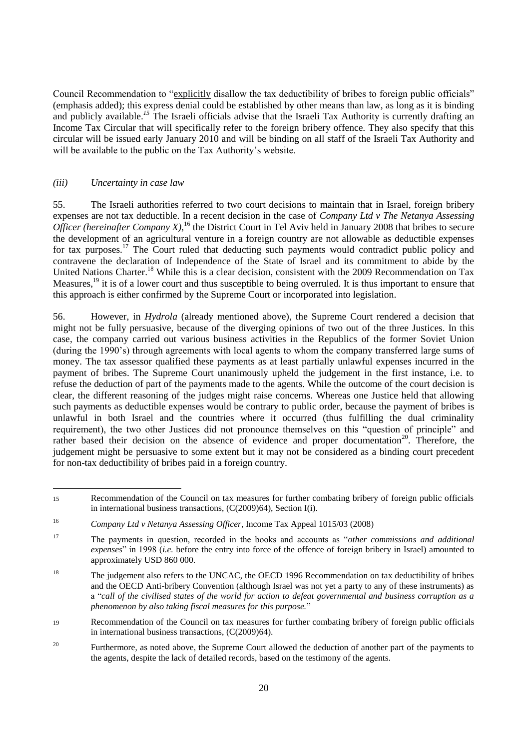Council Recommendation to "explicitly disallow the tax deductibility of bribes to foreign public officials" (emphasis added); this express denial could be established by other means than law, as long as it is binding and publicly available.<sup>15</sup> The Israeli officials advise that the Israeli Tax Authority is currently drafting an Income Tax Circular that will specifically refer to the foreign bribery offence. They also specify that this circular will be issued early January 2010 and will be binding on all staff of the Israeli Tax Authority and will be available to the public on the Tax Authority's website.

#### *(iii) Uncertainty in case law*

55. The Israeli authorities referred to two court decisions to maintain that in Israel, foreign bribery expenses are not tax deductible. In a recent decision in the case of *Company Ltd v The Netanya Assessing Officer (hereinafter Company X)*,<sup>16</sup> the District Court in Tel Aviv held in January 2008 that bribes to secure the development of an agricultural venture in a foreign country are not allowable as deductible expenses for tax purposes.<sup>17</sup> The Court ruled that deducting such payments would contradict public policy and contravene the declaration of Independence of the State of Israel and its commitment to abide by the United Nations Charter.<sup>18</sup> While this is a clear decision, consistent with the 2009 Recommendation on Tax Measures,<sup>19</sup> it is of a lower court and thus susceptible to being overruled. It is thus important to ensure that this approach is either confirmed by the Supreme Court or incorporated into legislation.

56. However, in *Hydrola* (already mentioned above), the Supreme Court rendered a decision that might not be fully persuasive, because of the diverging opinions of two out of the three Justices. In this case, the company carried out various business activities in the Republics of the former Soviet Union (during the 1990"s) through agreements with local agents to whom the company transferred large sums of money. The tax assessor qualified these payments as at least partially unlawful expenses incurred in the payment of bribes. The Supreme Court unanimously upheld the judgement in the first instance, i.e. to refuse the deduction of part of the payments made to the agents. While the outcome of the court decision is clear, the different reasoning of the judges might raise concerns. Whereas one Justice held that allowing such payments as deductible expenses would be contrary to public order, because the payment of bribes is unlawful in both Israel and the countries where it occurred (thus fulfilling the dual criminality requirement), the two other Justices did not pronounce themselves on this "question of principle" and rather based their decision on the absence of evidence and proper documentation<sup>20</sup>. Therefore, the judgement might be persuasive to some extent but it may not be considered as a binding court precedent for non-tax deductibility of bribes paid in a foreign country.

 $\overline{a}$ <sup>15</sup> Recommendation of the Council on tax measures for further combating bribery of foreign public officials in international business transactions, (C(2009)64), Section I(i).

<sup>16</sup> *Company Ltd v Netanya Assessing Officer*, Income Tax Appeal 1015/03 (2008)

<sup>17</sup> The payments in question, recorded in the books and accounts as "*other commissions and additional expenses*" in 1998 (*i.e.* before the entry into force of the offence of foreign bribery in Israel) amounted to approximately USD 860 000.

<sup>&</sup>lt;sup>18</sup> The judgement also refers to the UNCAC, the OECD 1996 Recommendation on tax deductibility of bribes and the OECD Anti-bribery Convention (although Israel was not yet a party to any of these instruments) as a "*call of the civilised states of the world for action to defeat governmental and business corruption as a phenomenon by also taking fiscal measures for this purpose.*"

<sup>19</sup> Recommendation of the Council on tax measures for further combating bribery of foreign public officials in international business transactions, (C(2009)64).

<sup>&</sup>lt;sup>20</sup> Furthermore, as noted above, the Supreme Court allowed the deduction of another part of the payments to the agents, despite the lack of detailed records, based on the testimony of the agents.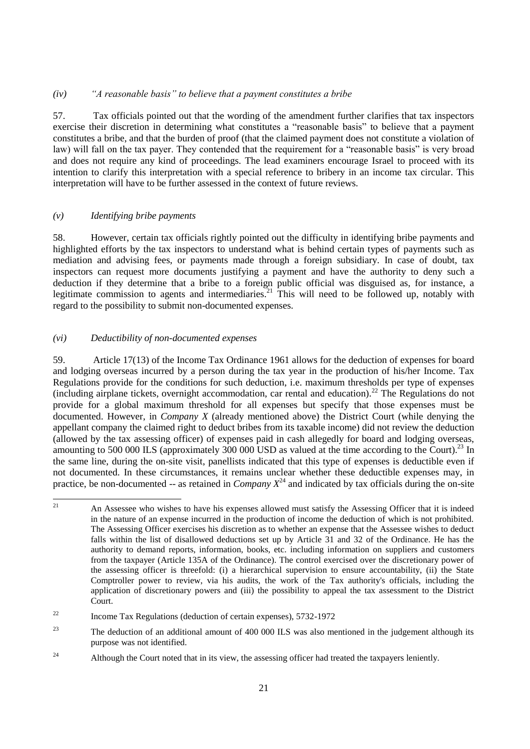#### *(iv) "A reasonable basis" to believe that a payment constitutes a bribe*

57. Tax officials pointed out that the wording of the amendment further clarifies that tax inspectors exercise their discretion in determining what constitutes a "reasonable basis" to believe that a payment constitutes a bribe, and that the burden of proof (that the claimed payment does not constitute a violation of law) will fall on the tax payer. They contended that the requirement for a "reasonable basis" is very broad and does not require any kind of proceedings. The lead examiners encourage Israel to proceed with its intention to clarify this interpretation with a special reference to bribery in an income tax circular. This interpretation will have to be further assessed in the context of future reviews.

# *(v) Identifying bribe payments*

58. However, certain tax officials rightly pointed out the difficulty in identifying bribe payments and highlighted efforts by the tax inspectors to understand what is behind certain types of payments such as mediation and advising fees, or payments made through a foreign subsidiary. In case of doubt, tax inspectors can request more documents justifying a payment and have the authority to deny such a deduction if they determine that a bribe to a foreign public official was disguised as, for instance, a legitimate commission to agents and intermediaries.<sup>21</sup> This will need to be followed up, notably with regard to the possibility to submit non-documented expenses.

# *(vi) Deductibility of non-documented expenses*

59. Article 17(13) of the Income Tax Ordinance 1961 allows for the deduction of expenses for board and lodging overseas incurred by a person during the tax year in the production of his/her Income. Tax Regulations provide for the conditions for such deduction, i.e. maximum thresholds per type of expenses (including airplane tickets, overnight accommodation, car rental and education).<sup>22</sup> The Regulations do not provide for a global maximum threshold for all expenses but specify that those expenses must be documented. However, in *Company X* (already mentioned above) the District Court (while denying the appellant company the claimed right to deduct bribes from its taxable income) did not review the deduction (allowed by the tax assessing officer) of expenses paid in cash allegedly for board and lodging overseas, amounting to 500 000 ILS (approximately 300 000 USD as valued at the time according to the Court).<sup>23</sup> In the same line, during the on-site visit, panellists indicated that this type of expenses is deductible even if not documented. In these circumstances, it remains unclear whether these deductible expenses may, in practice, be non-documented -- as retained in *Company*  $X^{24}$  and indicated by tax officials during the on-site

 $\overline{21}$ <sup>21</sup> An Assessee who wishes to have his expenses allowed must satisfy the Assessing Officer that it is indeed in the nature of an expense incurred in the production of income the deduction of which is not prohibited. The Assessing Officer exercises his discretion as to whether an expense that the Assessee wishes to deduct falls within the list of disallowed deductions set up by Article 31 and 32 of the Ordinance. He has the authority to demand reports, information, books, etc. including information on suppliers and customers from the taxpayer (Article 135A of the Ordinance). The control exercised over the discretionary power of the assessing officer is threefold: (i) a hierarchical supervision to ensure accountability, (ii) the State Comptroller power to review, via his audits, the work of the Tax authority's officials, including the application of discretionary powers and (iii) the possibility to appeal the tax assessment to the District Court.

 $22$  Income Tax Regulations (deduction of certain expenses), 5732-1972

<sup>&</sup>lt;sup>23</sup> The deduction of an additional amount of 400 000 ILS was also mentioned in the judgement although its purpose was not identified.

 $24$  Although the Court noted that in its view, the assessing officer had treated the taxpayers leniently.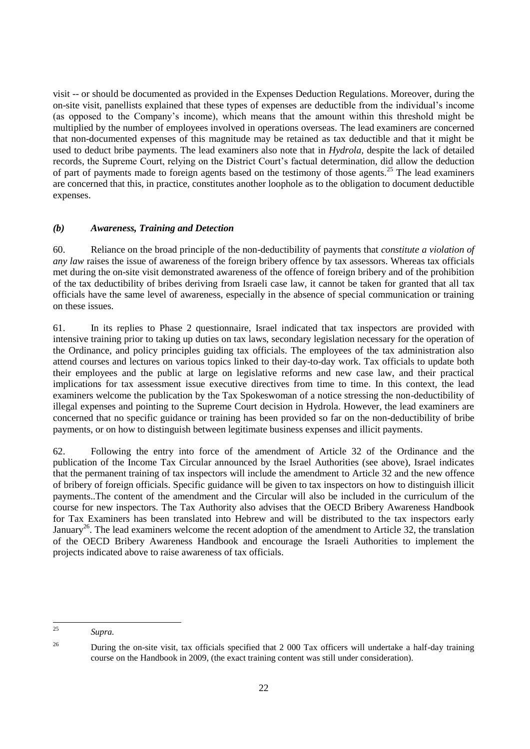visit -- or should be documented as provided in the Expenses Deduction Regulations. Moreover, during the on-site visit, panellists explained that these types of expenses are deductible from the individual"s income (as opposed to the Company"s income), which means that the amount within this threshold might be multiplied by the number of employees involved in operations overseas. The lead examiners are concerned that non-documented expenses of this magnitude may be retained as tax deductible and that it might be used to deduct bribe payments. The lead examiners also note that in *Hydrola,* despite the lack of detailed records, the Supreme Court, relying on the District Court's factual determination, did allow the deduction of part of payments made to foreign agents based on the testimony of those agents.<sup>25</sup> The lead examiners are concerned that this, in practice, constitutes another loophole as to the obligation to document deductible expenses.

# *(b) Awareness, Training and Detection*

60. Reliance on the broad principle of the non-deductibility of payments that *constitute a violation of any law* raises the issue of awareness of the foreign bribery offence by tax assessors. Whereas tax officials met during the on-site visit demonstrated awareness of the offence of foreign bribery and of the prohibition of the tax deductibility of bribes deriving from Israeli case law, it cannot be taken for granted that all tax officials have the same level of awareness, especially in the absence of special communication or training on these issues.

61. In its replies to Phase 2 questionnaire, Israel indicated that tax inspectors are provided with intensive training prior to taking up duties on tax laws, secondary legislation necessary for the operation of the Ordinance, and policy principles guiding tax officials. The employees of the tax administration also attend courses and lectures on various topics linked to their day-to-day work. Tax officials to update both their employees and the public at large on legislative reforms and new case law, and their practical implications for tax assessment issue executive directives from time to time. In this context, the lead examiners welcome the publication by the Tax Spokeswoman of a notice stressing the non-deductibility of illegal expenses and pointing to the Supreme Court decision in Hydrola. However, the lead examiners are concerned that no specific guidance or training has been provided so far on the non-deductibility of bribe payments, or on how to distinguish between legitimate business expenses and illicit payments.

62. Following the entry into force of the amendment of Article 32 of the Ordinance and the publication of the Income Tax Circular announced by the Israel Authorities (see above), Israel indicates that the permanent training of tax inspectors will include the amendment to Article 32 and the new offence of bribery of foreign officials. Specific guidance will be given to tax inspectors on how to distinguish illicit payments..The content of the amendment and the Circular will also be included in the curriculum of the course for new inspectors. The Tax Authority also advises that the OECD Bribery Awareness Handbook for Tax Examiners has been translated into Hebrew and will be distributed to the tax inspectors early January<sup>26</sup>. The lead examiners welcome the recent adoption of the amendment to Article 32, the translation of the OECD Bribery Awareness Handbook and encourage the Israeli Authorities to implement the projects indicated above to raise awareness of tax officials.

 $25$ <sup>25</sup> *Supra.*

<sup>&</sup>lt;sup>26</sup> During the on-site visit, tax officials specified that 2 000 Tax officers will undertake a half-day training course on the Handbook in 2009, (the exact training content was still under consideration).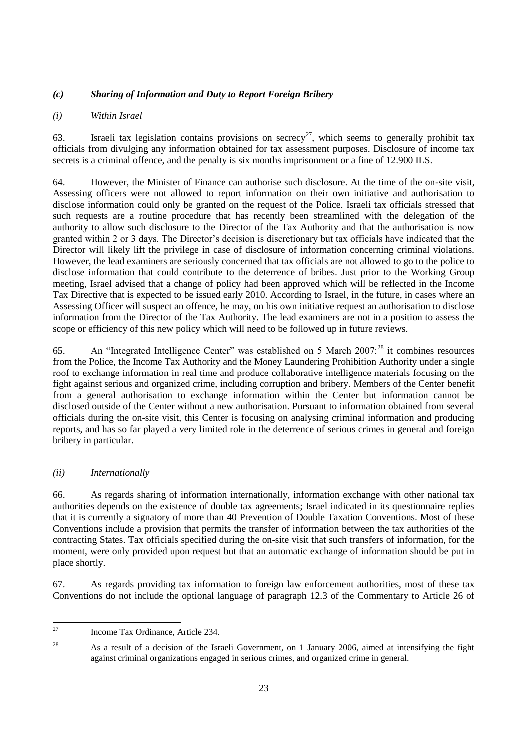# *(c) Sharing of Information and Duty to Report Foreign Bribery*

# *(i) Within Israel*

63. Israeli tax legislation contains provisions on secrecy<sup>27</sup>, which seems to generally prohibit tax officials from divulging any information obtained for tax assessment purposes. Disclosure of income tax secrets is a criminal offence, and the penalty is six months imprisonment or a fine of 12.900 ILS.

64. However, the Minister of Finance can authorise such disclosure. At the time of the on-site visit, Assessing officers were not allowed to report information on their own initiative and authorisation to disclose information could only be granted on the request of the Police. Israeli tax officials stressed that such requests are a routine procedure that has recently been streamlined with the delegation of the authority to allow such disclosure to the Director of the Tax Authority and that the authorisation is now granted within 2 or 3 days. The Director"s decision is discretionary but tax officials have indicated that the Director will likely lift the privilege in case of disclosure of information concerning criminal violations. However, the lead examiners are seriously concerned that tax officials are not allowed to go to the police to disclose information that could contribute to the deterrence of bribes. Just prior to the Working Group meeting, Israel advised that a change of policy had been approved which will be reflected in the Income Tax Directive that is expected to be issued early 2010. According to Israel, in the future, in cases where an Assessing Officer will suspect an offence, he may, on his own initiative request an authorisation to disclose information from the Director of the Tax Authority. The lead examiners are not in a position to assess the scope or efficiency of this new policy which will need to be followed up in future reviews.

65. An "Integrated Intelligence Center" was established on 5 March 2007:<sup>28</sup> it combines resources from the Police, the Income Tax Authority and the Money Laundering Prohibition Authority under a single roof to exchange information in real time and produce collaborative intelligence materials focusing on the fight against serious and organized crime, including corruption and bribery. Members of the Center benefit from a general authorisation to exchange information within the Center but information cannot be disclosed outside of the Center without a new authorisation. Pursuant to information obtained from several officials during the on-site visit, this Center is focusing on analysing criminal information and producing reports, and has so far played a very limited role in the deterrence of serious crimes in general and foreign bribery in particular.

# *(ii) Internationally*

66. As regards sharing of information internationally, information exchange with other national tax authorities depends on the existence of double tax agreements; Israel indicated in its questionnaire replies that it is currently a signatory of more than 40 Prevention of Double Taxation Conventions. Most of these Conventions include a provision that permits the transfer of information between the tax authorities of the contracting States. Tax officials specified during the on-site visit that such transfers of information, for the moment, were only provided upon request but that an automatic exchange of information should be put in place shortly.

67. As regards providing tax information to foreign law enforcement authorities, most of these tax Conventions do not include the optional language of paragraph 12.3 of the Commentary to Article 26 of

<sup>27</sup> <sup>27</sup> Income Tax Ordinance, Article 234.

<sup>&</sup>lt;sup>28</sup> As a result of a decision of the Israeli Government, on 1 January 2006, aimed at intensifying the fight against criminal organizations engaged in serious crimes, and organized crime in general.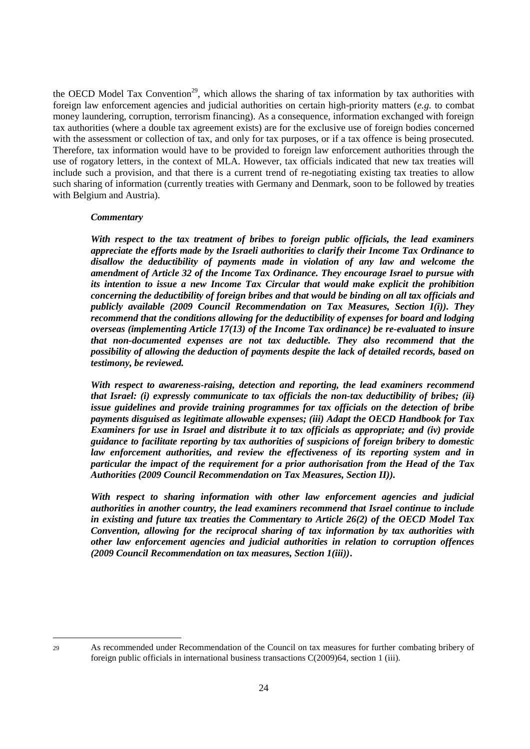the OECD Model Tax Convention<sup>29</sup>, which allows the sharing of tax information by tax authorities with foreign law enforcement agencies and judicial authorities on certain high-priority matters (*e.g.* to combat money laundering, corruption, terrorism financing). As a consequence, information exchanged with foreign tax authorities (where a double tax agreement exists) are for the exclusive use of foreign bodies concerned with the assessment or collection of tax, and only for tax purposes, or if a tax offence is being prosecuted. Therefore, tax information would have to be provided to foreign law enforcement authorities through the use of rogatory letters, in the context of MLA. However, tax officials indicated that new tax treaties will include such a provision, and that there is a current trend of re-negotiating existing tax treaties to allow such sharing of information (currently treaties with Germany and Denmark, soon to be followed by treaties with Belgium and Austria).

#### *Commentary*

*With respect to the tax treatment of bribes to foreign public officials, the lead examiners appreciate the efforts made by the Israeli authorities to clarify their Income Tax Ordinance to disallow the deductibility of payments made in violation of any law and welcome the amendment of Article 32 of the Income Tax Ordinance. They encourage Israel to pursue with its intention to issue a new Income Tax Circular that would make explicit the prohibition concerning the deductibility of foreign bribes and that would be binding on all tax officials and publicly available (2009 Council Recommendation on Tax Measures, Section I(i)). They recommend that the conditions allowing for the deductibility of expenses for board and lodging overseas (implementing Article 17(13) of the Income Tax ordinance) be re-evaluated to insure that non-documented expenses are not tax deductible. They also recommend that the possibility of allowing the deduction of payments despite the lack of detailed records, based on testimony, be reviewed.* 

*With respect to awareness-raising, detection and reporting, the lead examiners recommend that Israel: (i) expressly communicate to tax officials the non-tax deductibility of bribes; (ii) issue guidelines and provide training programmes for tax officials on the detection of bribe payments disguised as legitimate allowable expenses; (iii) Adapt the OECD Handbook for Tax Examiners for use in Israel and distribute it to tax officials as appropriate; and (iv) provide guidance to facilitate reporting by tax authorities of suspicions of foreign bribery to domestic law enforcement authorities, and review the effectiveness of its reporting system and in particular the impact of the requirement for a prior authorisation from the Head of the Tax Authorities (2009 Council Recommendation on Tax Measures, Section II)).*

*With respect to sharing information with other law enforcement agencies and judicial authorities in another country, the lead examiners recommend that Israel continue to include in existing and future tax treaties the Commentary to Article 26(2) of the OECD Model Tax Convention, allowing for the reciprocal sharing of tax information by tax authorities with other law enforcement agencies and judicial authorities in relation to corruption offences (2009 Council Recommendation on tax measures, Section 1(iii))***.**

<sup>29</sup> As recommended under Recommendation of the Council on tax measures for further combating bribery of foreign public officials in international business transactions C(2009)64, section 1 (iii).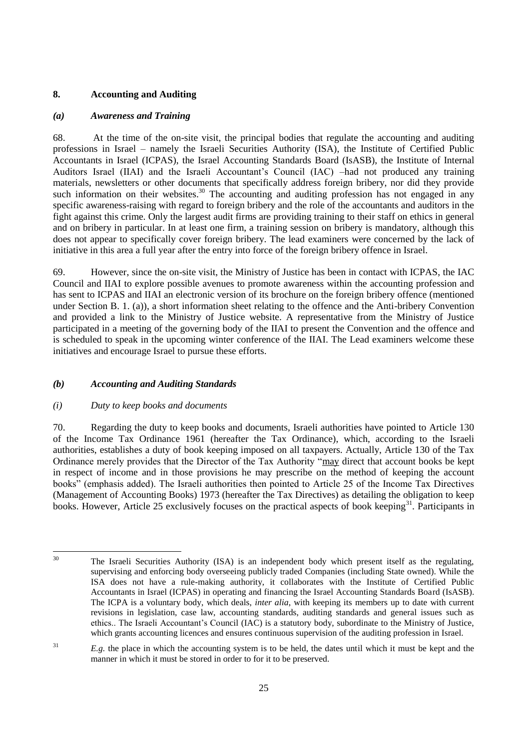# **8. Accounting and Auditing**

#### *(a) Awareness and Training*

68. At the time of the on-site visit, the principal bodies that regulate the accounting and auditing professions in Israel – namely the Israeli Securities Authority (ISA), the Institute of Certified Public Accountants in Israel (ICPAS), the Israel Accounting Standards Board (IsASB), the Institute of Internal Auditors Israel (IIAI) and the Israeli Accountant's Council (IAC) –had not produced any training materials, newsletters or other documents that specifically address foreign bribery, nor did they provide such information on their websites.<sup>30</sup> The accounting and auditing profession has not engaged in any specific awareness-raising with regard to foreign bribery and the role of the accountants and auditors in the fight against this crime. Only the largest audit firms are providing training to their staff on ethics in general and on bribery in particular. In at least one firm, a training session on bribery is mandatory, although this does not appear to specifically cover foreign bribery. The lead examiners were concerned by the lack of initiative in this area a full year after the entry into force of the foreign bribery offence in Israel.

69. However, since the on-site visit, the Ministry of Justice has been in contact with ICPAS, the IAC Council and IIAI to explore possible avenues to promote awareness within the accounting profession and has sent to ICPAS and IIAI an electronic version of its brochure on the foreign bribery offence (mentioned under Section B. 1. (a)), a short information sheet relating to the offence and the Anti-bribery Convention and provided a link to the Ministry of Justice website. A representative from the Ministry of Justice participated in a meeting of the governing body of the IIAI to present the Convention and the offence and is scheduled to speak in the upcoming winter conference of the IIAI. The Lead examiners welcome these initiatives and encourage Israel to pursue these efforts.

#### *(b) Accounting and Auditing Standards*

#### *(i) Duty to keep books and documents*

70. Regarding the duty to keep books and documents, Israeli authorities have pointed to Article 130 of the Income Tax Ordinance 1961 (hereafter the Tax Ordinance), which, according to the Israeli authorities, establishes a duty of book keeping imposed on all taxpayers. Actually, Article 130 of the Tax Ordinance merely provides that the Director of the Tax Authority "may direct that account books be kept in respect of income and in those provisions he may prescribe on the method of keeping the account books" (emphasis added). The Israeli authorities then pointed to Article 25 of the Income Tax Directives (Management of Accounting Books) 1973 (hereafter the Tax Directives) as detailing the obligation to keep books. However, Article 25 exclusively focuses on the practical aspects of book keeping<sup>31</sup>. Participants in

 $30^{\circ}$ <sup>30</sup> The Israeli Securities Authority (ISA) is an independent body which present itself as the regulating, supervising and enforcing body overseeing publicly traded Companies (including State owned). While the ISA does not have a rule-making authority, it collaborates with the Institute of Certified Public Accountants in Israel (ICPAS) in operating and financing the Israel Accounting Standards Board (IsASB). The ICPA is a voluntary body, which deals, *inter alia*, with keeping its members up to date with current revisions in legislation, case law, accounting standards, auditing standards and general issues such as ethics.. The Israeli Accountant"s Council (IAC) is a statutory body, subordinate to the Ministry of Justice, which grants accounting licences and ensures continuous supervision of the auditing profession in Israel.

 $E.g.$  the place in which the accounting system is to be held, the dates until which it must be kept and the manner in which it must be stored in order to for it to be preserved.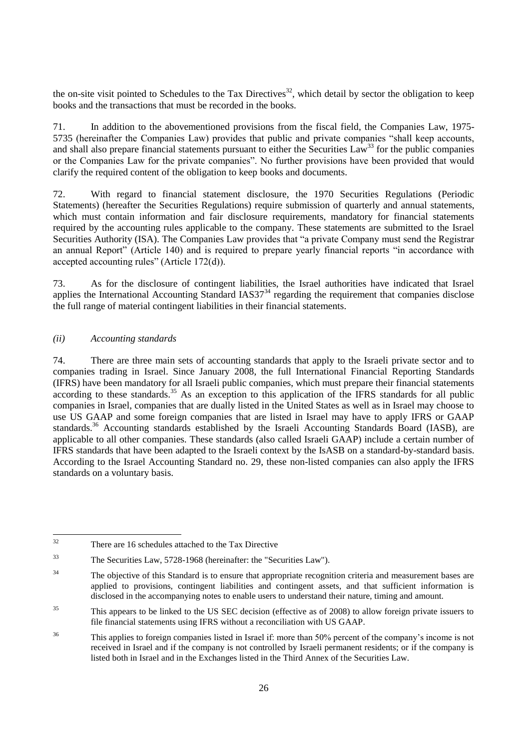the on-site visit pointed to Schedules to the Tax Directives<sup>32</sup>, which detail by sector the obligation to keep books and the transactions that must be recorded in the books.

71. In addition to the abovementioned provisions from the fiscal field, the Companies Law, 1975- 5735 (hereinafter the Companies Law) provides that public and private companies "shall keep accounts, and shall also prepare financial statements pursuant to either the Securities Law<sup>33</sup> for the public companies or the Companies Law for the private companies". No further provisions have been provided that would clarify the required content of the obligation to keep books and documents.

72. With regard to financial statement disclosure, the 1970 Securities Regulations (Periodic Statements) (hereafter the Securities Regulations) require submission of quarterly and annual statements, which must contain information and fair disclosure requirements, mandatory for financial statements required by the accounting rules applicable to the company. These statements are submitted to the Israel Securities Authority (ISA). The Companies Law provides that "a private Company must send the Registrar an annual Report" (Article 140) and is required to prepare yearly financial reports "in accordance with accepted accounting rules" (Article 172(d)).

73. As for the disclosure of contingent liabilities, the Israel authorities have indicated that Israel applies the International Accounting Standard IAS37<sup>34</sup> regarding the requirement that companies disclose the full range of material contingent liabilities in their financial statements.

#### *(ii) Accounting standards*

74. There are three main sets of accounting standards that apply to the Israeli private sector and to companies trading in Israel. Since January 2008, the full International Financial Reporting Standards (IFRS) have been mandatory for all Israeli public companies, which must prepare their financial statements according to these standards.<sup>35</sup> As an exception to this application of the IFRS standards for all public companies in Israel, companies that are dually listed in the United States as well as in Israel may choose to use US GAAP and some foreign companies that are listed in Israel may have to apply IFRS or GAAP standards.<sup>36</sup> Accounting standards established by the Israeli Accounting Standards Board (IASB), are applicable to all other companies. These standards (also called Israeli GAAP) include a certain number of IFRS standards that have been adapted to the Israeli context by the IsASB on a standard-by-standard basis. According to the Israel Accounting Standard no. 29, these non-listed companies can also apply the IFRS standards on a voluntary basis.

<sup>32</sup> There are 16 schedules attached to the Tax Directive

<sup>33</sup> The Securities Law, 5728-1968 (hereinafter: the "Securities Law").

<sup>&</sup>lt;sup>34</sup> The objective of this Standard is to ensure that appropriate recognition criteria and measurement bases are applied to provisions, contingent liabilities and contingent assets, and that sufficient information is disclosed in the accompanying notes to enable users to understand their nature, timing and amount.

<sup>&</sup>lt;sup>35</sup> This appears to be linked to the US SEC decision (effective as of 2008) to allow foreign private issuers to file financial statements using IFRS without a reconciliation with US GAAP.

<sup>&</sup>lt;sup>36</sup> This applies to foreign companies listed in Israel if: more than 50% percent of the company's income is not received in Israel and if the company is not controlled by Israeli permanent residents; or if the company is listed both in Israel and in the Exchanges listed in the Third Annex of the Securities Law.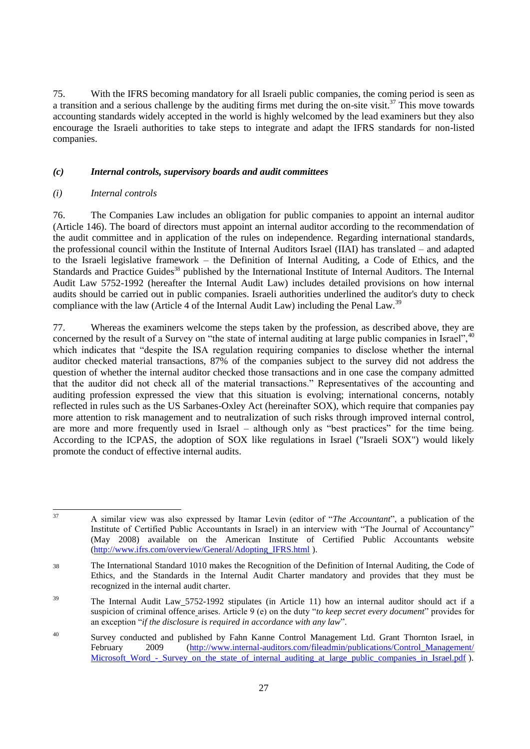75. With the IFRS becoming mandatory for all Israeli public companies, the coming period is seen as a transition and a serious challenge by the auditing firms met during the on-site visit.<sup>37</sup> This move towards accounting standards widely accepted in the world is highly welcomed by the lead examiners but they also encourage the Israeli authorities to take steps to integrate and adapt the IFRS standards for non-listed companies.

#### *(c) Internal controls, supervisory boards and audit committees*

#### *(i) Internal controls*

76. The Companies Law includes an obligation for public companies to appoint an internal auditor (Article 146). The board of directors must appoint an internal auditor according to the recommendation of the audit committee and in application of the rules on independence. Regarding international standards, the professional council within the Institute of Internal Auditors Israel (IIAI) has translated – and adapted to the Israeli legislative framework – the Definition of Internal Auditing, a Code of Ethics, and the Standards and Practice Guides<sup>38</sup> published by the International Institute of Internal Auditors. The Internal Audit Law 5752-1992 (hereafter the Internal Audit Law) includes detailed provisions on how internal audits should be carried out in public companies. Israeli authorities underlined the auditor's duty to check compliance with the law (Article 4 of the Internal Audit Law) including the Penal Law.<sup>39</sup>

77. Whereas the examiners welcome the steps taken by the profession, as described above, they are concerned by the result of a Survey on "the state of internal auditing at large public companies in Israel",<sup>40</sup> which indicates that "despite the ISA regulation requiring companies to disclose whether the internal auditor checked material transactions, 87% of the companies subject to the survey did not address the question of whether the internal auditor checked those transactions and in one case the company admitted that the auditor did not check all of the material transactions." Representatives of the accounting and auditing profession expressed the view that this situation is evolving; international concerns, notably reflected in rules such as the US Sarbanes-Oxley Act (hereinafter SOX), which require that companies pay more attention to risk management and to neutralization of such risks through improved internal control, are more and more frequently used in Israel – although only as "best practices" for the time being. According to the ICPAS, the adoption of SOX like regulations in Israel ("Israeli SOX") would likely promote the conduct of effective internal audits.

<sup>37</sup> <sup>37</sup> A similar view was also expressed by Itamar Levin (editor of "*The Accountant*", a publication of the Institute of Certified Public Accountants in Israel) in an interview with "The Journal of Accountancy" (May 2008) available on the American Institute of Certified Public Accountants website [\(http://www.ifrs.com/overview/General/Adopting\\_IFRS.html](http://www.ifrs.com/overview/General/Adopting_IFRS.html) ).

<sup>38</sup> The International Standard 1010 makes the Recognition of the Definition of Internal Auditing, the Code of Ethics, and the Standards in the Internal Audit Charter mandatory and provides that they must be recognized in the internal audit charter.

<sup>&</sup>lt;sup>39</sup> The Internal Audit Law 5752-1992 stipulates (in Article 11) how an internal auditor should act if a suspicion of criminal offence arises. Article 9 (e) on the duty "*to keep secret every document*" provides for an exception "*if the disclosure is required in accordance with any law*".

<sup>&</sup>lt;sup>40</sup> Survey conducted and published by Fahn Kanne Control Management Ltd. Grant Thornton Israel, in<br>February 2009 (http://www.internal-auditors.com/fileadmin/publications/Control Management/ 2009 (http://www.internal-auditors.com/fileadmin/publications/Control\_Management/ Microsoft Word - Survey on the state of internal auditing at large public companies in Israel.pdf ).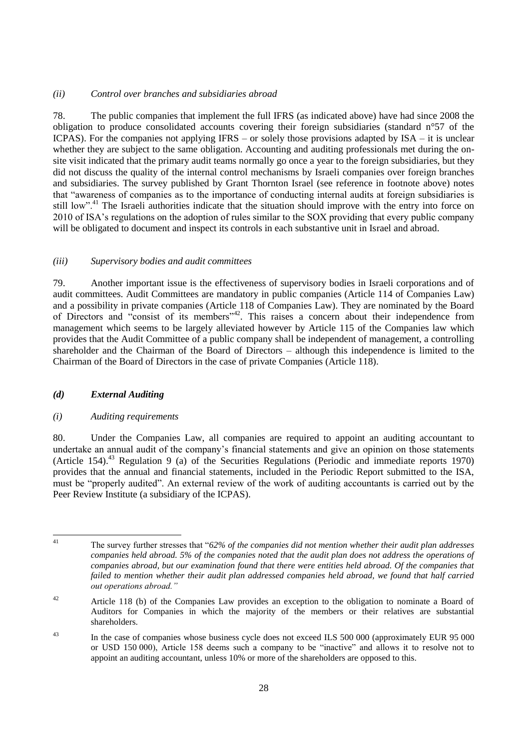#### *(ii) Control over branches and subsidiaries abroad*

78. The public companies that implement the full IFRS (as indicated above) have had since 2008 the obligation to produce consolidated accounts covering their foreign subsidiaries (standard n°57 of the ICPAS). For the companies not applying IFRS – or solely those provisions adapted by ISA – it is unclear whether they are subject to the same obligation. Accounting and auditing professionals met during the onsite visit indicated that the primary audit teams normally go once a year to the foreign subsidiaries, but they did not discuss the quality of the internal control mechanisms by Israeli companies over foreign branches and subsidiaries. The survey published by Grant Thornton Israel (see reference in footnote above) notes that "awareness of companies as to the importance of conducting internal audits at foreign subsidiaries is still low".<sup>41</sup> The Israeli authorities indicate that the situation should improve with the entry into force on 2010 of ISA"s regulations on the adoption of rules similar to the SOX providing that every public company will be obligated to document and inspect its controls in each substantive unit in Israel and abroad.

#### *(iii) Supervisory bodies and audit committees*

79. Another important issue is the effectiveness of supervisory bodies in Israeli corporations and of audit committees. Audit Committees are mandatory in public companies (Article 114 of Companies Law) and a possibility in private companies (Article 118 of Companies Law). They are nominated by the Board of Directors and "consist of its members"<sup>42</sup>. This raises a concern about their independence from management which seems to be largely alleviated however by Article 115 of the Companies law which provides that the Audit Committee of a public company shall be independent of management, a controlling shareholder and the Chairman of the Board of Directors – although this independence is limited to the Chairman of the Board of Directors in the case of private Companies (Article 118).

#### *(d) External Auditing*

#### *(i) Auditing requirements*

80. Under the Companies Law, all companies are required to appoint an auditing accountant to undertake an annual audit of the company"s financial statements and give an opinion on those statements (Article 154).<sup>43</sup> Regulation 9 (a) of the Securities Regulations (Periodic and immediate reports 1970) provides that the annual and financial statements, included in the Periodic Report submitted to the ISA, must be "properly audited". An external review of the work of auditing accountants is carried out by the Peer Review Institute (a subsidiary of the ICPAS).

 $41$ 

<sup>41</sup> The survey further stresses that "*62% of the companies did not mention whether their audit plan addresses companies held abroad. 5% of the companies noted that the audit plan does not address the operations of companies abroad, but our examination found that there were entities held abroad. Of the companies that*  failed to mention whether their audit plan addressed companies held abroad, we found that half carried *out operations abroad."*

 $42$  Article 118 (b) of the Companies Law provides an exception to the obligation to nominate a Board of Auditors for Companies in which the majority of the members or their relatives are substantial shareholders.

<sup>&</sup>lt;sup>43</sup> In the case of companies whose business cycle does not exceed ILS 500 000 (approximately EUR 95 000) or USD 150 000), Article 158 deems such a company to be "inactive" and allows it to resolve not to appoint an auditing accountant, unless 10% or more of the shareholders are opposed to this.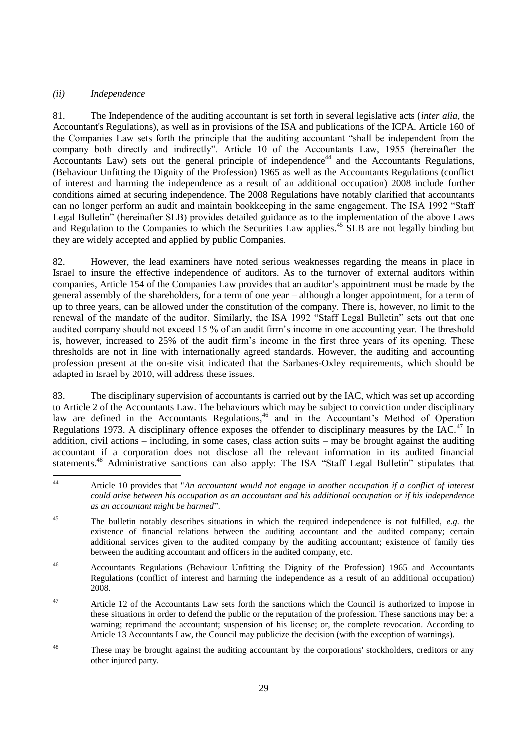# *(ii) Independence*

81. The Independence of the auditing accountant is set forth in several legislative acts (*inter alia*, the Accountant's Regulations), as well as in provisions of the ISA and publications of the ICPA. Article 160 of the Companies Law sets forth the principle that the auditing accountant "shall be independent from the company both directly and indirectly". Article 10 of the Accountants Law, 1955 (hereinafter the Accountants Law) sets out the general principle of independence<sup>44</sup> and the Accountants Regulations, (Behaviour Unfitting the Dignity of the Profession) 1965 as well as the Accountants Regulations (conflict of interest and harming the independence as a result of an additional occupation) 2008 include further conditions aimed at securing independence. The 2008 Regulations have notably clarified that accountants can no longer perform an audit and maintain bookkeeping in the same engagement. The ISA 1992 "Staff Legal Bulletin" (hereinafter SLB) provides detailed guidance as to the implementation of the above Laws and Regulation to the Companies to which the Securities Law applies.<sup>45</sup> SLB are not legally binding but they are widely accepted and applied by public Companies.

82. However, the lead examiners have noted serious weaknesses regarding the means in place in Israel to insure the effective independence of auditors. As to the turnover of external auditors within companies, Article 154 of the Companies Law provides that an auditor"s appointment must be made by the general assembly of the shareholders, for a term of one year – although a longer appointment, for a term of up to three years, can be allowed under the constitution of the company. There is, however, no limit to the renewal of the mandate of the auditor. Similarly, the ISA 1992 "Staff Legal Bulletin" sets out that one audited company should not exceed 15 % of an audit firm"s income in one accounting year. The threshold is, however, increased to 25% of the audit firm"s income in the first three years of its opening. These thresholds are not in line with internationally agreed standards. However, the auditing and accounting profession present at the on-site visit indicated that the Sarbanes-Oxley requirements, which should be adapted in Israel by 2010, will address these issues.

83. The disciplinary supervision of accountants is carried out by the IAC, which was set up according to Article 2 of the Accountants Law. The behaviours which may be subject to conviction under disciplinary law are defined in the Accountants Regulations,<sup>46</sup> and in the Accountant's Method of Operation Regulations 1973. A disciplinary offence exposes the offender to disciplinary measures by the  $IAC<sup>47</sup>$  In addition, civil actions – including, in some cases, class action suits – may be brought against the auditing accountant if a corporation does not disclose all the relevant information in its audited financial statements.<sup>48</sup> Administrative sanctions can also apply: The ISA "Staff Legal Bulletin" stipulates that

<sup>46</sup> Accountants Regulations (Behaviour Unfitting the Dignity of the Profession) 1965 and Accountants Regulations (conflict of interest and harming the independence as a result of an additional occupation) 2008.

- <sup>47</sup> Article 12 of the Accountants Law sets forth the sanctions which the Council is authorized to impose in these situations in order to defend the public or the reputation of the profession. These sanctions may be: a warning; reprimand the accountant; suspension of his license; or, the complete revocation. According to Article 13 Accountants Law, the Council may publicize the decision (with the exception of warnings).
- <sup>48</sup> These may be brought against the auditing accountant by the corporations' stockholders, creditors or any other injured party.

 $44$ <sup>44</sup> Article 10 provides that "*An accountant would not engage in another occupation if a conflict of interest could arise between his occupation as an accountant and his additional occupation or if his independence as an accountant might be harmed*".

<sup>45</sup> The bulletin notably describes situations in which the required independence is not fulfilled, *e.g.* the existence of financial relations between the auditing accountant and the audited company; certain additional services given to the audited company by the auditing accountant; existence of family ties between the auditing accountant and officers in the audited company, etc.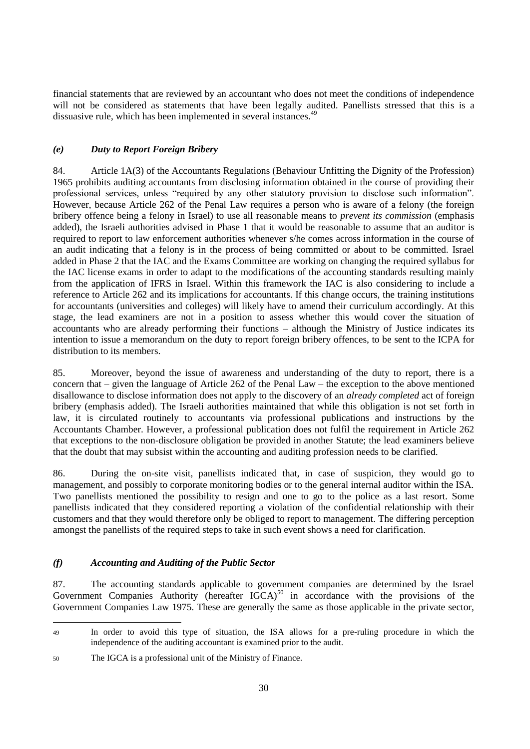financial statements that are reviewed by an accountant who does not meet the conditions of independence will not be considered as statements that have been legally audited. Panellists stressed that this is a dissuasive rule, which has been implemented in several instances.<sup>49</sup>

# *(e) Duty to Report Foreign Bribery*

84. Article 1A(3) of the Accountants Regulations (Behaviour Unfitting the Dignity of the Profession) 1965 prohibits auditing accountants from disclosing information obtained in the course of providing their professional services, unless "required by any other statutory provision to disclose such information". However, because Article 262 of the Penal Law requires a person who is aware of a felony (the foreign bribery offence being a felony in Israel) to use all reasonable means to *prevent its commission* (emphasis added), the Israeli authorities advised in Phase 1 that it would be reasonable to assume that an auditor is required to report to law enforcement authorities whenever s/he comes across information in the course of an audit indicating that a felony is in the process of being committed or about to be committed. Israel added in Phase 2 that the IAC and the Exams Committee are working on changing the required syllabus for the IAC license exams in order to adapt to the modifications of the accounting standards resulting mainly from the application of IFRS in Israel. Within this framework the IAC is also considering to include a reference to Article 262 and its implications for accountants. If this change occurs, the training institutions for accountants (universities and colleges) will likely have to amend their curriculum accordingly. At this stage, the lead examiners are not in a position to assess whether this would cover the situation of accountants who are already performing their functions – although the Ministry of Justice indicates its intention to issue a memorandum on the duty to report foreign bribery offences, to be sent to the ICPA for distribution to its members.

85. Moreover, beyond the issue of awareness and understanding of the duty to report, there is a concern that – given the language of Article 262 of the Penal Law – the exception to the above mentioned disallowance to disclose information does not apply to the discovery of an *already completed* act of foreign bribery (emphasis added). The Israeli authorities maintained that while this obligation is not set forth in law, it is circulated routinely to accountants via professional publications and instructions by the Accountants Chamber. However, a professional publication does not fulfil the requirement in Article 262 that exceptions to the non-disclosure obligation be provided in another Statute; the lead examiners believe that the doubt that may subsist within the accounting and auditing profession needs to be clarified.

86. During the on-site visit, panellists indicated that, in case of suspicion, they would go to management, and possibly to corporate monitoring bodies or to the general internal auditor within the ISA. Two panellists mentioned the possibility to resign and one to go to the police as a last resort. Some panellists indicated that they considered reporting a violation of the confidential relationship with their customers and that they would therefore only be obliged to report to management. The differing perception amongst the panellists of the required steps to take in such event shows a need for clarification.

# *(f) Accounting and Auditing of the Public Sector*

87. The accounting standards applicable to government companies are determined by the Israel Government Companies Authority (hereafter  $IGCA$ )<sup>50</sup> in accordance with the provisions of the Government Companies Law 1975. These are generally the same as those applicable in the private sector,

<sup>49</sup> In order to avoid this type of situation, the ISA allows for a pre-ruling procedure in which the independence of the auditing accountant is examined prior to the audit.

<sup>50</sup> The IGCA is a professional unit of the Ministry of Finance.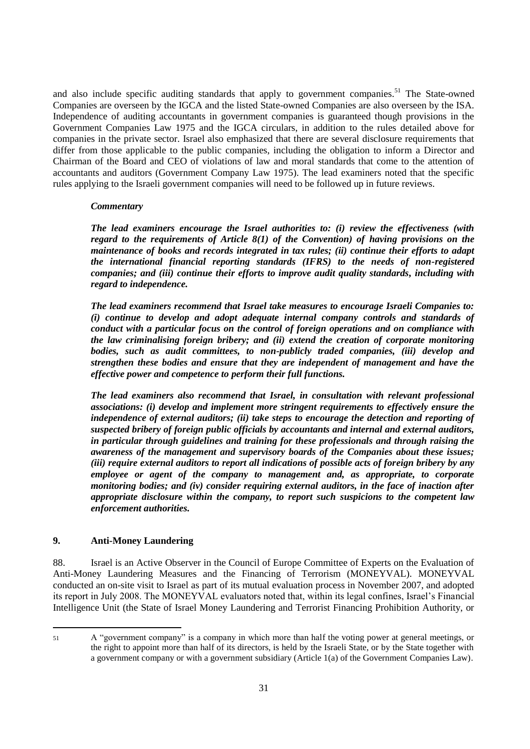and also include specific auditing standards that apply to government companies.<sup>51</sup> The State-owned Companies are overseen by the IGCA and the listed State-owned Companies are also overseen by the ISA. Independence of auditing accountants in government companies is guaranteed though provisions in the Government Companies Law 1975 and the IGCA circulars, in addition to the rules detailed above for companies in the private sector. Israel also emphasized that there are several disclosure requirements that differ from those applicable to the public companies, including the obligation to inform a Director and Chairman of the Board and CEO of violations of law and moral standards that come to the attention of accountants and auditors (Government Company Law 1975). The lead examiners noted that the specific rules applying to the Israeli government companies will need to be followed up in future reviews.

#### *Commentary*

*The lead examiners encourage the Israel authorities to: (i) review the effectiveness (with regard to the requirements of Article 8(1) of the Convention) of having provisions on the maintenance of books and records integrated in tax rules; (ii) continue their efforts to adapt the international financial reporting standards (IFRS) to the needs of non-registered companies; and (iii) continue their efforts to improve audit quality standards, including with regard to independence.*

*The lead examiners recommend that Israel take measures to encourage Israeli Companies to: (i) continue to develop and adopt adequate internal company controls and standards of conduct with a particular focus on the control of foreign operations and on compliance with the law criminalising foreign bribery; and (ii) extend the creation of corporate monitoring bodies, such as audit committees, to non-publicly traded companies, (iii) develop and strengthen these bodies and ensure that they are independent of management and have the effective power and competence to perform their full functions.*

*The lead examiners also recommend that Israel, in consultation with relevant professional associations: (i) develop and implement more stringent requirements to effectively ensure the independence of external auditors; (ii) take steps to encourage the detection and reporting of suspected bribery of foreign public officials by accountants and internal and external auditors, in particular through guidelines and training for these professionals and through raising the awareness of the management and supervisory boards of the Companies about these issues; (iii) require external auditors to report all indications of possible acts of foreign bribery by any employee or agent of the company to management and, as appropriate, to corporate monitoring bodies; and (iv) consider requiring external auditors, in the face of inaction after appropriate disclosure within the company, to report such suspicions to the competent law enforcement authorities.*

# **9. Anti-Money Laundering**

88. Israel is an Active Observer in the Council of Europe Committee of Experts on the Evaluation of Anti-Money Laundering Measures and the Financing of Terrorism (MONEYVAL). MONEYVAL conducted an on-site visit to Israel as part of its mutual evaluation process in November 2007, and adopted its report in July 2008. The MONEYVAL evaluators noted that, within its legal confines, Israel"s Financial Intelligence Unit (the State of Israel Money Laundering and Terrorist Financing Prohibition Authority, or

<sup>51</sup> A "government company" is a company in which more than half the voting power at general meetings, or the right to appoint more than half of its directors, is held by the Israeli State, or by the State together with a government company or with a government subsidiary (Article 1(a) of the Government Companies Law).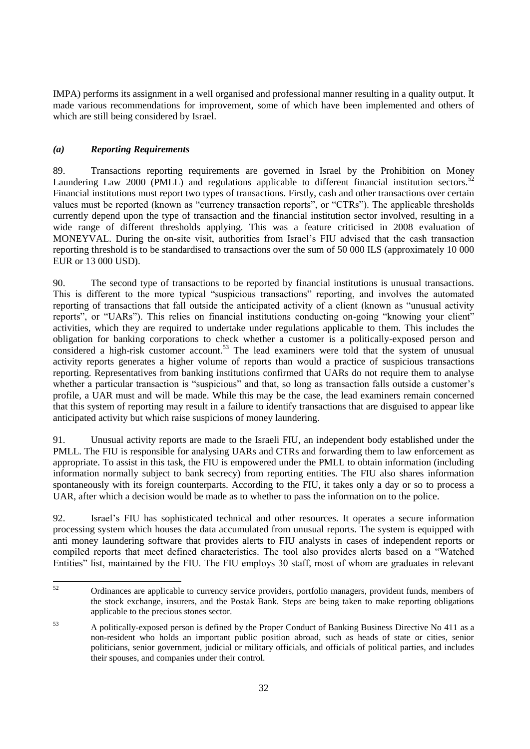IMPA) performs its assignment in a well organised and professional manner resulting in a quality output. It made various recommendations for improvement, some of which have been implemented and others of which are still being considered by Israel.

# *(a) Reporting Requirements*

89. Transactions reporting requirements are governed in Israel by the Prohibition on Money Laundering Law 2000 (PMLL) and regulations applicable to different financial institution sectors.<sup>52</sup> Financial institutions must report two types of transactions. Firstly, cash and other transactions over certain values must be reported (known as "currency transaction reports", or "CTRs"). The applicable thresholds currently depend upon the type of transaction and the financial institution sector involved, resulting in a wide range of different thresholds applying. This was a feature criticised in 2008 evaluation of MONEYVAL. During the on-site visit, authorities from Israel"s FIU advised that the cash transaction reporting threshold is to be standardised to transactions over the sum of 50 000 ILS (approximately 10 000 EUR or 13 000 USD).

90. The second type of transactions to be reported by financial institutions is unusual transactions. This is different to the more typical "suspicious transactions" reporting, and involves the automated reporting of transactions that fall outside the anticipated activity of a client (known as "unusual activity reports", or "UARs"). This relies on financial institutions conducting on-going "knowing your client" activities, which they are required to undertake under regulations applicable to them. This includes the obligation for banking corporations to check whether a customer is a politically-exposed person and considered a high-risk customer account.<sup>53</sup> The lead examiners were told that the system of unusual activity reports generates a higher volume of reports than would a practice of suspicious transactions reporting. Representatives from banking institutions confirmed that UARs do not require them to analyse whether a particular transaction is "suspicious" and that, so long as transaction falls outside a customer's profile, a UAR must and will be made. While this may be the case, the lead examiners remain concerned that this system of reporting may result in a failure to identify transactions that are disguised to appear like anticipated activity but which raise suspicions of money laundering.

91. Unusual activity reports are made to the Israeli FIU, an independent body established under the PMLL. The FIU is responsible for analysing UARs and CTRs and forwarding them to law enforcement as appropriate. To assist in this task, the FIU is empowered under the PMLL to obtain information (including information normally subject to bank secrecy) from reporting entities. The FIU also shares information spontaneously with its foreign counterparts. According to the FIU, it takes only a day or so to process a UAR, after which a decision would be made as to whether to pass the information on to the police.

92. Israel"s FIU has sophisticated technical and other resources. It operates a secure information processing system which houses the data accumulated from unusual reports. The system is equipped with anti money laundering software that provides alerts to FIU analysts in cases of independent reports or compiled reports that meet defined characteristics. The tool also provides alerts based on a "Watched Entities" list, maintained by the FIU. The FIU employs 30 staff, most of whom are graduates in relevant

<sup>52</sup> <sup>52</sup> Ordinances are applicable to currency service providers, portfolio managers, provident funds, members of the stock exchange, insurers, and the Postak Bank. Steps are being taken to make reporting obligations applicable to the precious stones sector.

<sup>53</sup> A politically-exposed person is defined by the Proper Conduct of Banking Business Directive No 411 as a non-resident who holds an important public position abroad, such as heads of state or cities, senior politicians, senior government, judicial or military officials, and officials of political parties, and includes their spouses, and companies under their control.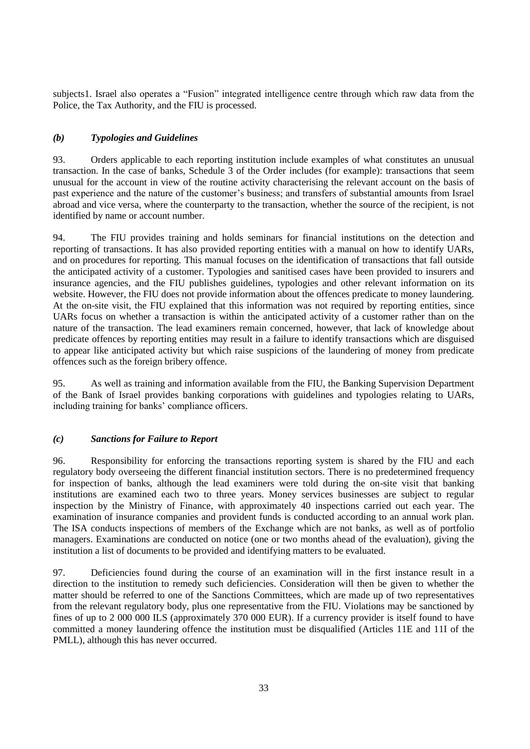subjects1. Israel also operates a "Fusion" integrated intelligence centre through which raw data from the Police, the Tax Authority, and the FIU is processed.

# *(b) Typologies and Guidelines*

93. Orders applicable to each reporting institution include examples of what constitutes an unusual transaction. In the case of banks, Schedule 3 of the Order includes (for example): transactions that seem unusual for the account in view of the routine activity characterising the relevant account on the basis of past experience and the nature of the customer"s business; and transfers of substantial amounts from Israel abroad and vice versa, where the counterparty to the transaction, whether the source of the recipient, is not identified by name or account number.

94. The FIU provides training and holds seminars for financial institutions on the detection and reporting of transactions. It has also provided reporting entities with a manual on how to identify UARs, and on procedures for reporting. This manual focuses on the identification of transactions that fall outside the anticipated activity of a customer. Typologies and sanitised cases have been provided to insurers and insurance agencies, and the FIU publishes guidelines, typologies and other relevant information on its website. However, the FIU does not provide information about the offences predicate to money laundering. At the on-site visit, the FIU explained that this information was not required by reporting entities, since UARs focus on whether a transaction is within the anticipated activity of a customer rather than on the nature of the transaction. The lead examiners remain concerned, however, that lack of knowledge about predicate offences by reporting entities may result in a failure to identify transactions which are disguised to appear like anticipated activity but which raise suspicions of the laundering of money from predicate offences such as the foreign bribery offence.

95. As well as training and information available from the FIU, the Banking Supervision Department of the Bank of Israel provides banking corporations with guidelines and typologies relating to UARs, including training for banks' compliance officers.

#### *(c) Sanctions for Failure to Report*

96. Responsibility for enforcing the transactions reporting system is shared by the FIU and each regulatory body overseeing the different financial institution sectors. There is no predetermined frequency for inspection of banks, although the lead examiners were told during the on-site visit that banking institutions are examined each two to three years. Money services businesses are subject to regular inspection by the Ministry of Finance, with approximately 40 inspections carried out each year. The examination of insurance companies and provident funds is conducted according to an annual work plan. The ISA conducts inspections of members of the Exchange which are not banks, as well as of portfolio managers. Examinations are conducted on notice (one or two months ahead of the evaluation), giving the institution a list of documents to be provided and identifying matters to be evaluated.

97. Deficiencies found during the course of an examination will in the first instance result in a direction to the institution to remedy such deficiencies. Consideration will then be given to whether the matter should be referred to one of the Sanctions Committees, which are made up of two representatives from the relevant regulatory body, plus one representative from the FIU. Violations may be sanctioned by fines of up to 2 000 000 ILS (approximately 370 000 EUR). If a currency provider is itself found to have committed a money laundering offence the institution must be disqualified (Articles 11E and 11I of the PMLL), although this has never occurred.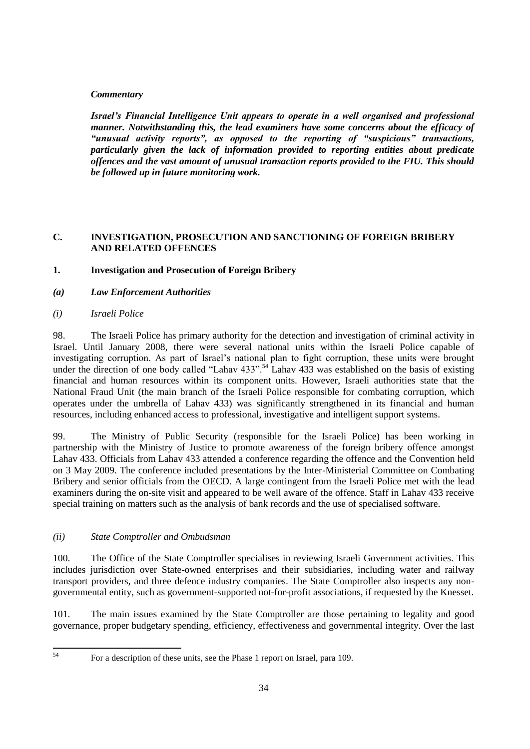# *Commentary*

*Israel's Financial Intelligence Unit appears to operate in a well organised and professional manner. Notwithstanding this, the lead examiners have some concerns about the efficacy of "unusual activity reports", as opposed to the reporting of "suspicious" transactions, particularly given the lack of information provided to reporting entities about predicate offences and the vast amount of unusual transaction reports provided to the FIU. This should be followed up in future monitoring work.*

# **C. INVESTIGATION, PROSECUTION AND SANCTIONING OF FOREIGN BRIBERY AND RELATED OFFENCES**

- **1. Investigation and Prosecution of Foreign Bribery**
- *(a) Law Enforcement Authorities*
- *(i) Israeli Police*

98. The Israeli Police has primary authority for the detection and investigation of criminal activity in Israel. Until January 2008, there were several national units within the Israeli Police capable of investigating corruption. As part of Israel"s national plan to fight corruption, these units were brought under the direction of one body called "Lahav 433".<sup>54</sup> Lahav 433 was established on the basis of existing financial and human resources within its component units. However, Israeli authorities state that the National Fraud Unit (the main branch of the Israeli Police responsible for combating corruption, which operates under the umbrella of Lahav 433) was significantly strengthened in its financial and human resources, including enhanced access to professional, investigative and intelligent support systems.

99. The Ministry of Public Security (responsible for the Israeli Police) has been working in partnership with the Ministry of Justice to promote awareness of the foreign bribery offence amongst Lahav 433. Officials from Lahav 433 attended a conference regarding the offence and the Convention held on 3 May 2009. The conference included presentations by the Inter-Ministerial Committee on Combating Bribery and senior officials from the OECD. A large contingent from the Israeli Police met with the lead examiners during the on-site visit and appeared to be well aware of the offence. Staff in Lahav 433 receive special training on matters such as the analysis of bank records and the use of specialised software.

#### *(ii) State Comptroller and Ombudsman*

100. The Office of the State Comptroller specialises in reviewing Israeli Government activities. This includes jurisdiction over State-owned enterprises and their subsidiaries, including water and railway transport providers, and three defence industry companies. The State Comptroller also inspects any nongovernmental entity, such as government-supported not-for-profit associations, if requested by the Knesset.

101. The main issues examined by the State Comptroller are those pertaining to legality and good governance, proper budgetary spending, efficiency, effectiveness and governmental integrity. Over the last

 $54$ 

<sup>54</sup> For a description of these units, see the Phase 1 report on Israel, para 109.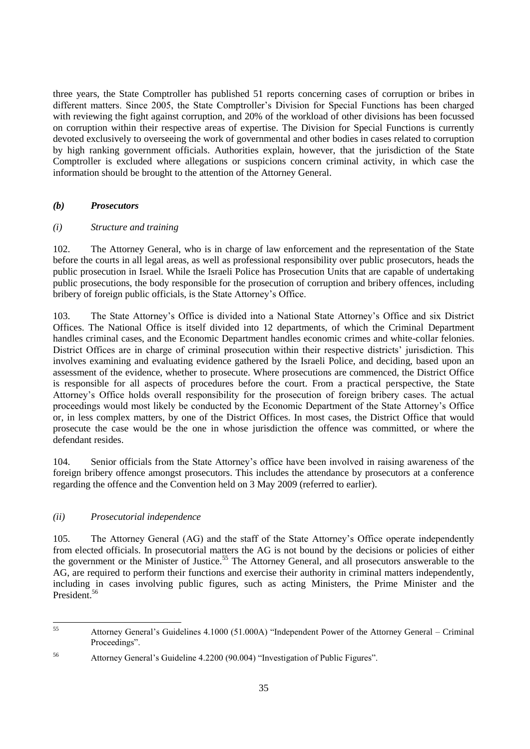three years, the State Comptroller has published 51 reports concerning cases of corruption or bribes in different matters. Since 2005, the State Comptroller"s Division for Special Functions has been charged with reviewing the fight against corruption, and 20% of the workload of other divisions has been focussed on corruption within their respective areas of expertise. The Division for Special Functions is currently devoted exclusively to overseeing the work of governmental and other bodies in cases related to corruption by high ranking government officials. Authorities explain, however, that the jurisdiction of the State Comptroller is excluded where allegations or suspicions concern criminal activity, in which case the information should be brought to the attention of the Attorney General.

# *(b) Prosecutors*

#### *(i) Structure and training*

102. The Attorney General, who is in charge of law enforcement and the representation of the State before the courts in all legal areas, as well as professional responsibility over public prosecutors, heads the public prosecution in Israel. While the Israeli Police has Prosecution Units that are capable of undertaking public prosecutions, the body responsible for the prosecution of corruption and bribery offences, including bribery of foreign public officials, is the State Attorney"s Office.

103. The State Attorney"s Office is divided into a National State Attorney"s Office and six District Offices. The National Office is itself divided into 12 departments, of which the Criminal Department handles criminal cases, and the Economic Department handles economic crimes and white-collar felonies. District Offices are in charge of criminal prosecution within their respective districts" jurisdiction. This involves examining and evaluating evidence gathered by the Israeli Police, and deciding, based upon an assessment of the evidence, whether to prosecute. Where prosecutions are commenced, the District Office is responsible for all aspects of procedures before the court. From a practical perspective, the State Attorney"s Office holds overall responsibility for the prosecution of foreign bribery cases. The actual proceedings would most likely be conducted by the Economic Department of the State Attorney"s Office or, in less complex matters, by one of the District Offices. In most cases, the District Office that would prosecute the case would be the one in whose jurisdiction the offence was committed, or where the defendant resides.

104. Senior officials from the State Attorney"s office have been involved in raising awareness of the foreign bribery offence amongst prosecutors. This includes the attendance by prosecutors at a conference regarding the offence and the Convention held on 3 May 2009 (referred to earlier).

# *(ii) Prosecutorial independence*

105. The Attorney General (AG) and the staff of the State Attorney"s Office operate independently from elected officials. In prosecutorial matters the AG is not bound by the decisions or policies of either the government or the Minister of Justice.<sup>55</sup> The Attorney General, and all prosecutors answerable to the AG, are required to perform their functions and exercise their authority in criminal matters independently, including in cases involving public figures, such as acting Ministers, the Prime Minister and the President.<sup>56</sup>

<sup>55</sup> <sup>55</sup> Attorney General"s Guidelines 4.1000 (51.000A) "Independent Power of the Attorney General – Criminal Proceedings".

<sup>56</sup> Attorney General"s Guideline 4.2200 (90.004) "Investigation of Public Figures".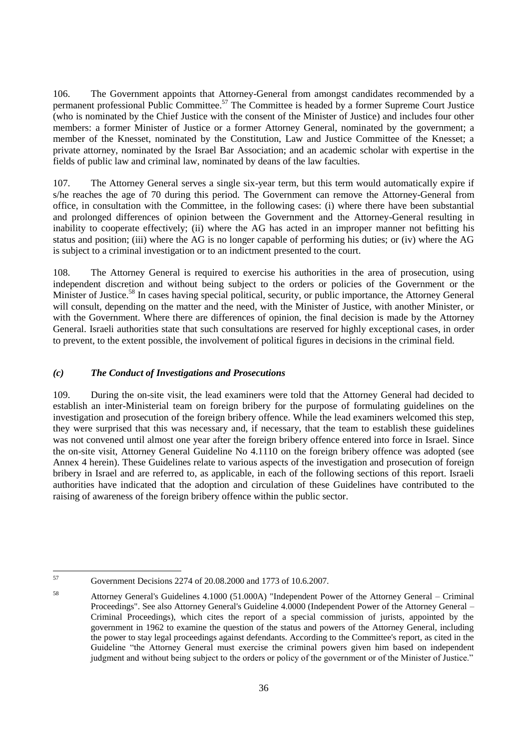106. The Government appoints that Attorney-General from amongst candidates recommended by a permanent professional Public Committee.<sup>57</sup> The Committee is headed by a former Supreme Court Justice (who is nominated by the Chief Justice with the consent of the Minister of Justice) and includes four other members: a former Minister of Justice or a former Attorney General, nominated by the government; a member of the Knesset, nominated by the Constitution, Law and Justice Committee of the Knesset; a private attorney, nominated by the Israel Bar Association; and an academic scholar with expertise in the fields of public law and criminal law, nominated by deans of the law faculties.

107. The Attorney General serves a single six-year term, but this term would automatically expire if s/he reaches the age of 70 during this period. The Government can remove the Attorney-General from office, in consultation with the Committee, in the following cases: (i) where there have been substantial and prolonged differences of opinion between the Government and the Attorney-General resulting in inability to cooperate effectively; (ii) where the AG has acted in an improper manner not befitting his status and position; (iii) where the AG is no longer capable of performing his duties; or (iv) where the AG is subject to a criminal investigation or to an indictment presented to the court.

108. The Attorney General is required to exercise his authorities in the area of prosecution, using independent discretion and without being subject to the orders or policies of the Government or the Minister of Justice.<sup>58</sup> In cases having special political, security, or public importance, the Attorney General will consult, depending on the matter and the need, with the Minister of Justice, with another Minister, or with the Government. Where there are differences of opinion, the final decision is made by the Attorney General. Israeli authorities state that such consultations are reserved for highly exceptional cases, in order to prevent, to the extent possible, the involvement of political figures in decisions in the criminal field.

# *(c) The Conduct of Investigations and Prosecutions*

109. During the on-site visit, the lead examiners were told that the Attorney General had decided to establish an inter-Ministerial team on foreign bribery for the purpose of formulating guidelines on the investigation and prosecution of the foreign bribery offence. While the lead examiners welcomed this step, they were surprised that this was necessary and, if necessary, that the team to establish these guidelines was not convened until almost one year after the foreign bribery offence entered into force in Israel. Since the on-site visit, Attorney General Guideline No 4.1110 on the foreign bribery offence was adopted (see Annex 4 herein). These Guidelines relate to various aspects of the investigation and prosecution of foreign bribery in Israel and are referred to, as applicable, in each of the following sections of this report. Israeli authorities have indicated that the adoption and circulation of these Guidelines have contributed to the raising of awareness of the foreign bribery offence within the public sector.

<sup>57</sup> <sup>57</sup> Government Decisions 2274 of 20.08.2000 and 1773 of 10.6.2007.

<sup>58</sup> Attorney General's Guidelines 4.1000 (51.000A) "Independent Power of the Attorney General – Criminal Proceedings". See also Attorney General's Guideline 4.0000 (Independent Power of the Attorney General – Criminal Proceedings), which cites the report of a special commission of jurists, appointed by the government in 1962 to examine the question of the status and powers of the Attorney General, including the power to stay legal proceedings against defendants. According to the Committee's report, as cited in the Guideline "the Attorney General must exercise the criminal powers given him based on independent judgment and without being subject to the orders or policy of the government or of the Minister of Justice."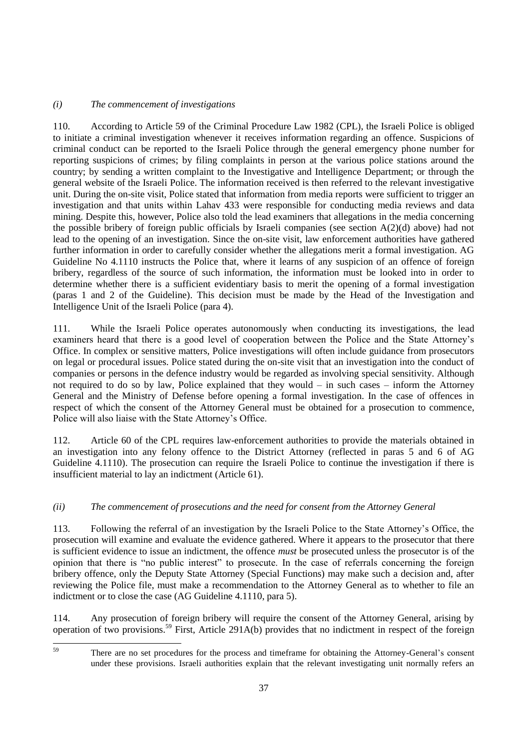# *(i) The commencement of investigations*

110. According to Article 59 of the Criminal Procedure Law 1982 (CPL), the Israeli Police is obliged to initiate a criminal investigation whenever it receives information regarding an offence. Suspicions of criminal conduct can be reported to the Israeli Police through the general emergency phone number for reporting suspicions of crimes; by filing complaints in person at the various police stations around the country; by sending a written complaint to the Investigative and Intelligence Department; or through the general website of the Israeli Police. The information received is then referred to the relevant investigative unit. During the on-site visit, Police stated that information from media reports were sufficient to trigger an investigation and that units within Lahav 433 were responsible for conducting media reviews and data mining. Despite this, however, Police also told the lead examiners that allegations in the media concerning the possible bribery of foreign public officials by Israeli companies (see section A(2)(d) above) had not lead to the opening of an investigation. Since the on-site visit, law enforcement authorities have gathered further information in order to carefully consider whether the allegations merit a formal investigation. AG Guideline No 4.1110 instructs the Police that, where it learns of any suspicion of an offence of foreign bribery, regardless of the source of such information, the information must be looked into in order to determine whether there is a sufficient evidentiary basis to merit the opening of a formal investigation (paras 1 and 2 of the Guideline). This decision must be made by the Head of the Investigation and Intelligence Unit of the Israeli Police (para 4).

111. While the Israeli Police operates autonomously when conducting its investigations, the lead examiners heard that there is a good level of cooperation between the Police and the State Attorney"s Office. In complex or sensitive matters, Police investigations will often include guidance from prosecutors on legal or procedural issues. Police stated during the on-site visit that an investigation into the conduct of companies or persons in the defence industry would be regarded as involving special sensitivity. Although not required to do so by law, Police explained that they would – in such cases – inform the Attorney General and the Ministry of Defense before opening a formal investigation. In the case of offences in respect of which the consent of the Attorney General must be obtained for a prosecution to commence, Police will also liaise with the State Attorney"s Office.

112. Article 60 of the CPL requires law-enforcement authorities to provide the materials obtained in an investigation into any felony offence to the District Attorney (reflected in paras 5 and 6 of AG Guideline 4.1110). The prosecution can require the Israeli Police to continue the investigation if there is insufficient material to lay an indictment (Article 61).

## *(ii) The commencement of prosecutions and the need for consent from the Attorney General*

113. Following the referral of an investigation by the Israeli Police to the State Attorney"s Office, the prosecution will examine and evaluate the evidence gathered. Where it appears to the prosecutor that there is sufficient evidence to issue an indictment, the offence *must* be prosecuted unless the prosecutor is of the opinion that there is "no public interest" to prosecute. In the case of referrals concerning the foreign bribery offence, only the Deputy State Attorney (Special Functions) may make such a decision and, after reviewing the Police file, must make a recommendation to the Attorney General as to whether to file an indictment or to close the case (AG Guideline 4.1110, para 5).

114. Any prosecution of foreign bribery will require the consent of the Attorney General, arising by operation of two provisions.<sup>59</sup> First, Article 291A(b) provides that no indictment in respect of the foreign

 $59$ 

There are no set procedures for the process and timeframe for obtaining the Attorney-General's consent under these provisions. Israeli authorities explain that the relevant investigating unit normally refers an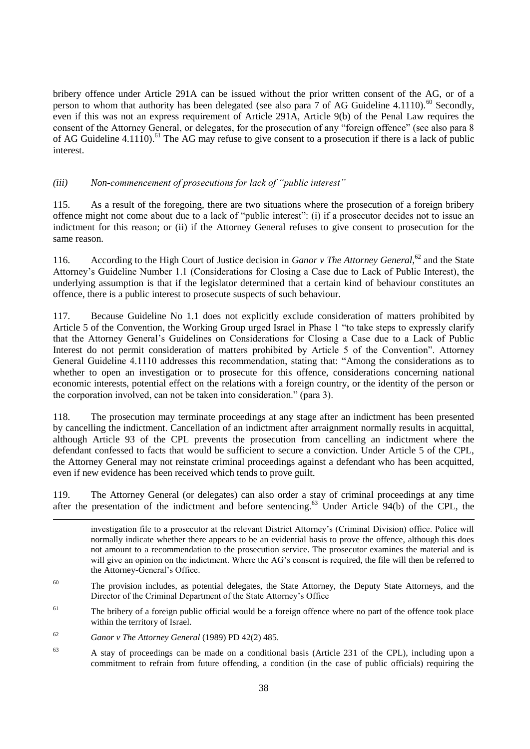bribery offence under Article 291A can be issued without the prior written consent of the AG, or of a person to whom that authority has been delegated (see also para  $7$  of AG Guideline 4.1110).<sup>60</sup> Secondly, even if this was not an express requirement of Article 291A, Article 9(b) of the Penal Law requires the consent of the Attorney General, or delegates, for the prosecution of any "foreign offence" (see also para 8 of AG Guideline 4.1110).<sup>61</sup> The AG may refuse to give consent to a prosecution if there is a lack of public interest.

## *(iii) Non-commencement of prosecutions for lack of "public interest"*

115. As a result of the foregoing, there are two situations where the prosecution of a foreign bribery offence might not come about due to a lack of "public interest": (i) if a prosecutor decides not to issue an indictment for this reason; or (ii) if the Attorney General refuses to give consent to prosecution for the same reason.

116. According to the High Court of Justice decision in *Ganor v The Attorney General*,<sup>62</sup> and the State Attorney"s Guideline Number 1.1 (Considerations for Closing a Case due to Lack of Public Interest), the underlying assumption is that if the legislator determined that a certain kind of behaviour constitutes an offence, there is a public interest to prosecute suspects of such behaviour.

117. Because Guideline No 1.1 does not explicitly exclude consideration of matters prohibited by Article 5 of the Convention, the Working Group urged Israel in Phase 1 "to take steps to expressly clarify that the Attorney General"s Guidelines on Considerations for Closing a Case due to a Lack of Public Interest do not permit consideration of matters prohibited by Article 5 of the Convention". Attorney General Guideline 4.1110 addresses this recommendation, stating that: "Among the considerations as to whether to open an investigation or to prosecute for this offence, considerations concerning national economic interests, potential effect on the relations with a foreign country, or the identity of the person or the corporation involved, can not be taken into consideration." (para 3).

118. The prosecution may terminate proceedings at any stage after an indictment has been presented by cancelling the indictment. Cancellation of an indictment after arraignment normally results in acquittal, although Article 93 of the CPL prevents the prosecution from cancelling an indictment where the defendant confessed to facts that would be sufficient to secure a conviction. Under Article 5 of the CPL, the Attorney General may not reinstate criminal proceedings against a defendant who has been acquitted, even if new evidence has been received which tends to prove guilt.

119. The Attorney General (or delegates) can also order a stay of criminal proceedings at any time after the presentation of the indictment and before sentencing.<sup>63</sup> Under Article 94(b) of the CPL, the

investigation file to a prosecutor at the relevant District Attorney"s (Criminal Division) office. Police will normally indicate whether there appears to be an evidential basis to prove the offence, although this does not amount to a recommendation to the prosecution service. The prosecutor examines the material and is will give an opinion on the indictment. Where the AG's consent is required, the file will then be referred to the Attorney-General's Office.

- <sup>60</sup> The provision includes, as potential delegates, the State Attorney, the Deputy State Attorneys, and the Director of the Criminal Department of the State Attorney"s Office
- $61$  The bribery of a foreign public official would be a foreign offence where no part of the offence took place within the territory of Israel.
- <sup>62</sup> *Ganor v The Attorney General* (1989) PD 42(2) 485.

<sup>63</sup> A stay of proceedings can be made on a conditional basis (Article 231 of the CPL), including upon a commitment to refrain from future offending, a condition (in the case of public officials) requiring the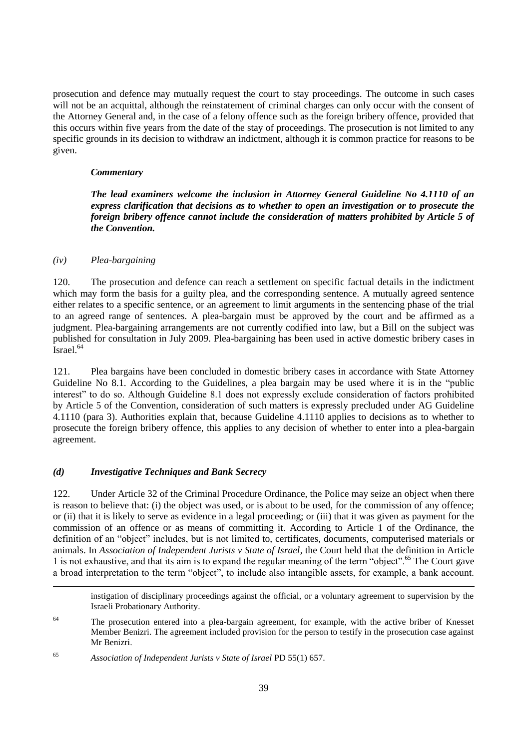prosecution and defence may mutually request the court to stay proceedings. The outcome in such cases will not be an acquittal, although the reinstatement of criminal charges can only occur with the consent of the Attorney General and, in the case of a felony offence such as the foreign bribery offence, provided that this occurs within five years from the date of the stay of proceedings. The prosecution is not limited to any specific grounds in its decision to withdraw an indictment, although it is common practice for reasons to be given.

#### *Commentary*

*The lead examiners welcome the inclusion in Attorney General Guideline No 4.1110 of an express clarification that decisions as to whether to open an investigation or to prosecute the foreign bribery offence cannot include the consideration of matters prohibited by Article 5 of the Convention.*

#### *(iv) Plea-bargaining*

120. The prosecution and defence can reach a settlement on specific factual details in the indictment which may form the basis for a guilty plea, and the corresponding sentence. A mutually agreed sentence either relates to a specific sentence, or an agreement to limit arguments in the sentencing phase of the trial to an agreed range of sentences. A plea-bargain must be approved by the court and be affirmed as a judgment. Plea-bargaining arrangements are not currently codified into law, but a Bill on the subject was published for consultation in July 2009. Plea-bargaining has been used in active domestic bribery cases in Israel.<sup>64</sup>

121. Plea bargains have been concluded in domestic bribery cases in accordance with State Attorney Guideline No 8.1. According to the Guidelines, a plea bargain may be used where it is in the "public interest" to do so. Although Guideline 8.1 does not expressly exclude consideration of factors prohibited by Article 5 of the Convention, consideration of such matters is expressly precluded under AG Guideline 4.1110 (para 3). Authorities explain that, because Guideline 4.1110 applies to decisions as to whether to prosecute the foreign bribery offence, this applies to any decision of whether to enter into a plea-bargain agreement.

## *(d) Investigative Techniques and Bank Secrecy*

122. Under Article 32 of the Criminal Procedure Ordinance, the Police may seize an object when there is reason to believe that: (i) the object was used, or is about to be used, for the commission of any offence; or (ii) that it is likely to serve as evidence in a legal proceeding; or (iii) that it was given as payment for the commission of an offence or as means of committing it. According to Article 1 of the Ordinance, the definition of an "object" includes, but is not limited to, certificates, documents, computerised materials or animals. In *Association of Independent Jurists v State of Israel*, the Court held that the definition in Article 1 is not exhaustive, and that its aim is to expand the regular meaning of the term "object".<sup>65</sup> The Court gave a broad interpretation to the term "object", to include also intangible assets, for example, a bank account.

instigation of disciplinary proceedings against the official, or a voluntary agreement to supervision by the Israeli Probationary Authority.

<sup>&</sup>lt;sup>64</sup> The prosecution entered into a plea-bargain agreement, for example, with the active briber of Knesset Member Benizri. The agreement included provision for the person to testify in the prosecution case against Mr Benizri.

<sup>65</sup> *Association of Independent Jurists v State of Israel* PD 55(1) 657.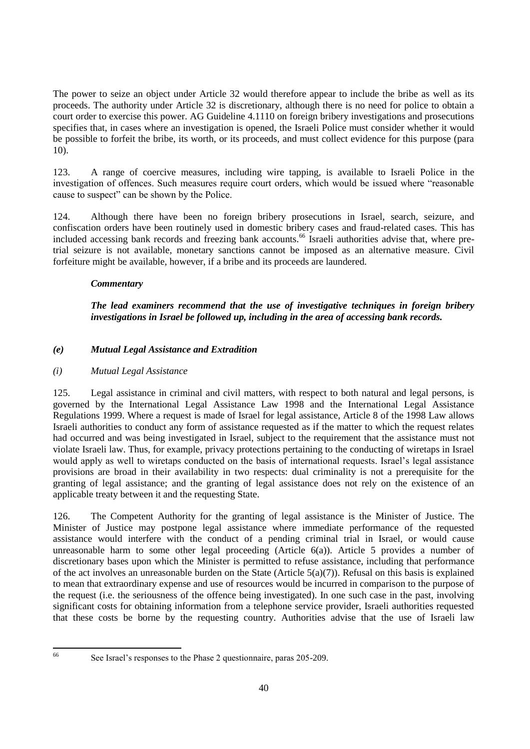The power to seize an object under Article 32 would therefore appear to include the bribe as well as its proceeds. The authority under Article 32 is discretionary, although there is no need for police to obtain a court order to exercise this power. AG Guideline 4.1110 on foreign bribery investigations and prosecutions specifies that, in cases where an investigation is opened, the Israeli Police must consider whether it would be possible to forfeit the bribe, its worth, or its proceeds, and must collect evidence for this purpose (para 10).

123. A range of coercive measures, including wire tapping, is available to Israeli Police in the investigation of offences. Such measures require court orders, which would be issued where "reasonable cause to suspect" can be shown by the Police.

124. Although there have been no foreign bribery prosecutions in Israel, search, seizure, and confiscation orders have been routinely used in domestic bribery cases and fraud-related cases. This has included accessing bank records and freezing bank accounts.<sup>66</sup> Israeli authorities advise that, where pretrial seizure is not available, monetary sanctions cannot be imposed as an alternative measure. Civil forfeiture might be available, however, if a bribe and its proceeds are laundered.

# *Commentary*

*The lead examiners recommend that the use of investigative techniques in foreign bribery investigations in Israel be followed up, including in the area of accessing bank records.*

# *(e) Mutual Legal Assistance and Extradition*

# *(i) Mutual Legal Assistance*

125. Legal assistance in criminal and civil matters, with respect to both natural and legal persons, is governed by the International Legal Assistance Law 1998 and the International Legal Assistance Regulations 1999. Where a request is made of Israel for legal assistance, Article 8 of the 1998 Law allows Israeli authorities to conduct any form of assistance requested as if the matter to which the request relates had occurred and was being investigated in Israel, subject to the requirement that the assistance must not violate Israeli law. Thus, for example, privacy protections pertaining to the conducting of wiretaps in Israel would apply as well to wiretaps conducted on the basis of international requests. Israel"s legal assistance provisions are broad in their availability in two respects: dual criminality is not a prerequisite for the granting of legal assistance; and the granting of legal assistance does not rely on the existence of an applicable treaty between it and the requesting State.

126. The Competent Authority for the granting of legal assistance is the Minister of Justice. The Minister of Justice may postpone legal assistance where immediate performance of the requested assistance would interfere with the conduct of a pending criminal trial in Israel, or would cause unreasonable harm to some other legal proceeding (Article 6(a)). Article 5 provides a number of discretionary bases upon which the Minister is permitted to refuse assistance, including that performance of the act involves an unreasonable burden on the State (Article  $5(a)(7)$ ). Refusal on this basis is explained to mean that extraordinary expense and use of resources would be incurred in comparison to the purpose of the request (i.e. the seriousness of the offence being investigated). In one such case in the past, involving significant costs for obtaining information from a telephone service provider, Israeli authorities requested that these costs be borne by the requesting country. Authorities advise that the use of Israeli law

66

See Israel's responses to the Phase 2 questionnaire, paras 205-209.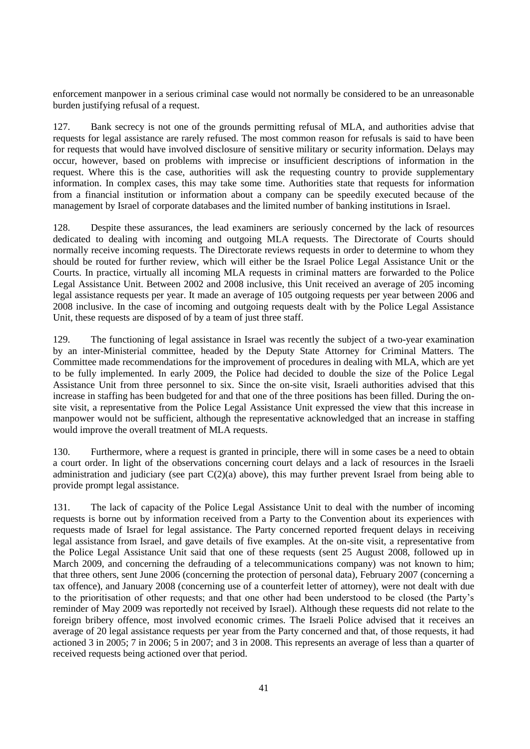enforcement manpower in a serious criminal case would not normally be considered to be an unreasonable burden justifying refusal of a request.

127. Bank secrecy is not one of the grounds permitting refusal of MLA, and authorities advise that requests for legal assistance are rarely refused. The most common reason for refusals is said to have been for requests that would have involved disclosure of sensitive military or security information. Delays may occur, however, based on problems with imprecise or insufficient descriptions of information in the request. Where this is the case, authorities will ask the requesting country to provide supplementary information. In complex cases, this may take some time. Authorities state that requests for information from a financial institution or information about a company can be speedily executed because of the management by Israel of corporate databases and the limited number of banking institutions in Israel.

128. Despite these assurances, the lead examiners are seriously concerned by the lack of resources dedicated to dealing with incoming and outgoing MLA requests. The Directorate of Courts should normally receive incoming requests. The Directorate reviews requests in order to determine to whom they should be routed for further review, which will either be the Israel Police Legal Assistance Unit or the Courts. In practice, virtually all incoming MLA requests in criminal matters are forwarded to the Police Legal Assistance Unit. Between 2002 and 2008 inclusive, this Unit received an average of 205 incoming legal assistance requests per year. It made an average of 105 outgoing requests per year between 2006 and 2008 inclusive. In the case of incoming and outgoing requests dealt with by the Police Legal Assistance Unit, these requests are disposed of by a team of just three staff.

129. The functioning of legal assistance in Israel was recently the subject of a two-year examination by an inter-Ministerial committee, headed by the Deputy State Attorney for Criminal Matters. The Committee made recommendations for the improvement of procedures in dealing with MLA, which are yet to be fully implemented. In early 2009, the Police had decided to double the size of the Police Legal Assistance Unit from three personnel to six. Since the on-site visit, Israeli authorities advised that this increase in staffing has been budgeted for and that one of the three positions has been filled. During the onsite visit, a representative from the Police Legal Assistance Unit expressed the view that this increase in manpower would not be sufficient, although the representative acknowledged that an increase in staffing would improve the overall treatment of MLA requests.

130. Furthermore, where a request is granted in principle, there will in some cases be a need to obtain a court order. In light of the observations concerning court delays and a lack of resources in the Israeli administration and judiciary (see part C(2)(a) above), this may further prevent Israel from being able to provide prompt legal assistance.

131. The lack of capacity of the Police Legal Assistance Unit to deal with the number of incoming requests is borne out by information received from a Party to the Convention about its experiences with requests made of Israel for legal assistance. The Party concerned reported frequent delays in receiving legal assistance from Israel, and gave details of five examples. At the on-site visit, a representative from the Police Legal Assistance Unit said that one of these requests (sent 25 August 2008, followed up in March 2009, and concerning the defrauding of a telecommunications company) was not known to him; that three others, sent June 2006 (concerning the protection of personal data), February 2007 (concerning a tax offence), and January 2008 (concerning use of a counterfeit letter of attorney), were not dealt with due to the prioritisation of other requests; and that one other had been understood to be closed (the Party"s reminder of May 2009 was reportedly not received by Israel). Although these requests did not relate to the foreign bribery offence, most involved economic crimes. The Israeli Police advised that it receives an average of 20 legal assistance requests per year from the Party concerned and that, of those requests, it had actioned 3 in 2005; 7 in 2006; 5 in 2007; and 3 in 2008. This represents an average of less than a quarter of received requests being actioned over that period.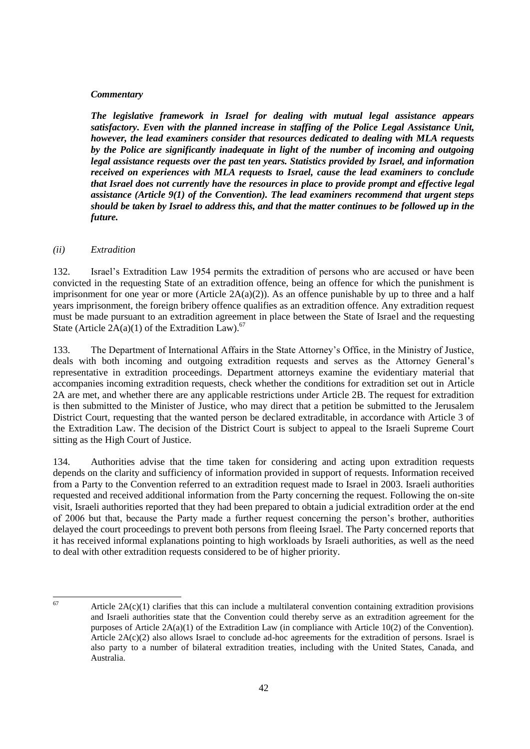#### *Commentary*

*The legislative framework in Israel for dealing with mutual legal assistance appears satisfactory. Even with the planned increase in staffing of the Police Legal Assistance Unit, however, the lead examiners consider that resources dedicated to dealing with MLA requests by the Police are significantly inadequate in light of the number of incoming and outgoing legal assistance requests over the past ten years. Statistics provided by Israel, and information received on experiences with MLA requests to Israel, cause the lead examiners to conclude that Israel does not currently have the resources in place to provide prompt and effective legal assistance (Article 9(1) of the Convention). The lead examiners recommend that urgent steps should be taken by Israel to address this, and that the matter continues to be followed up in the future.*

#### *(ii) Extradition*

132. Israel"s Extradition Law 1954 permits the extradition of persons who are accused or have been convicted in the requesting State of an extradition offence, being an offence for which the punishment is imprisonment for one year or more (Article  $2A(a)(2)$ ). As an offence punishable by up to three and a half years imprisonment, the foreign bribery offence qualifies as an extradition offence. Any extradition request must be made pursuant to an extradition agreement in place between the State of Israel and the requesting State (Article  $2A(a)(1)$  of the Extradition Law).<sup>67</sup>

133. The Department of International Affairs in the State Attorney"s Office, in the Ministry of Justice, deals with both incoming and outgoing extradition requests and serves as the Attorney General"s representative in extradition proceedings. Department attorneys examine the evidentiary material that accompanies incoming extradition requests, check whether the conditions for extradition set out in Article 2A are met, and whether there are any applicable restrictions under Article 2B. The request for extradition is then submitted to the Minister of Justice, who may direct that a petition be submitted to the Jerusalem District Court, requesting that the wanted person be declared extraditable, in accordance with Article 3 of the Extradition Law. The decision of the District Court is subject to appeal to the Israeli Supreme Court sitting as the High Court of Justice.

134. Authorities advise that the time taken for considering and acting upon extradition requests depends on the clarity and sufficiency of information provided in support of requests. Information received from a Party to the Convention referred to an extradition request made to Israel in 2003. Israeli authorities requested and received additional information from the Party concerning the request. Following the on-site visit, Israeli authorities reported that they had been prepared to obtain a judicial extradition order at the end of 2006 but that, because the Party made a further request concerning the person"s brother, authorities delayed the court proceedings to prevent both persons from fleeing Israel. The Party concerned reports that it has received informal explanations pointing to high workloads by Israeli authorities, as well as the need to deal with other extradition requests considered to be of higher priority.

67

Article  $2A(c)(1)$  clarifies that this can include a multilateral convention containing extradition provisions and Israeli authorities state that the Convention could thereby serve as an extradition agreement for the purposes of Article 2A(a)(1) of the Extradition Law (in compliance with Article 10(2) of the Convention). Article 2A(c)(2) also allows Israel to conclude ad-hoc agreements for the extradition of persons. Israel is also party to a number of bilateral extradition treaties, including with the United States, Canada, and Australia.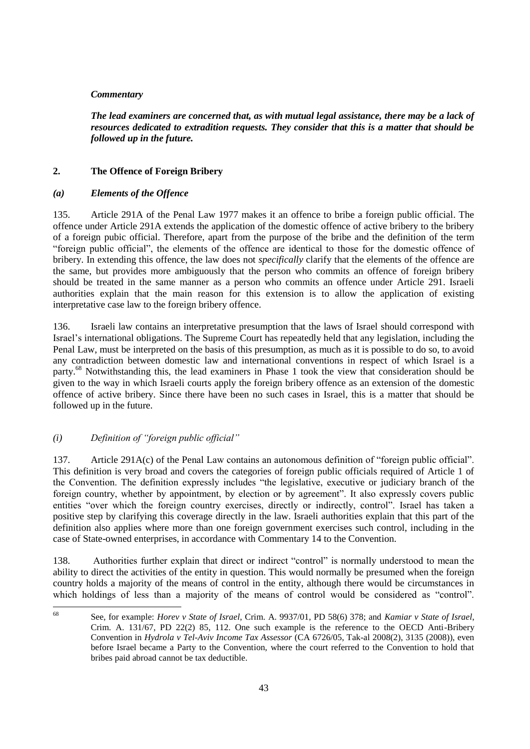## *Commentary*

*The lead examiners are concerned that, as with mutual legal assistance, there may be a lack of resources dedicated to extradition requests. They consider that this is a matter that should be followed up in the future.*

#### **2. The Offence of Foreign Bribery**

#### *(a) Elements of the Offence*

135. Article 291A of the Penal Law 1977 makes it an offence to bribe a foreign public official. The offence under Article 291A extends the application of the domestic offence of active bribery to the bribery of a foreign pubic official. Therefore, apart from the purpose of the bribe and the definition of the term "foreign public official", the elements of the offence are identical to those for the domestic offence of bribery. In extending this offence, the law does not *specifically* clarify that the elements of the offence are the same, but provides more ambiguously that the person who commits an offence of foreign bribery should be treated in the same manner as a person who commits an offence under Article 291. Israeli authorities explain that the main reason for this extension is to allow the application of existing interpretative case law to the foreign bribery offence.

136. Israeli law contains an interpretative presumption that the laws of Israel should correspond with Israel"s international obligations. The Supreme Court has repeatedly held that any legislation, including the Penal Law, must be interpreted on the basis of this presumption, as much as it is possible to do so, to avoid any contradiction between domestic law and international conventions in respect of which Israel is a party.<sup>68</sup> Notwithstanding this, the lead examiners in Phase 1 took the view that consideration should be given to the way in which Israeli courts apply the foreign bribery offence as an extension of the domestic offence of active bribery. Since there have been no such cases in Israel, this is a matter that should be followed up in the future.

## *(i) Definition of "foreign public official"*

137. Article 291A(c) of the Penal Law contains an autonomous definition of "foreign public official". This definition is very broad and covers the categories of foreign public officials required of Article 1 of the Convention. The definition expressly includes "the legislative, executive or judiciary branch of the foreign country, whether by appointment, by election or by agreement". It also expressly covers public entities "over which the foreign country exercises, directly or indirectly, control". Israel has taken a positive step by clarifying this coverage directly in the law. Israeli authorities explain that this part of the definition also applies where more than one foreign government exercises such control, including in the case of State-owned enterprises, in accordance with Commentary 14 to the Convention.

138. Authorities further explain that direct or indirect "control" is normally understood to mean the ability to direct the activities of the entity in question. This would normally be presumed when the foreign country holds a majority of the means of control in the entity, although there would be circumstances in which holdings of less than a majority of the means of control would be considered as "control".

<sup>68</sup> <sup>68</sup> See, for example: *Horev v State of Israel*, Crim. A. 9937/01, PD 58(6) 378; and *Kamiar v State of Israel*, Crim. A. 131/67, PD 22(2) 85, 112. One such example is the reference to the OECD Anti-Bribery Convention in *Hydrola v Tel-Aviv Income Tax Assessor* (CA 6726/05, Tak-al 2008(2), 3135 (2008)), even before Israel became a Party to the Convention, where the court referred to the Convention to hold that bribes paid abroad cannot be tax deductible.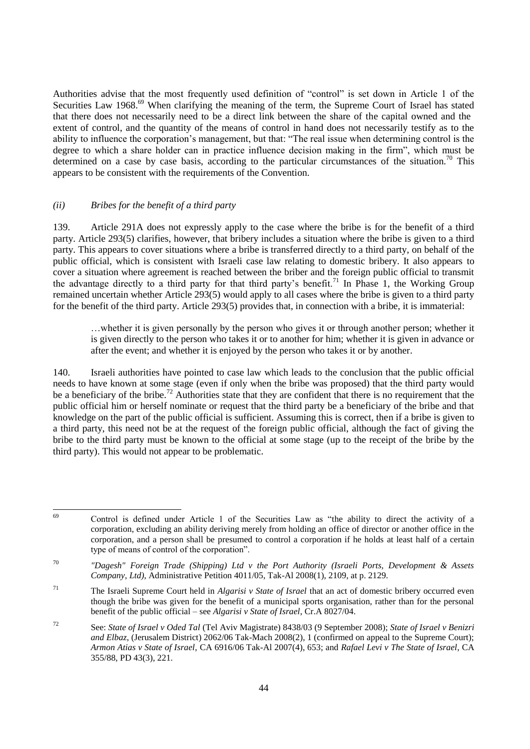Authorities advise that the most frequently used definition of "control" is set down in Article 1 of the Securities Law 1968.<sup>69</sup> When clarifying the meaning of the term, the Supreme Court of Israel has stated that there does not necessarily need to be a direct link between the share of the capital owned and the extent of control, and the quantity of the means of control in hand does not necessarily testify as to the ability to influence the corporation"s management, but that: "The real issue when determining control is the degree to which a share holder can in practice influence decision making in the firm", which must be determined on a case by case basis, according to the particular circumstances of the situation.<sup>70</sup> This appears to be consistent with the requirements of the Convention.

#### *(ii) Bribes for the benefit of a third party*

 $\overline{a}$ 

139. Article 291A does not expressly apply to the case where the bribe is for the benefit of a third party. Article 293(5) clarifies, however, that bribery includes a situation where the bribe is given to a third party. This appears to cover situations where a bribe is transferred directly to a third party, on behalf of the public official, which is consistent with Israeli case law relating to domestic bribery. It also appears to cover a situation where agreement is reached between the briber and the foreign public official to transmit the advantage directly to a third party for that third party's benefit.<sup>71</sup> In Phase 1, the Working Group remained uncertain whether Article 293(5) would apply to all cases where the bribe is given to a third party for the benefit of the third party. Article 293(5) provides that, in connection with a bribe, it is immaterial:

…whether it is given personally by the person who gives it or through another person; whether it is given directly to the person who takes it or to another for him; whether it is given in advance or after the event; and whether it is enjoyed by the person who takes it or by another.

140. Israeli authorities have pointed to case law which leads to the conclusion that the public official needs to have known at some stage (even if only when the bribe was proposed) that the third party would be a beneficiary of the bribe.<sup>72</sup> Authorities state that they are confident that there is no requirement that the public official him or herself nominate or request that the third party be a beneficiary of the bribe and that knowledge on the part of the public official is sufficient. Assuming this is correct, then if a bribe is given to a third party, this need not be at the request of the foreign public official, although the fact of giving the bribe to the third party must be known to the official at some stage (up to the receipt of the bribe by the third party). This would not appear to be problematic.

<sup>69</sup> Control is defined under Article 1 of the Securities Law as "the ability to direct the activity of a corporation, excluding an ability deriving merely from holding an office of director or another office in the corporation, and a person shall be presumed to control a corporation if he holds at least half of a certain type of means of control of the corporation".

<sup>70</sup> *"Dagesh" Foreign Trade (Shipping) Ltd v the Port Authority (Israeli Ports, Development & Assets Company, Ltd)*, Administrative Petition 4011/05, Tak-Al 2008(1), 2109, at p. 2129.

<sup>71</sup> The Israeli Supreme Court held in *Algarisi v State of Israel* that an act of domestic bribery occurred even though the bribe was given for the benefit of a municipal sports organisation, rather than for the personal benefit of the public official – see *Algarisi v State of Israel*, Cr.A 8027/04.

<sup>72</sup> See: *State of Israel v Oded Tal* (Tel Aviv Magistrate) 8438/03 (9 September 2008); *State of Israel v Benizri and Elbaz*, (Jerusalem District) 2062/06 Tak-Mach 2008(2), 1 (confirmed on appeal to the Supreme Court); *Armon Atias v State of Israel*, CA 6916/06 Tak-Al 2007(4), 653; and *Rafael Levi v The State of Israel*, CA 355/88, PD 43(3), 221.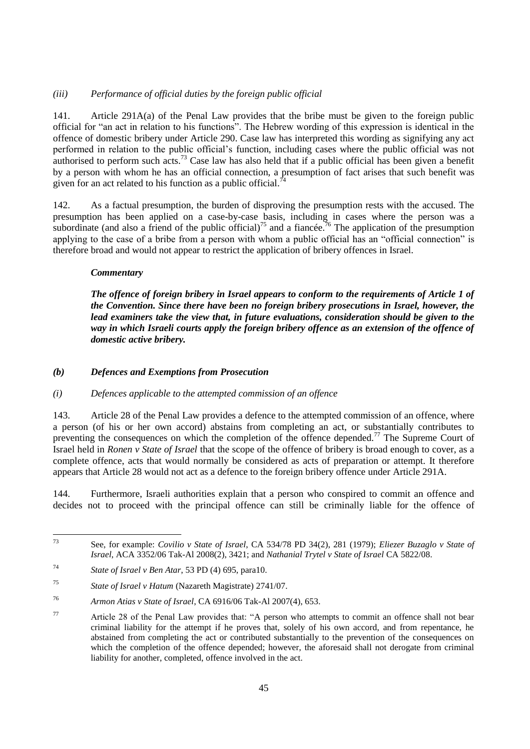# *(iii) Performance of official duties by the foreign public official*

141. Article 291A(a) of the Penal Law provides that the bribe must be given to the foreign public official for "an act in relation to his functions". The Hebrew wording of this expression is identical in the offence of domestic bribery under Article 290. Case law has interpreted this wording as signifying any act performed in relation to the public official"s function, including cases where the public official was not authorised to perform such acts.<sup>73</sup> Case law has also held that if a public official has been given a benefit by a person with whom he has an official connection, a presumption of fact arises that such benefit was given for an act related to his function as a public official.<sup>74</sup>

142. As a factual presumption, the burden of disproving the presumption rests with the accused. The presumption has been applied on a case-by-case basis, including in cases where the person was a subordinate (and also a friend of the public official)<sup>75</sup> and a fiancée.<sup>76</sup> The application of the presumption applying to the case of a bribe from a person with whom a public official has an "official connection" is therefore broad and would not appear to restrict the application of bribery offences in Israel.

## *Commentary*

*The offence of foreign bribery in Israel appears to conform to the requirements of Article 1 of the Convention. Since there have been no foreign bribery prosecutions in Israel, however, the lead examiners take the view that, in future evaluations, consideration should be given to the way in which Israeli courts apply the foreign bribery offence as an extension of the offence of domestic active bribery.*

#### *(b) Defences and Exemptions from Prosecution*

## *(i) Defences applicable to the attempted commission of an offence*

143. Article 28 of the Penal Law provides a defence to the attempted commission of an offence, where a person (of his or her own accord) abstains from completing an act, or substantially contributes to preventing the consequences on which the completion of the offence depended.<sup>77</sup> The Supreme Court of Israel held in *Ronen v State of Israel* that the scope of the offence of bribery is broad enough to cover, as a complete offence, acts that would normally be considered as acts of preparation or attempt. It therefore appears that Article 28 would not act as a defence to the foreign bribery offence under Article 291A.

144. Furthermore, Israeli authorities explain that a person who conspired to commit an offence and decides not to proceed with the principal offence can still be criminally liable for the offence of

<sup>73</sup> <sup>73</sup> See, for example: *Covilio v State of Israel*, CA 534/78 PD 34(2), 281 (1979); *Eliezer Buzaglo v State of Israel*, ACA 3352/06 Tak-Al 2008(2), 3421; and *Nathanial Trytel v State of Israel* CA 5822/08.

<sup>74</sup> *State of Israel v Ben Atar*, 53 PD (4) 695, para10.

<sup>75</sup> *State of Israel v Hatum* (Nazareth Magistrate) 2741/07.

<sup>76</sup> *Armon Atias v State of Israel*, CA 6916/06 Tak-Al 2007(4), 653.

<sup>77</sup> Article 28 of the Penal Law provides that: "A person who attempts to commit an offence shall not bear criminal liability for the attempt if he proves that, solely of his own accord, and from repentance, he abstained from completing the act or contributed substantially to the prevention of the consequences on which the completion of the offence depended; however, the aforesaid shall not derogate from criminal liability for another, completed, offence involved in the act.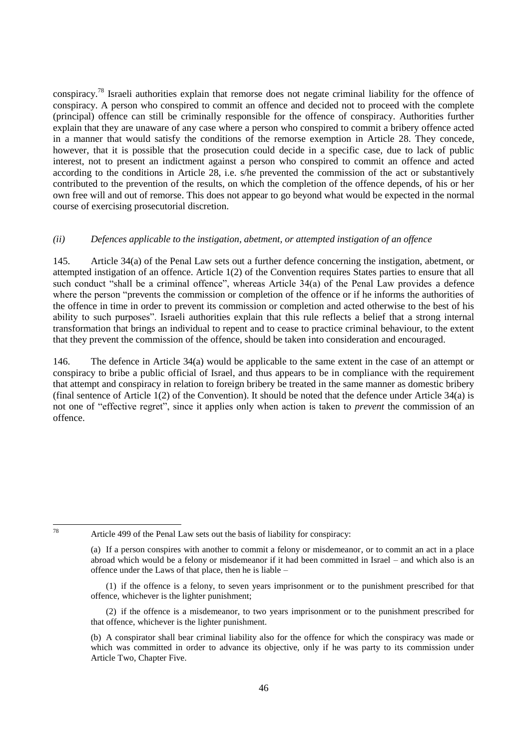conspiracy.<sup>78</sup> Israeli authorities explain that remorse does not negate criminal liability for the offence of conspiracy. A person who conspired to commit an offence and decided not to proceed with the complete (principal) offence can still be criminally responsible for the offence of conspiracy. Authorities further explain that they are unaware of any case where a person who conspired to commit a bribery offence acted in a manner that would satisfy the conditions of the remorse exemption in Article 28. They concede, however, that it is possible that the prosecution could decide in a specific case, due to lack of public interest, not to present an indictment against a person who conspired to commit an offence and acted according to the conditions in Article 28, i.e. s/he prevented the commission of the act or substantively contributed to the prevention of the results, on which the completion of the offence depends, of his or her own free will and out of remorse. This does not appear to go beyond what would be expected in the normal course of exercising prosecutorial discretion.

#### *(ii) Defences applicable to the instigation, abetment, or attempted instigation of an offence*

145. Article 34(a) of the Penal Law sets out a further defence concerning the instigation, abetment, or attempted instigation of an offence. Article 1(2) of the Convention requires States parties to ensure that all such conduct "shall be a criminal offence", whereas Article 34(a) of the Penal Law provides a defence where the person "prevents the commission or completion of the offence or if he informs the authorities of the offence in time in order to prevent its commission or completion and acted otherwise to the best of his ability to such purposes". Israeli authorities explain that this rule reflects a belief that a strong internal transformation that brings an individual to repent and to cease to practice criminal behaviour, to the extent that they prevent the commission of the offence, should be taken into consideration and encouraged.

146. The defence in Article 34(a) would be applicable to the same extent in the case of an attempt or conspiracy to bribe a public official of Israel, and thus appears to be in compliance with the requirement that attempt and conspiracy in relation to foreign bribery be treated in the same manner as domestic bribery (final sentence of Article 1(2) of the Convention). It should be noted that the defence under Article 34(a) is not one of "effective regret", since it applies only when action is taken to *prevent* the commission of an offence.

 $78$ 

Article 499 of the Penal Law sets out the basis of liability for conspiracy:

(2) if the offence is a misdemeanor, to two years imprisonment or to the punishment prescribed for that offence, whichever is the lighter punishment.

<sup>(</sup>a) If a person conspires with another to commit a felony or misdemeanor, or to commit an act in a place abroad which would be a felony or misdemeanor if it had been committed in Israel – and which also is an offence under the Laws of that place, then he is liable –

<sup>(1)</sup> if the offence is a felony, to seven years imprisonment or to the punishment prescribed for that offence, whichever is the lighter punishment;

<sup>(</sup>b) A conspirator shall bear criminal liability also for the offence for which the conspiracy was made or which was committed in order to advance its objective, only if he was party to its commission under Article Two, Chapter Five.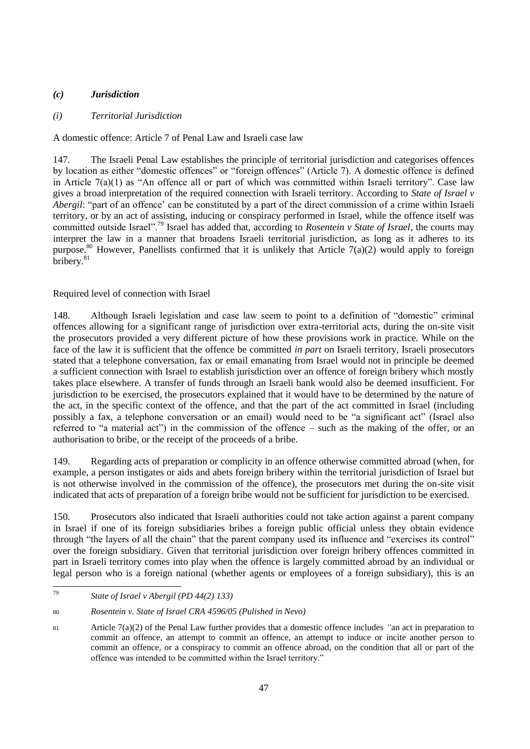# *(c) Jurisdiction*

# *(i) Territorial Jurisdiction*

A domestic offence: Article 7 of Penal Law and Israeli case law

147. The Israeli Penal Law establishes the principle of territorial jurisdiction and categorises offences by location as either "domestic offences" or "foreign offences" (Article 7). A domestic offence is defined in Article  $7(a)(1)$  as "An offence all or part of which was committed within Israeli territory". Case law gives a broad interpretation of the required connection with Israeli territory. According to *State of Israel v Abergil*: "part of an offence' can be constituted by a part of the direct commission of a crime within Israeli territory, or by an act of assisting, inducing or conspiracy performed in Israel, while the offence itself was committed outside Israel".<sup>79</sup> Israel has added that, according to *Rosentein v State of Israel*, the courts may interpret the law in a manner that broadens Israeli territorial jurisdiction, as long as it adheres to its purpose.<sup>80</sup> However, Panellists confirmed that it is unlikely that Article 7(a)(2) would apply to foreign bribery.<sup>81</sup>

# Required level of connection with Israel

148. Although Israeli legislation and case law seem to point to a definition of "domestic" criminal offences allowing for a significant range of jurisdiction over extra-territorial acts, during the on-site visit the prosecutors provided a very different picture of how these provisions work in practice. While on the face of the law it is sufficient that the offence be committed *in part* on Israeli territory, Israeli prosecutors stated that a telephone conversation, fax or email emanating from Israel would not in principle be deemed a sufficient connection with Israel to establish jurisdiction over an offence of foreign bribery which mostly takes place elsewhere. A transfer of funds through an Israeli bank would also be deemed insufficient. For jurisdiction to be exercised, the prosecutors explained that it would have to be determined by the nature of the act, in the specific context of the offence, and that the part of the act committed in Israel (including possibly a fax, a telephone conversation or an email) would need to be "a significant act" (Israel also referred to "a material act") in the commission of the offence – such as the making of the offer, or an authorisation to bribe, or the receipt of the proceeds of a bribe.

149. Regarding acts of preparation or complicity in an offence otherwise committed abroad (when, for example, a person instigates or aids and abets foreign bribery within the territorial jurisdiction of Israel but is not otherwise involved in the commission of the offence), the prosecutors met during the on-site visit indicated that acts of preparation of a foreign bribe would not be sufficient for jurisdiction to be exercised.

150. Prosecutors also indicated that Israeli authorities could not take action against a parent company in Israel if one of its foreign subsidiaries bribes a foreign public official unless they obtain evidence through "the layers of all the chain" that the parent company used its influence and "exercises its control" over the foreign subsidiary. Given that territorial jurisdiction over foreign bribery offences committed in part in Israeli territory comes into play when the offence is largely committed abroad by an individual or legal person who is a foreign national (whether agents or employees of a foreign subsidiary), this is an

<sup>79</sup> <sup>79</sup> *State of Israel v Abergil (PD 44(2) 133)*

<sup>80</sup> *Rosentein v. State of Israel CRA 4596/05 (Pulished in Nevo)*

<sup>81</sup> Article 7(a)(2) of the Penal Law further provides that a domestic offence includes *"*an act in preparation to commit an offence, an attempt to commit an offence, an attempt to induce or incite another person to commit an offence, or a conspiracy to commit an offence abroad, on the condition that all or part of the offence was intended to be committed within the Israel territory."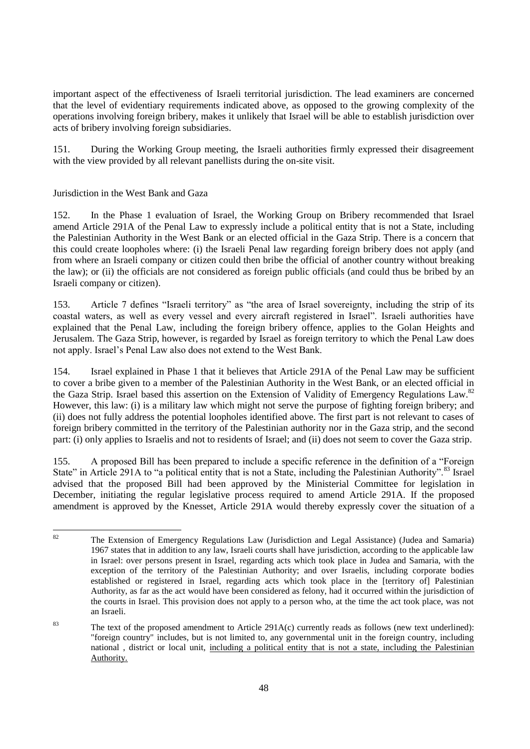important aspect of the effectiveness of Israeli territorial jurisdiction. The lead examiners are concerned that the level of evidentiary requirements indicated above, as opposed to the growing complexity of the operations involving foreign bribery, makes it unlikely that Israel will be able to establish jurisdiction over acts of bribery involving foreign subsidiaries.

151. During the Working Group meeting, the Israeli authorities firmly expressed their disagreement with the view provided by all relevant panellists during the on-site visit.

# Jurisdiction in the West Bank and Gaza

152. In the Phase 1 evaluation of Israel, the Working Group on Bribery recommended that Israel amend Article 291A of the Penal Law to expressly include a political entity that is not a State, including the Palestinian Authority in the West Bank or an elected official in the Gaza Strip. There is a concern that this could create loopholes where: (i) the Israeli Penal law regarding foreign bribery does not apply (and from where an Israeli company or citizen could then bribe the official of another country without breaking the law); or (ii) the officials are not considered as foreign public officials (and could thus be bribed by an Israeli company or citizen).

153. Article 7 defines "Israeli territory" as "the area of Israel sovereignty, including the strip of its coastal waters, as well as every vessel and every aircraft registered in Israel". Israeli authorities have explained that the Penal Law, including the foreign bribery offence, applies to the Golan Heights and Jerusalem. The Gaza Strip, however, is regarded by Israel as foreign territory to which the Penal Law does not apply. Israel"s Penal Law also does not extend to the West Bank.

154. Israel explained in Phase 1 that it believes that Article 291A of the Penal Law may be sufficient to cover a bribe given to a member of the Palestinian Authority in the West Bank, or an elected official in the Gaza Strip. Israel based this assertion on the Extension of Validity of Emergency Regulations Law.<sup>82</sup> However, this law: (i) is a military law which might not serve the purpose of fighting foreign bribery; and (ii) does not fully address the potential loopholes identified above. The first part is not relevant to cases of foreign bribery committed in the territory of the Palestinian authority nor in the Gaza strip, and the second part: (i) only applies to Israelis and not to residents of Israel; and (ii) does not seem to cover the Gaza strip.

155. A proposed Bill has been prepared to include a specific reference in the definition of a "Foreign State" in Article 291A to "a political entity that is not a State, including the Palestinian Authority". <sup>83</sup> Israel advised that the proposed Bill had been approved by the Ministerial Committee for legislation in December, initiating the regular legislative process required to amend Article 291A. If the proposed amendment is approved by the Knesset, Article 291A would thereby expressly cover the situation of a

<sup>82</sup> The Extension of Emergency Regulations Law (Jurisdiction and Legal Assistance) (Judea and Samaria) 1967 states that in addition to any law, Israeli courts shall have jurisdiction, according to the applicable law in Israel: over persons present in Israel, regarding acts which took place in Judea and Samaria, with the exception of the territory of the Palestinian Authority; and over Israelis, including corporate bodies established or registered in Israel, regarding acts which took place in the [territory of] Palestinian Authority, as far as the act would have been considered as felony, had it occurred within the jurisdiction of the courts in Israel. This provision does not apply to a person who, at the time the act took place, was not an Israeli.

<sup>&</sup>lt;sup>83</sup> The text of the proposed amendment to Article 291A(c) currently reads as follows (new text underlined): "foreign country" includes, but is not limited to, any governmental unit in the foreign country, including national , district or local unit, including a political entity that is not a state, including the Palestinian Authority.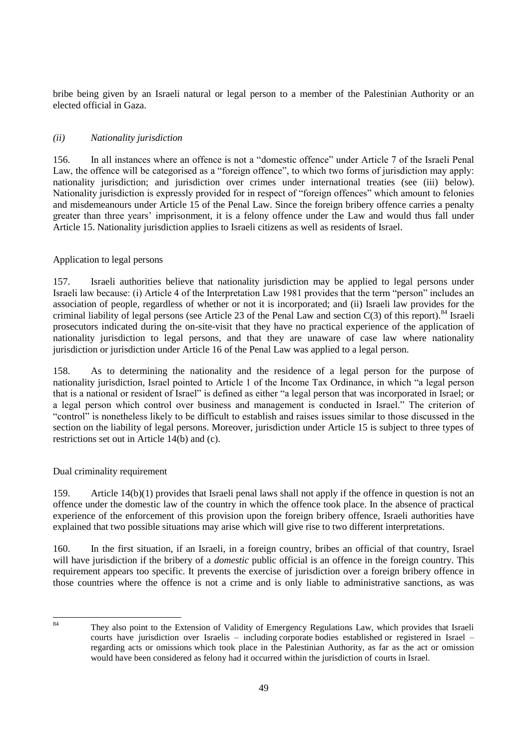bribe being given by an Israeli natural or legal person to a member of the Palestinian Authority or an elected official in Gaza.

## *(ii) Nationality jurisdiction*

156. In all instances where an offence is not a "domestic offence" under Article 7 of the Israeli Penal Law, the offence will be categorised as a "foreign offence", to which two forms of jurisdiction may apply: nationality jurisdiction; and jurisdiction over crimes under international treaties (see (iii) below). Nationality jurisdiction is expressly provided for in respect of "foreign offences" which amount to felonies and misdemeanours under Article 15 of the Penal Law. Since the foreign bribery offence carries a penalty greater than three years' imprisonment, it is a felony offence under the Law and would thus fall under Article 15. Nationality jurisdiction applies to Israeli citizens as well as residents of Israel.

#### Application to legal persons

157. Israeli authorities believe that nationality jurisdiction may be applied to legal persons under Israeli law because: (i) Article 4 of the Interpretation Law 1981 provides that the term "person" includes an association of people, regardless of whether or not it is incorporated; and (ii) Israeli law provides for the criminal liability of legal persons (see Article 23 of the Penal Law and section  $C(3)$  of this report).<sup>84</sup> Israeli prosecutors indicated during the on-site-visit that they have no practical experience of the application of nationality jurisdiction to legal persons, and that they are unaware of case law where nationality jurisdiction or jurisdiction under Article 16 of the Penal Law was applied to a legal person.

158. As to determining the nationality and the residence of a legal person for the purpose of nationality jurisdiction, Israel pointed to Article 1 of the Income Tax Ordinance, in which "a legal person that is a national or resident of Israel" is defined as either "a legal person that was incorporated in Israel; or a legal person which control over business and management is conducted in Israel." The criterion of "control" is nonetheless likely to be difficult to establish and raises issues similar to those discussed in the section on the liability of legal persons. Moreover, jurisdiction under Article 15 is subject to three types of restrictions set out in Article 14(b) and (c).

## Dual criminality requirement

159. Article 14(b)(1) provides that Israeli penal laws shall not apply if the offence in question is not an offence under the domestic law of the country in which the offence took place. In the absence of practical experience of the enforcement of this provision upon the foreign bribery offence, Israeli authorities have explained that two possible situations may arise which will give rise to two different interpretations.

160. In the first situation, if an Israeli, in a foreign country, bribes an official of that country, Israel will have jurisdiction if the bribery of a *domestic* public official is an offence in the foreign country. This requirement appears too specific. It prevents the exercise of jurisdiction over a foreign bribery offence in those countries where the offence is not a crime and is only liable to administrative sanctions, as was

 $84$ They also point to the Extension of Validity of Emergency Regulations Law, which provides that Israeli courts have jurisdiction over Israelis – including corporate bodies established or registered in Israel – regarding acts or omissions which took place in the Palestinian Authority, as far as the act or omission would have been considered as felony had it occurred within the jurisdiction of courts in Israel.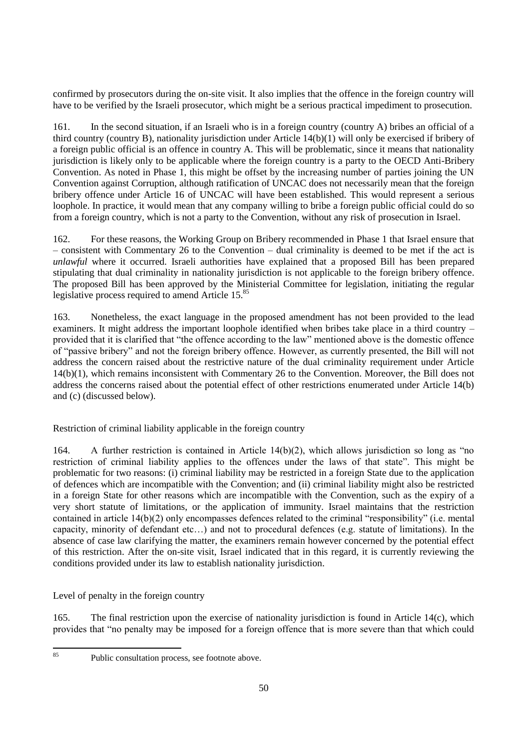confirmed by prosecutors during the on-site visit. It also implies that the offence in the foreign country will have to be verified by the Israeli prosecutor, which might be a serious practical impediment to prosecution.

161. In the second situation, if an Israeli who is in a foreign country (country A) bribes an official of a third country (country B), nationality jurisdiction under Article 14(b)(1) will only be exercised if bribery of a foreign public official is an offence in country A. This will be problematic, since it means that nationality jurisdiction is likely only to be applicable where the foreign country is a party to the OECD Anti-Bribery Convention. As noted in Phase 1, this might be offset by the increasing number of parties joining the UN Convention against Corruption, although ratification of UNCAC does not necessarily mean that the foreign bribery offence under Article 16 of UNCAC will have been established. This would represent a serious loophole. In practice, it would mean that any company willing to bribe a foreign public official could do so from a foreign country, which is not a party to the Convention, without any risk of prosecution in Israel.

162. For these reasons, the Working Group on Bribery recommended in Phase 1 that Israel ensure that – consistent with Commentary 26 to the Convention – dual criminality is deemed to be met if the act is *unlawful* where it occurred. Israeli authorities have explained that a proposed Bill has been prepared stipulating that dual criminality in nationality jurisdiction is not applicable to the foreign bribery offence. The proposed Bill has been approved by the Ministerial Committee for legislation, initiating the regular legislative process required to amend Article 15.<sup>85</sup>

163. Nonetheless, the exact language in the proposed amendment has not been provided to the lead examiners. It might address the important loophole identified when bribes take place in a third country – provided that it is clarified that "the offence according to the law" mentioned above is the domestic offence of "passive bribery" and not the foreign bribery offence. However, as currently presented, the Bill will not address the concern raised about the restrictive nature of the dual criminality requirement under Article 14(b)(1), which remains inconsistent with Commentary 26 to the Convention. Moreover, the Bill does not address the concerns raised about the potential effect of other restrictions enumerated under Article 14(b) and (c) (discussed below).

Restriction of criminal liability applicable in the foreign country

164. A further restriction is contained in Article 14(b)(2), which allows jurisdiction so long as "no restriction of criminal liability applies to the offences under the laws of that state". This might be problematic for two reasons: (i) criminal liability may be restricted in a foreign State due to the application of defences which are incompatible with the Convention; and (ii) criminal liability might also be restricted in a foreign State for other reasons which are incompatible with the Convention, such as the expiry of a very short statute of limitations, or the application of immunity. Israel maintains that the restriction contained in article 14(b)(2) only encompasses defences related to the criminal "responsibility" (i.e. mental capacity, minority of defendant etc…) and not to procedural defences (e.g. statute of limitations). In the absence of case law clarifying the matter, the examiners remain however concerned by the potential effect of this restriction. After the on-site visit, Israel indicated that in this regard, it is currently reviewing the conditions provided under its law to establish nationality jurisdiction.

Level of penalty in the foreign country

165. The final restriction upon the exercise of nationality jurisdiction is found in Article 14(c), which provides that "no penalty may be imposed for a foreign offence that is more severe than that which could

85

Public consultation process, see footnote above.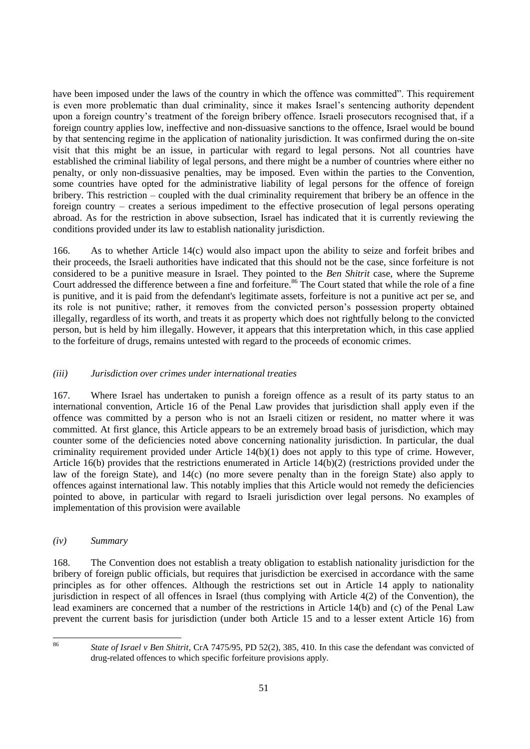have been imposed under the laws of the country in which the offence was committed". This requirement is even more problematic than dual criminality, since it makes Israel"s sentencing authority dependent upon a foreign country"s treatment of the foreign bribery offence. Israeli prosecutors recognised that, if a foreign country applies low, ineffective and non-dissuasive sanctions to the offence, Israel would be bound by that sentencing regime in the application of nationality jurisdiction. It was confirmed during the on-site visit that this might be an issue, in particular with regard to legal persons. Not all countries have established the criminal liability of legal persons, and there might be a number of countries where either no penalty, or only non-dissuasive penalties, may be imposed. Even within the parties to the Convention, some countries have opted for the administrative liability of legal persons for the offence of foreign bribery. This restriction – coupled with the dual criminality requirement that bribery be an offence in the foreign country – creates a serious impediment to the effective prosecution of legal persons operating abroad. As for the restriction in above subsection, Israel has indicated that it is currently reviewing the conditions provided under its law to establish nationality jurisdiction.

166. As to whether Article 14(c) would also impact upon the ability to seize and forfeit bribes and their proceeds, the Israeli authorities have indicated that this should not be the case, since forfeiture is not considered to be a punitive measure in Israel. They pointed to the *Ben Shitrit* case, where the Supreme Court addressed the difference between a fine and forfeiture.<sup>86</sup> The Court stated that while the role of a fine is punitive, and it is paid from the defendant's legitimate assets, forfeiture is not a punitive act per se, and its role is not punitive; rather, it removes from the convicted person"s possession property obtained illegally, regardless of its worth, and treats it as property which does not rightfully belong to the convicted person, but is held by him illegally. However, it appears that this interpretation which, in this case applied to the forfeiture of drugs, remains untested with regard to the proceeds of economic crimes.

# *(iii) Jurisdiction over crimes under international treaties*

167. Where Israel has undertaken to punish a foreign offence as a result of its party status to an international convention, Article 16 of the Penal Law provides that jurisdiction shall apply even if the offence was committed by a person who is not an Israeli citizen or resident, no matter where it was committed. At first glance, this Article appears to be an extremely broad basis of jurisdiction, which may counter some of the deficiencies noted above concerning nationality jurisdiction. In particular, the dual criminality requirement provided under Article 14(b)(1) does not apply to this type of crime. However, Article 16(b) provides that the restrictions enumerated in Article 14(b)(2) (restrictions provided under the law of the foreign State), and 14(c) (no more severe penalty than in the foreign State) also apply to offences against international law. This notably implies that this Article would not remedy the deficiencies pointed to above, in particular with regard to Israeli jurisdiction over legal persons. No examples of implementation of this provision were available

## *(iv) Summary*

168. The Convention does not establish a treaty obligation to establish nationality jurisdiction for the bribery of foreign public officials, but requires that jurisdiction be exercised in accordance with the same principles as for other offences. Although the restrictions set out in Article 14 apply to nationality jurisdiction in respect of all offences in Israel (thus complying with Article 4(2) of the Convention), the lead examiners are concerned that a number of the restrictions in Article 14(b) and (c) of the Penal Law prevent the current basis for jurisdiction (under both Article 15 and to a lesser extent Article 16) from

86

<sup>86</sup> *State of Israel v Ben Shitrit*, CrA 7475/95, PD 52(2), 385, 410. In this case the defendant was convicted of drug-related offences to which specific forfeiture provisions apply.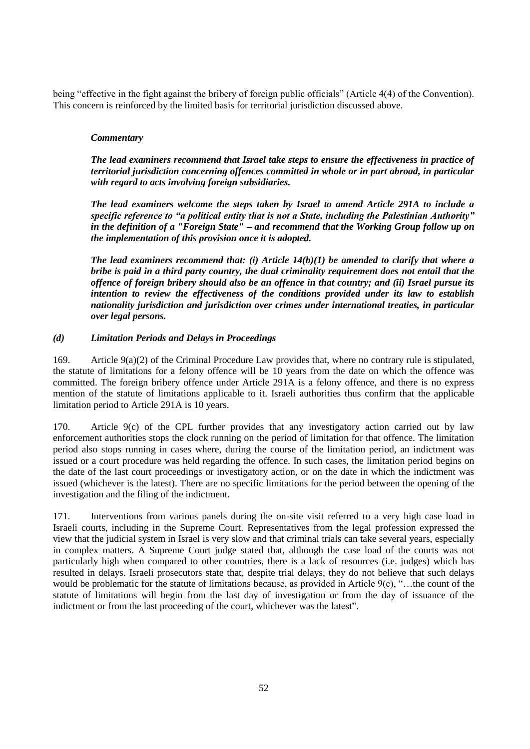being "effective in the fight against the bribery of foreign public officials" (Article 4(4) of the Convention). This concern is reinforced by the limited basis for territorial jurisdiction discussed above.

## *Commentary*

*The lead examiners recommend that Israel take steps to ensure the effectiveness in practice of territorial jurisdiction concerning offences committed in whole or in part abroad, in particular with regard to acts involving foreign subsidiaries.*

*The lead examiners welcome the steps taken by Israel to amend Article 291A to include a specific reference to "a political entity that is not a State, including the Palestinian Authority" in the definition of a "Foreign State" – and recommend that the Working Group follow up on the implementation of this provision once it is adopted.*

*The lead examiners recommend that: (i) Article 14(b)(1) be amended to clarify that where a bribe is paid in a third party country, the dual criminality requirement does not entail that the offence of foreign bribery should also be an offence in that country; and (ii) Israel pursue its intention to review the effectiveness of the conditions provided under its law to establish nationality jurisdiction and jurisdiction over crimes under international treaties, in particular over legal persons.*

# *(d) Limitation Periods and Delays in Proceedings*

169. Article 9(a)(2) of the Criminal Procedure Law provides that, where no contrary rule is stipulated, the statute of limitations for a felony offence will be 10 years from the date on which the offence was committed. The foreign bribery offence under Article 291A is a felony offence, and there is no express mention of the statute of limitations applicable to it. Israeli authorities thus confirm that the applicable limitation period to Article 291A is 10 years.

170. Article 9(c) of the CPL further provides that any investigatory action carried out by law enforcement authorities stops the clock running on the period of limitation for that offence. The limitation period also stops running in cases where, during the course of the limitation period, an indictment was issued or a court procedure was held regarding the offence. In such cases, the limitation period begins on the date of the last court proceedings or investigatory action, or on the date in which the indictment was issued (whichever is the latest). There are no specific limitations for the period between the opening of the investigation and the filing of the indictment.

171. Interventions from various panels during the on-site visit referred to a very high case load in Israeli courts, including in the Supreme Court. Representatives from the legal profession expressed the view that the judicial system in Israel is very slow and that criminal trials can take several years, especially in complex matters. A Supreme Court judge stated that, although the case load of the courts was not particularly high when compared to other countries, there is a lack of resources (i.e. judges) which has resulted in delays. Israeli prosecutors state that, despite trial delays, they do not believe that such delays would be problematic for the statute of limitations because, as provided in Article 9(c), "...the count of the statute of limitations will begin from the last day of investigation or from the day of issuance of the indictment or from the last proceeding of the court, whichever was the latest".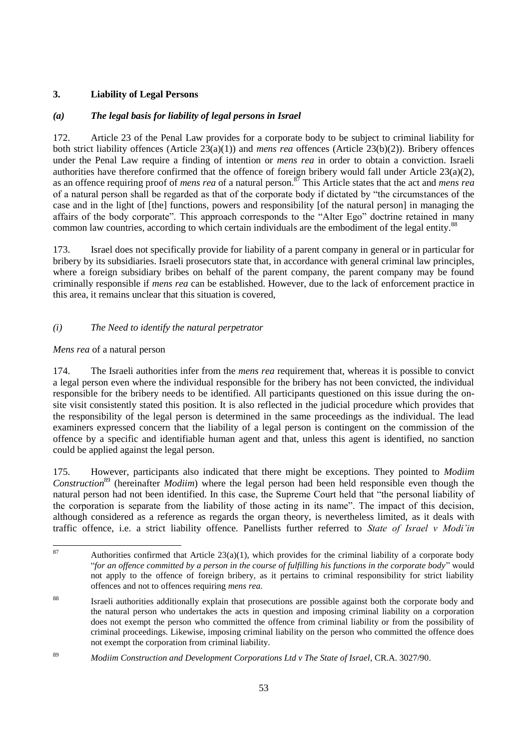# **3. Liability of Legal Persons**

# *(a) The legal basis for liability of legal persons in Israel*

172. Article 23 of the Penal Law provides for a corporate body to be subject to criminal liability for both strict liability offences (Article 23(a)(1)) and *mens rea* offences (Article 23(b)(2)). Bribery offences under the Penal Law require a finding of intention or *mens rea* in order to obtain a conviction. Israeli authorities have therefore confirmed that the offence of foreign bribery would fall under Article 23(a)(2), as an offence requiring proof of *mens rea* of a natural person.<sup>87</sup> This Article states that the act and *mens rea* of a natural person shall be regarded as that of the corporate body if dictated by "the circumstances of the case and in the light of [the] functions, powers and responsibility [of the natural person] in managing the affairs of the body corporate". This approach corresponds to the "Alter Ego" doctrine retained in many common law countries, according to which certain individuals are the embodiment of the legal entity.<sup>88</sup>

173. Israel does not specifically provide for liability of a parent company in general or in particular for bribery by its subsidiaries. Israeli prosecutors state that, in accordance with general criminal law principles, where a foreign subsidiary bribes on behalf of the parent company, the parent company may be found criminally responsible if *mens rea* can be established. However, due to the lack of enforcement practice in this area, it remains unclear that this situation is covered,

# *(i) The Need to identify the natural perpetrator*

## *Mens rea* of a natural person

174. The Israeli authorities infer from the *mens rea* requirement that, whereas it is possible to convict a legal person even where the individual responsible for the bribery has not been convicted, the individual responsible for the bribery needs to be identified. All participants questioned on this issue during the onsite visit consistently stated this position. It is also reflected in the judicial procedure which provides that the responsibility of the legal person is determined in the same proceedings as the individual. The lead examiners expressed concern that the liability of a legal person is contingent on the commission of the offence by a specific and identifiable human agent and that, unless this agent is identified, no sanction could be applied against the legal person.

175. However, participants also indicated that there might be exceptions. They pointed to *Modiim Construction*<sup>89</sup> (hereinafter *Modiim*) where the legal person had been held responsible even though the natural person had not been identified. In this case, the Supreme Court held that "the personal liability of the corporation is separate from the liability of those acting in its name". The impact of this decision, although considered as a reference as regards the organ theory, is nevertheless limited, as it deals with traffic offence, i.e. a strict liability offence. Panellists further referred to *State of Israel v Modi'in* 

<sup>87</sup> Authorities confirmed that Article  $23(a)(1)$ , which provides for the criminal liability of a corporate body "*for an offence committed by a person in the course of fulfilling his functions in the corporate body*" would not apply to the offence of foreign bribery, as it pertains to criminal responsibility for strict liability offences and not to offences requiring *mens rea.*

<sup>88</sup> Israeli authorities additionally explain that prosecutions are possible against both the corporate body and the natural person who undertakes the acts in question and imposing criminal liability on a corporation does not exempt the person who committed the offence from criminal liability or from the possibility of criminal proceedings. Likewise, imposing criminal liability on the person who committed the offence does not exempt the corporation from criminal liability.

<sup>89</sup> *Modiim Construction and Development Corporations Ltd v The State of Israel*, CR.A. 3027/90.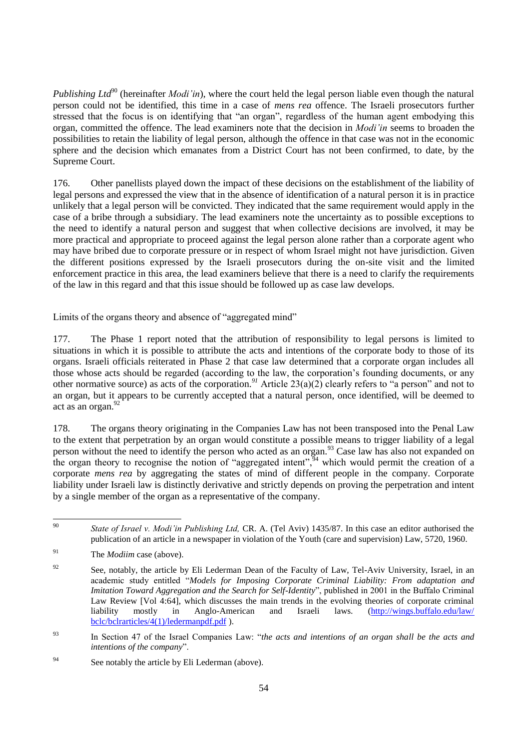*Publishing Ltd*<sup>90</sup> (hereinafter *Modi'in*), where the court held the legal person liable even though the natural person could not be identified, this time in a case of *mens rea* offence. The Israeli prosecutors further stressed that the focus is on identifying that "an organ", regardless of the human agent embodying this organ, committed the offence. The lead examiners note that the decision in *Modi'in* seems to broaden the possibilities to retain the liability of legal person, although the offence in that case was not in the economic sphere and the decision which emanates from a District Court has not been confirmed, to date, by the Supreme Court.

176. Other panellists played down the impact of these decisions on the establishment of the liability of legal persons and expressed the view that in the absence of identification of a natural person it is in practice unlikely that a legal person will be convicted. They indicated that the same requirement would apply in the case of a bribe through a subsidiary. The lead examiners note the uncertainty as to possible exceptions to the need to identify a natural person and suggest that when collective decisions are involved, it may be more practical and appropriate to proceed against the legal person alone rather than a corporate agent who may have bribed due to corporate pressure or in respect of whom Israel might not have jurisdiction. Given the different positions expressed by the Israeli prosecutors during the on-site visit and the limited enforcement practice in this area, the lead examiners believe that there is a need to clarify the requirements of the law in this regard and that this issue should be followed up as case law develops.

Limits of the organs theory and absence of "aggregated mind"

177. The Phase 1 report noted that the attribution of responsibility to legal persons is limited to situations in which it is possible to attribute the acts and intentions of the corporate body to those of its organs. Israeli officials reiterated in Phase 2 that case law determined that a corporate organ includes all those whose acts should be regarded (according to the law, the corporation"s founding documents, or any other normative source) as acts of the corporation.<sup>91</sup> Article  $23(a)(2)$  clearly refers to "a person" and not to an organ, but it appears to be currently accepted that a natural person, once identified, will be deemed to act as an organ.<sup>92</sup>

178. The organs theory originating in the Companies Law has not been transposed into the Penal Law to the extent that perpetration by an organ would constitute a possible means to trigger liability of a legal person without the need to identify the person who acted as an organ.<sup>93</sup> Case law has also not expanded on the organ theory to recognise the notion of "aggregated intent",<sup>94</sup> which would permit the creation of a corporate *mens rea* by aggregating the states of mind of different people in the company. Corporate liability under Israeli law is distinctly derivative and strictly depends on proving the perpetration and intent by a single member of the organ as a representative of the company.

 $90^{\circ}$ State of Israel v. Modi'in Publishing Ltd, CR. A. (Tel Aviv) 1435/87. In this case an editor authorised the publication of an article in a newspaper in violation of the Youth (care and supervision) Law, 5720, 1960.

<sup>91</sup> The *Modiim* case (above).

<sup>&</sup>lt;sup>92</sup> See, notably, the article by Eli Lederman Dean of the Faculty of Law, Tel-Aviv University, Israel, in an academic study entitled "*Models for Imposing Corporate Criminal Liability: From adaptation and Imitation Toward Aggregation and the Search for Self-Identity*", published in 2001 in the Buffalo Criminal Law Review [Vol 4:64], which discusses the main trends in the evolving theories of corporate criminal liability mostly in Anglo-American and Israeli laws. [\(http://wings.buffalo.edu/law/](http://wings.buffalo.edu/law/%0bbclc/bclrarticles/4(1)/ledermanpdf.pdf) [bclc/bclrarticles/4\(1\)/ledermanpdf.pdf](http://wings.buffalo.edu/law/%0bbclc/bclrarticles/4(1)/ledermanpdf.pdf) ).

<sup>93</sup> In Section 47 of the Israel Companies Law: "*the acts and intentions of an organ shall be the acts and intentions of the company*".

<sup>&</sup>lt;sup>94</sup> See notably the article by Eli Lederman (above).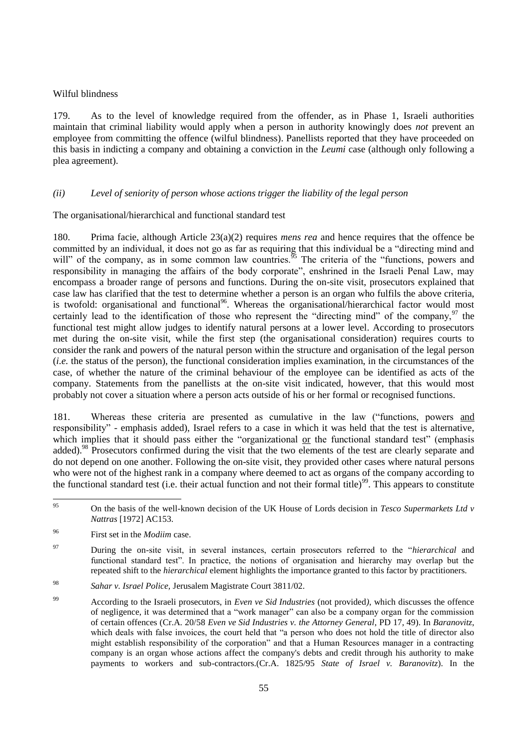#### Wilful blindness

179. As to the level of knowledge required from the offender, as in Phase 1, Israeli authorities maintain that criminal liability would apply when a person in authority knowingly does *not* prevent an employee from committing the offence (wilful blindness). Panellists reported that they have proceeded on this basis in indicting a company and obtaining a conviction in the *Leumi* case (although only following a plea agreement).

## *(ii) Level of seniority of person whose actions trigger the liability of the legal person*

The organisational/hierarchical and functional standard test

180. Prima facie, although Article 23(a)(2) requires *mens rea* and hence requires that the offence be committed by an individual, it does not go as far as requiring that this individual be a "directing mind and will" of the company, as in some common law countries.  $\frac{95}{25}$  The criteria of the "functions, powers and responsibility in managing the affairs of the body corporate", enshrined in the Israeli Penal Law, may encompass a broader range of persons and functions. During the on-site visit, prosecutors explained that case law has clarified that the test to determine whether a person is an organ who fulfils the above criteria, is twofold: organisational and functional<sup>96</sup>. Whereas the organisational/hierarchical factor would most certainly lead to the identification of those who represent the "directing mind" of the company,<sup>97</sup> the functional test might allow judges to identify natural persons at a lower level. According to prosecutors met during the on-site visit, while the first step (the organisational consideration) requires courts to consider the rank and powers of the natural person within the structure and organisation of the legal person (*i.e.* the status of the person), the functional consideration implies examination, in the circumstances of the case, of whether the nature of the criminal behaviour of the employee can be identified as acts of the company. Statements from the panellists at the on-site visit indicated, however, that this would most probably not cover a situation where a person acts outside of his or her formal or recognised functions.

181. Whereas these criteria are presented as cumulative in the law ("functions, powers and responsibility" - emphasis added), Israel refers to a case in which it was held that the test is alternative, which implies that it should pass either the "organizational or the functional standard test" (emphasis added).<sup>98</sup> Prosecutors confirmed during the visit that the two elements of the test are clearly separate and do not depend on one another. Following the on-site visit, they provided other cases where natural persons who were not of the highest rank in a company where deemed to act as organs of the company according to the functional standard test (i.e. their actual function and not their formal title)<sup>99</sup>. This appears to constitute

 $95$ <sup>95</sup> On the basis of the well-known decision of the UK House of Lords decision in *Tesco Supermarkets Ltd v Nattras* [1972] AC153.

<sup>96</sup> First set in the *Modiim* case.

<sup>97</sup> During the on-site visit, in several instances, certain prosecutors referred to the "*hierarchical* and functional standard test". In practice, the notions of organisation and hierarchy may overlap but the repeated shift to the *hierarchical* element highlights the importance granted to this factor by practitioners.

<sup>98</sup> *Sahar v. Israel Police,* Jerusalem Magistrate Court 3811/02.

<sup>99</sup> According to the Israeli prosecutors, in *Even ve Sid Industries* (not provided*)*, which discusses the offence of negligence, it was determined that a "work manager" can also be a company organ for the commission of certain offences (Cr.A. 20/58 *Even ve Sid Industries v. the Attorney General*, PD 17, 49). In *Baranovitz*, which deals with false invoices, the court held that "a person who does not hold the title of director also might establish responsibility of the corporation" and that a Human Resources manager in a contracting company is an organ whose actions affect the company's debts and credit through his authority to make payments to workers and sub-contractors.(Cr.A. 1825/95 *State of Israel v. Baranovitz*). In the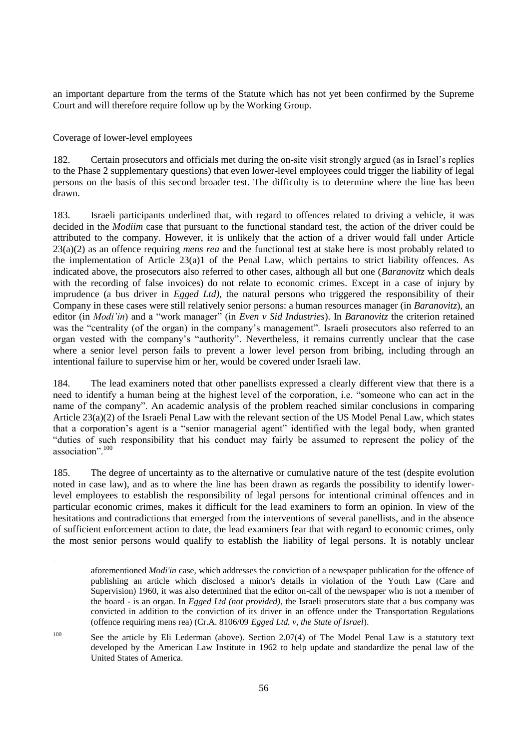an important departure from the terms of the Statute which has not yet been confirmed by the Supreme Court and will therefore require follow up by the Working Group.

Coverage of lower-level employees

182. Certain prosecutors and officials met during the on-site visit strongly argued (as in Israel"s replies to the Phase 2 supplementary questions) that even lower-level employees could trigger the liability of legal persons on the basis of this second broader test. The difficulty is to determine where the line has been drawn.

183. Israeli participants underlined that, with regard to offences related to driving a vehicle, it was decided in the *Modiim* case that pursuant to the functional standard test, the action of the driver could be attributed to the company. However, it is unlikely that the action of a driver would fall under Article 23(a)(2) as an offence requiring *mens rea* and the functional test at stake here is most probably related to the implementation of Article 23(a)1 of the Penal Law, which pertains to strict liability offences. As indicated above, the prosecutors also referred to other cases, although all but one (*Baranovitz* which deals with the recording of false invoices) do not relate to economic crimes. Except in a case of injury by imprudence (a bus driver in *Egged Ltd)*, the natural persons who triggered the responsibility of their Company in these cases were still relatively senior persons: a human resources manager (in *Baranovitz*), an editor (in *Modi'in*) and a "work manager" (in *Even v Sid Industries*). In *Baranovitz* the criterion retained was the "centrality (of the organ) in the company's management". Israeli prosecutors also referred to an organ vested with the company"s "authority". Nevertheless, it remains currently unclear that the case where a senior level person fails to prevent a lower level person from bribing, including through an intentional failure to supervise him or her, would be covered under Israeli law.

184. The lead examiners noted that other panellists expressed a clearly different view that there is a need to identify a human being at the highest level of the corporation, i.e. "someone who can act in the name of the company". An academic analysis of the problem reached similar conclusions in comparing Article 23(a)(2) of the Israeli Penal Law with the relevant section of the US Model Penal Law, which states that a corporation"s agent is a "senior managerial agent" identified with the legal body, when granted "duties of such responsibility that his conduct may fairly be assumed to represent the policy of the association"<sup>, 100</sup>

185. The degree of uncertainty as to the alternative or cumulative nature of the test (despite evolution noted in case law), and as to where the line has been drawn as regards the possibility to identify lowerlevel employees to establish the responsibility of legal persons for intentional criminal offences and in particular economic crimes, makes it difficult for the lead examiners to form an opinion. In view of the hesitations and contradictions that emerged from the interventions of several panellists, and in the absence of sufficient enforcement action to date, the lead examiners fear that with regard to economic crimes, only the most senior persons would qualify to establish the liability of legal persons. It is notably unclear

<sup>100</sup> See the article by Eli Lederman (above). Section 2.07(4) of The Model Penal Law is a statutory text developed by the American Law Institute in 1962 to help update and standardize the penal law of the United States of America.

aforementioned *Modi'in* case, which addresses the conviction of a newspaper publication for the offence of publishing an article which disclosed a minor's details in violation of the Youth Law (Care and Supervision) 1960, it was also determined that the editor on-call of the newspaper who is not a member of the board - is an organ. In *Egged Ltd (not provided)*, the Israeli prosecutors state that a bus company was convicted in addition to the conviction of its driver in an offence under the Transportation Regulations (offence requiring mens rea) (Cr.A. 8106/09 *Egged Ltd. v, the State of Israel*).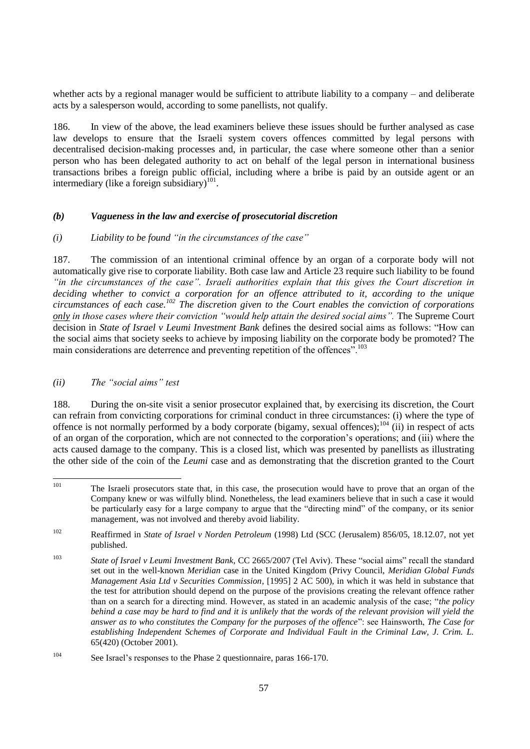whether acts by a regional manager would be sufficient to attribute liability to a company – and deliberate acts by a salesperson would, according to some panellists, not qualify.

186. In view of the above, the lead examiners believe these issues should be further analysed as case law develops to ensure that the Israeli system covers offences committed by legal persons with decentralised decision-making processes and, in particular, the case where someone other than a senior person who has been delegated authority to act on behalf of the legal person in international business transactions bribes a foreign public official, including where a bribe is paid by an outside agent or an intermediary (like a foreign subsidiary) $101$ .

## *(b) Vagueness in the law and exercise of prosecutorial discretion*

#### *(i) Liability to be found "in the circumstances of the case"*

187. The commission of an intentional criminal offence by an organ of a corporate body will not automatically give rise to corporate liability. Both case law and Article 23 require such liability to be found *"in the circumstances of the case". Israeli authorities explain that this gives the Court discretion in deciding whether to convict a corporation for an offence attributed to it, according to the unique circumstances of each case.<sup>102</sup> The discretion given to the Court enables the conviction of corporations only in those cases where their conviction "would help attain the desired social aims".* The Supreme Court decision in *State of Israel v Leumi Investment Bank* defines the desired social aims as follows: "How can the social aims that society seeks to achieve by imposing liability on the corporate body be promoted? The main considerations are deterrence and preventing repetition of the offences".<sup>103</sup>

#### *(ii) The "social aims" test*

188. During the on-site visit a senior prosecutor explained that, by exercising its discretion, the Court can refrain from convicting corporations for criminal conduct in three circumstances: (i) where the type of offence is not normally performed by a body corporate (bigamy, sexual offences);<sup>104</sup> (ii) in respect of acts of an organ of the corporation, which are not connected to the corporation"s operations; and (iii) where the acts caused damage to the company. This is a closed list, which was presented by panellists as illustrating the other side of the coin of the *Leumi* case and as demonstrating that the discretion granted to the Court

<sup>101</sup> The Israeli prosecutors state that, in this case, the prosecution would have to prove that an organ of the Company knew or was wilfully blind. Nonetheless, the lead examiners believe that in such a case it would be particularly easy for a large company to argue that the "directing mind" of the company, or its senior management, was not involved and thereby avoid liability.

<sup>102</sup> Reaffirmed in *State of Israel v Norden Petroleum* (1998) Ltd (SCC (Jerusalem) 856/05, 18.12.07, not yet published.

<sup>103</sup> *State of Israel v Leumi Investment Bank,* CC 2665/2007 (Tel Aviv). These "social aims" recall the standard set out in the well-known *Meridian* case in the United Kingdom (Privy Council, *Meridian Global Funds Management Asia Ltd v Securities Commission*, [1995] 2 AC 500), in which it was held in substance that the test for attribution should depend on the purpose of the provisions creating the relevant offence rather than on a search for a directing mind. However, as stated in an academic analysis of the case; "*the policy behind a case may be hard to find and it is unlikely that the words of the relevant provision will yield the answer as to who constitutes the Company for the purposes of the offence*": see Hainsworth, *The Case for establishing Independent Schemes of Corporate and Individual Fault in the Criminal Law, J. Crim. L.* 65(420) (October 2001).

<sup>104</sup> See Israel"s responses to the Phase 2 questionnaire, paras 166-170.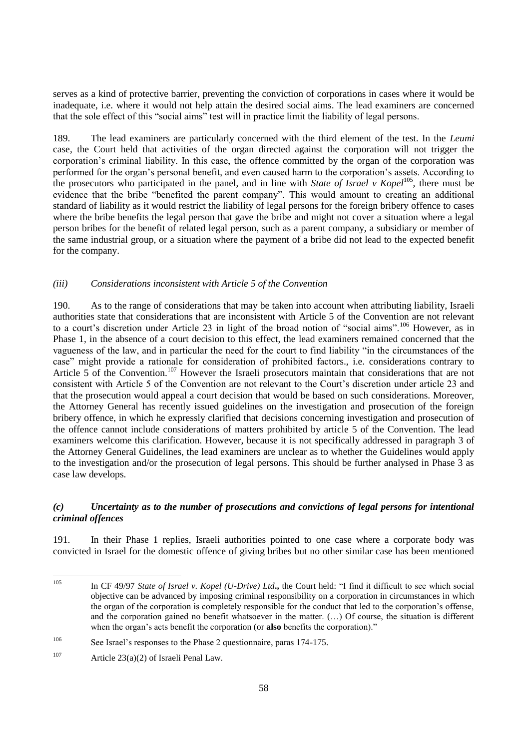serves as a kind of protective barrier, preventing the conviction of corporations in cases where it would be inadequate, i.e. where it would not help attain the desired social aims. The lead examiners are concerned that the sole effect of this "social aims" test will in practice limit the liability of legal persons.

189. The lead examiners are particularly concerned with the third element of the test. In the *Leumi* case, the Court held that activities of the organ directed against the corporation will not trigger the corporation"s criminal liability. In this case, the offence committed by the organ of the corporation was performed for the organ"s personal benefit, and even caused harm to the corporation"s assets. According to the prosecutors who participated in the panel, and in line with *State of Israel v Kopel*<sup>105</sup>, there must be evidence that the bribe "benefited the parent company". This would amount to creating an additional standard of liability as it would restrict the liability of legal persons for the foreign bribery offence to cases where the bribe benefits the legal person that gave the bribe and might not cover a situation where a legal person bribes for the benefit of related legal person, such as a parent company, a subsidiary or member of the same industrial group, or a situation where the payment of a bribe did not lead to the expected benefit for the company.

#### *(iii) Considerations inconsistent with Article 5 of the Convention*

190. As to the range of considerations that may be taken into account when attributing liability, Israeli authorities state that considerations that are inconsistent with Article 5 of the Convention are not relevant to a court's discretion under Article 23 in light of the broad notion of "social aims".<sup>106</sup> However, as in Phase 1, in the absence of a court decision to this effect, the lead examiners remained concerned that the vagueness of the law, and in particular the need for the court to find liability "in the circumstances of the case" might provide a rationale for consideration of prohibited factors., i.e. considerations contrary to Article 5 of the Convention.<sup>107</sup> However the Israeli prosecutors maintain that considerations that are not consistent with Article 5 of the Convention are not relevant to the Court's discretion under article 23 and that the prosecution would appeal a court decision that would be based on such considerations. Moreover, the Attorney General has recently issued guidelines on the investigation and prosecution of the foreign bribery offence, in which he expressly clarified that decisions concerning investigation and prosecution of the offence cannot include considerations of matters prohibited by article 5 of the Convention. The lead examiners welcome this clarification. However, because it is not specifically addressed in paragraph 3 of the Attorney General Guidelines, the lead examiners are unclear as to whether the Guidelines would apply to the investigation and/or the prosecution of legal persons. This should be further analysed in Phase 3 as case law develops.

## *(c) Uncertainty as to the number of prosecutions and convictions of legal persons for intentional criminal offences*

191. In their Phase 1 replies, Israeli authorities pointed to one case where a corporate body was convicted in Israel for the domestic offence of giving bribes but no other similar case has been mentioned

<sup>105</sup> <sup>105</sup> In CF 49/97 *State of Israel v. Kopel (U-Drive) Ltd***.,** the Court held: "I find it difficult to see which social objective can be advanced by imposing criminal responsibility on a corporation in circumstances in which the organ of the corporation is completely responsible for the conduct that led to the corporation"s offense, and the corporation gained no benefit whatsoever in the matter. (…) Of course, the situation is different when the organ's acts benefit the corporation (or **also** benefits the corporation)."

<sup>106</sup> See Israel"s responses to the Phase 2 questionnaire, paras 174-175.

<sup>&</sup>lt;sup>107</sup> Article 23(a)(2) of Israeli Penal Law.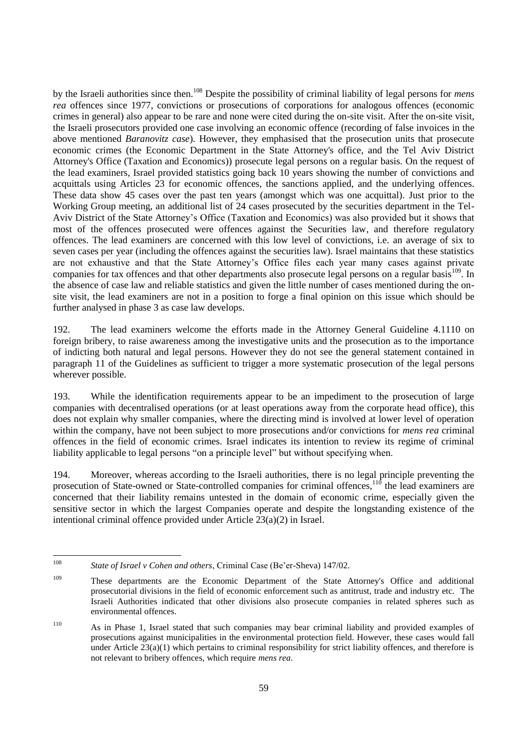by the Israeli authorities since then.<sup>108</sup> Despite the possibility of criminal liability of legal persons for *mens rea* offences since 1977, convictions or prosecutions of corporations for analogous offences (economic crimes in general) also appear to be rare and none were cited during the on-site visit. After the on-site visit, the Israeli prosecutors provided one case involving an economic offence (recording of false invoices in the above mentioned *Baranovitz case*). However, they emphasised that the prosecution units that prosecute economic crimes (the Economic Department in the State Attorney's office, and the Tel Aviv District Attorney's Office (Taxation and Economics)) prosecute legal persons on a regular basis*.* On the request of the lead examiners, Israel provided statistics going back 10 years showing the number of convictions and acquittals using Articles 23 for economic offences, the sanctions applied, and the underlying offences. These data show 45 cases over the past ten years (amongst which was one acquittal). Just prior to the Working Group meeting, an additional list of 24 cases prosecuted by the securities department in the Tel-Aviv District of the State Attorney"s Office (Taxation and Economics) was also provided but it shows that most of the offences prosecuted were offences against the Securities law, and therefore regulatory offences. The lead examiners are concerned with this low level of convictions, i.e. an average of six to seven cases per year (including the offences against the securities law). Israel maintains that these statistics are not exhaustive and that the State Attorney"s Office files each year many cases against private companies for tax offences and that other departments also prosecute legal persons on a regular basis<sup>109</sup>. In the absence of case law and reliable statistics and given the little number of cases mentioned during the onsite visit, the lead examiners are not in a position to forge a final opinion on this issue which should be further analysed in phase 3 as case law develops.

192. The lead examiners welcome the efforts made in the Attorney General Guideline 4.1110 on foreign bribery, to raise awareness among the investigative units and the prosecution as to the importance of indicting both natural and legal persons. However they do not see the general statement contained in paragraph 11 of the Guidelines as sufficient to trigger a more systematic prosecution of the legal persons wherever possible.

193. While the identification requirements appear to be an impediment to the prosecution of large companies with decentralised operations (or at least operations away from the corporate head office), this does not explain why smaller companies, where the directing mind is involved at lower level of operation within the company, have not been subject to more prosecutions and/or convictions for *mens rea* criminal offences in the field of economic crimes. Israel indicates its intention to review its regime of criminal liability applicable to legal persons "on a principle level" but without specifying when.

194. Moreover, whereas according to the Israeli authorities, there is no legal principle preventing the prosecution of State-owned or State-controlled companies for criminal offences,<sup>110</sup> the lead examiners are concerned that their liability remains untested in the domain of economic crime, especially given the sensitive sector in which the largest Companies operate and despite the longstanding existence of the intentional criminal offence provided under Article 23(a)(2) in Israel.

 $108$ State of Israel v Cohen and others, Criminal Case (Be'er-Sheva) 147/02.

<sup>109</sup> These departments are the Economic Department of the State Attorney's Office and additional prosecutorial divisions in the field of economic enforcement such as antitrust, trade and industry etc. The Israeli Authorities indicated that other divisions also prosecute companies in related spheres such as environmental offences.

<sup>110</sup> As in Phase 1, Israel stated that such companies may bear criminal liability and provided examples of prosecutions against municipalities in the environmental protection field. However, these cases would fall under Article 23(a)(1) which pertains to criminal responsibility for strict liability offences, and therefore is not relevant to bribery offences, which require *mens rea*.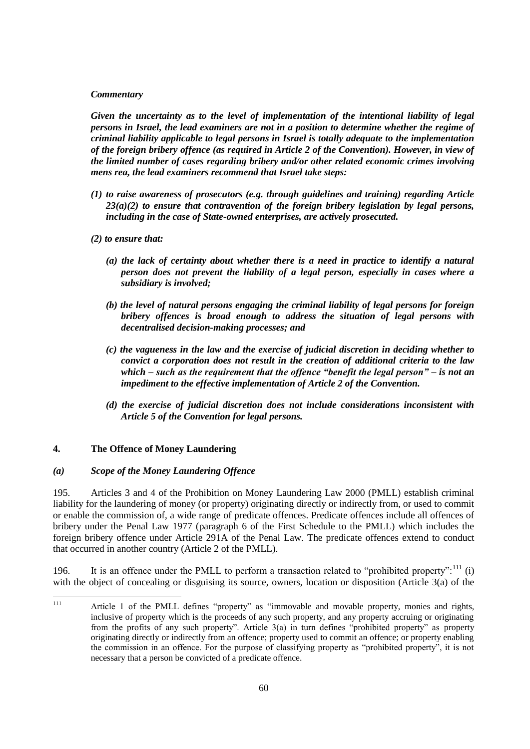## *Commentary*

*Given the uncertainty as to the level of implementation of the intentional liability of legal persons in Israel, the lead examiners are not in a position to determine whether the regime of criminal liability applicable to legal persons in Israel is totally adequate to the implementation of the foreign bribery offence (as required in Article 2 of the Convention). However, in view of the limited number of cases regarding bribery and/or other related economic crimes involving mens rea, the lead examiners recommend that Israel take steps:*

- *(1) to raise awareness of prosecutors (e.g. through guidelines and training) regarding Article 23(a)(2) to ensure that contravention of the foreign bribery legislation by legal persons, including in the case of State-owned enterprises, are actively prosecuted.*
- *(2) to ensure that:*
	- *(a) the lack of certainty about whether there is a need in practice to identify a natural person does not prevent the liability of a legal person, especially in cases where a subsidiary is involved;*
	- *(b) the level of natural persons engaging the criminal liability of legal persons for foreign bribery offences is broad enough to address the situation of legal persons with decentralised decision-making processes; and*
	- *(c) the vagueness in the law and the exercise of judicial discretion in deciding whether to convict a corporation does not result in the creation of additional criteria to the law which – such as the requirement that the offence "benefit the legal person" – is not an impediment to the effective implementation of Article 2 of the Convention.*
	- *(d) the exercise of judicial discretion does not include considerations inconsistent with Article 5 of the Convention for legal persons.*

## **4. The Offence of Money Laundering**

#### *(a) Scope of the Money Laundering Offence*

195. Articles 3 and 4 of the Prohibition on Money Laundering Law 2000 (PMLL) establish criminal liability for the laundering of money (or property) originating directly or indirectly from, or used to commit or enable the commission of, a wide range of predicate offences. Predicate offences include all offences of bribery under the Penal Law 1977 (paragraph 6 of the First Schedule to the PMLL) which includes the foreign bribery offence under Article 291A of the Penal Law. The predicate offences extend to conduct that occurred in another country (Article 2 of the PMLL).

196. It is an offence under the PMLL to perform a transaction related to "prohibited property": $^{111}$  (i) with the object of concealing or disguising its source, owners, location or disposition (Article 3(a) of the

 $111$ Article 1 of the PMLL defines "property" as "immovable and movable property, monies and rights, inclusive of property which is the proceeds of any such property, and any property accruing or originating from the profits of any such property". Article 3(a) in turn defines "prohibited property" as property originating directly or indirectly from an offence; property used to commit an offence; or property enabling the commission in an offence. For the purpose of classifying property as "prohibited property", it is not necessary that a person be convicted of a predicate offence.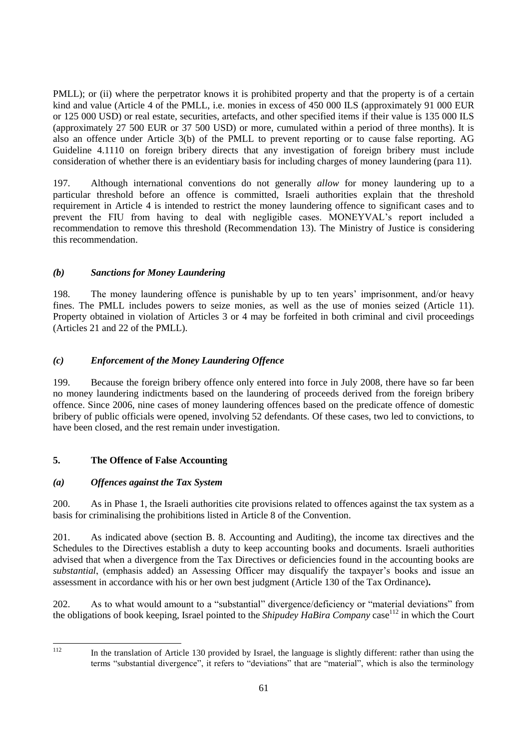PMLL); or (ii) where the perpetrator knows it is prohibited property and that the property is of a certain kind and value (Article 4 of the PMLL, i.e. monies in excess of 450 000 ILS (approximately 91 000 EUR or 125 000 USD) or real estate, securities, artefacts, and other specified items if their value is 135 000 ILS (approximately 27 500 EUR or 37 500 USD) or more, cumulated within a period of three months). It is also an offence under Article 3(b) of the PMLL to prevent reporting or to cause false reporting. AG Guideline 4.1110 on foreign bribery directs that any investigation of foreign bribery must include consideration of whether there is an evidentiary basis for including charges of money laundering (para 11).

197. Although international conventions do not generally *allow* for money laundering up to a particular threshold before an offence is committed, Israeli authorities explain that the threshold requirement in Article 4 is intended to restrict the money laundering offence to significant cases and to prevent the FIU from having to deal with negligible cases. MONEYVAL"s report included a recommendation to remove this threshold (Recommendation 13). The Ministry of Justice is considering this recommendation.

# *(b) Sanctions for Money Laundering*

198. The money laundering offence is punishable by up to ten years' imprisonment, and/or heavy fines. The PMLL includes powers to seize monies, as well as the use of monies seized (Article 11). Property obtained in violation of Articles 3 or 4 may be forfeited in both criminal and civil proceedings (Articles 21 and 22 of the PMLL).

# *(c) Enforcement of the Money Laundering Offence*

199. Because the foreign bribery offence only entered into force in July 2008, there have so far been no money laundering indictments based on the laundering of proceeds derived from the foreign bribery offence. Since 2006, nine cases of money laundering offences based on the predicate offence of domestic bribery of public officials were opened, involving 52 defendants. Of these cases, two led to convictions, to have been closed, and the rest remain under investigation.

# **5. The Offence of False Accounting**

## *(a) Offences against the Tax System*

200. As in Phase 1, the Israeli authorities cite provisions related to offences against the tax system as a basis for criminalising the prohibitions listed in Article 8 of the Convention.

201. As indicated above (section B. 8. Accounting and Auditing), the income tax directives and the Schedules to the Directives establish a duty to keep accounting books and documents. Israeli authorities advised that when a divergence from the Tax Directives or deficiencies found in the accounting books are *substantial*, (emphasis added) an Assessing Officer may disqualify the taxpayer"s books and issue an assessment in accordance with his or her own best judgment (Article 130 of the Tax Ordinance)*.*

202. As to what would amount to a "substantial" divergence/deficiency or "material deviations" from the obligations of book keeping, Israel pointed to the *Shipudey HaBira Company* case<sup>112</sup> in which the Court

 $112$ 

In the translation of Article 130 provided by Israel, the language is slightly different: rather than using the terms "substantial divergence", it refers to "deviations" that are "material", which is also the terminology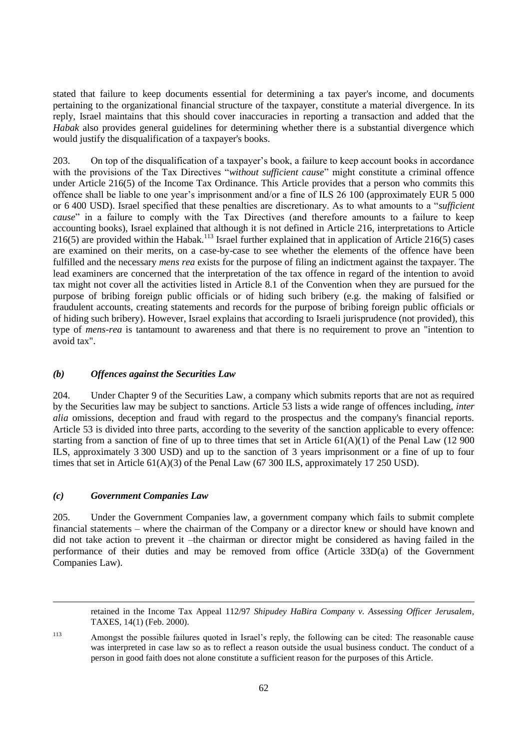stated that failure to keep documents essential for determining a tax payer's income, and documents pertaining to the organizational financial structure of the taxpayer, constitute a material divergence. In its reply, Israel maintains that this should cover inaccuracies in reporting a transaction and added that the *Habak* also provides general guidelines for determining whether there is a substantial divergence which would justify the disqualification of a taxpayer's books.

203. On top of the disqualification of a taxpayer"s book, a failure to keep account books in accordance with the provisions of the Tax Directives "*without sufficient cause*" might constitute a criminal offence under Article 216(5) of the Income Tax Ordinance. This Article provides that a person who commits this offence shall be liable to one year"s imprisonment and/or a fine of ILS 26 100 (approximately EUR 5 000 or 6 400 USD). Israel specified that these penalties are discretionary. As to what amounts to a "*sufficient cause*" in a failure to comply with the Tax Directives (and therefore amounts to a failure to keep accounting books), Israel explained that although it is not defined in Article 216, interpretations to Article 216(5) are provided within the Habak.<sup>113</sup> Israel further explained that in application of Article 216(5) cases are examined on their merits, on a case-by-case to see whether the elements of the offence have been fulfilled and the necessary *mens rea* exists for the purpose of filing an indictment against the taxpayer. The lead examiners are concerned that the interpretation of the tax offence in regard of the intention to avoid tax might not cover all the activities listed in Article 8.1 of the Convention when they are pursued for the purpose of bribing foreign public officials or of hiding such bribery (e.g. the making of falsified or fraudulent accounts, creating statements and records for the purpose of bribing foreign public officials or of hiding such bribery). However, Israel explains that according to Israeli jurisprudence (not provided), this type of *mens-rea* is tantamount to awareness and that there is no requirement to prove an "intention to avoid tax".

#### *(b) Offences against the Securities Law*

204. Under Chapter 9 of the Securities Law, a company which submits reports that are not as required by the Securities law may be subject to sanctions. Article 53 lists a wide range of offences including, *inter alia* omissions, deception and fraud with regard to the prospectus and the company's financial reports. Article 53 is divided into three parts, according to the severity of the sanction applicable to every offence: starting from a sanction of fine of up to three times that set in Article  $61(A)(1)$  of the Penal Law (12 900) ILS, approximately 3 300 USD) and up to the sanction of 3 years imprisonment or a fine of up to four times that set in Article  $61(A)(3)$  of the Penal Law (67 300 ILS, approximately 17 250 USD).

#### *(c) Government Companies Law*

 $\overline{a}$ 

205. Under the Government Companies law, a government company which fails to submit complete financial statements – where the chairman of the Company or a director knew or should have known and did not take action to prevent it –the chairman or director might be considered as having failed in the performance of their duties and may be removed from office (Article 33D(a) of the Government Companies Law).

retained in the Income Tax Appeal 112/97 *Shipudey HaBira Company v. Assessing Officer Jerusalem,* TAXES, 14(1) (Feb. 2000).

<sup>113</sup> Amongst the possible failures quoted in Israel"s reply, the following can be cited: The reasonable cause was interpreted in case law so as to reflect a reason outside the usual business conduct. The conduct of a person in good faith does not alone constitute a sufficient reason for the purposes of this Article.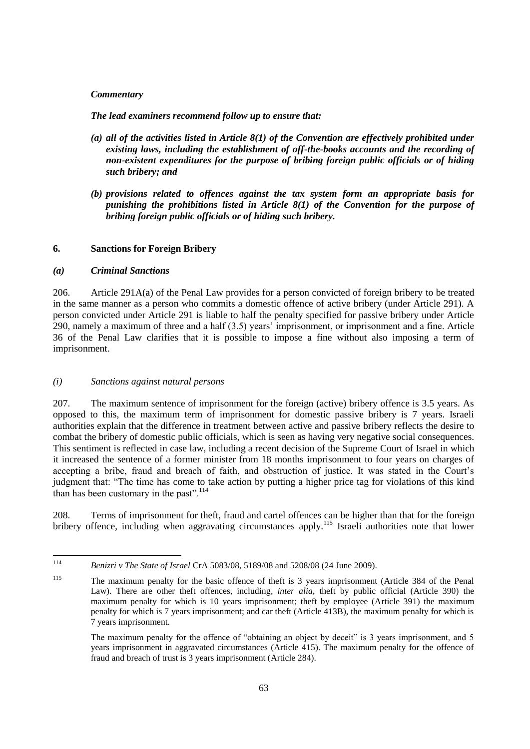#### *Commentary*

*The lead examiners recommend follow up to ensure that:*

- *(a) all of the activities listed in Article 8(1) of the Convention are effectively prohibited under existing laws, including the establishment of off-the-books accounts and the recording of non-existent expenditures for the purpose of bribing foreign public officials or of hiding such bribery; and*
- *(b) provisions related to offences against the tax system form an appropriate basis for punishing the prohibitions listed in Article 8(1) of the Convention for the purpose of bribing foreign public officials or of hiding such bribery.*

#### **6. Sanctions for Foreign Bribery**

#### *(a) Criminal Sanctions*

206. Article 291A(a) of the Penal Law provides for a person convicted of foreign bribery to be treated in the same manner as a person who commits a domestic offence of active bribery (under Article 291). A person convicted under Article 291 is liable to half the penalty specified for passive bribery under Article 290, namely a maximum of three and a half (3.5) years" imprisonment, or imprisonment and a fine. Article 36 of the Penal Law clarifies that it is possible to impose a fine without also imposing a term of imprisonment.

## *(i) Sanctions against natural persons*

207. The maximum sentence of imprisonment for the foreign (active) bribery offence is 3.5 years. As opposed to this, the maximum term of imprisonment for domestic passive bribery is 7 years. Israeli authorities explain that the difference in treatment between active and passive bribery reflects the desire to combat the bribery of domestic public officials, which is seen as having very negative social consequences. This sentiment is reflected in case law, including a recent decision of the Supreme Court of Israel in which it increased the sentence of a former minister from 18 months imprisonment to four years on charges of accepting a bribe, fraud and breach of faith, and obstruction of justice. It was stated in the Court's judgment that: "The time has come to take action by putting a higher price tag for violations of this kind than has been customary in the past".<sup>114</sup>

208. Terms of imprisonment for theft, fraud and cartel offences can be higher than that for the foreign bribery offence, including when aggravating circumstances apply.<sup>115</sup> Israeli authorities note that lower

 $114$ <sup>114</sup> *Benizri v The State of Israel* CrA 5083/08, 5189/08 and 5208/08 (24 June 2009).

<sup>115</sup> The maximum penalty for the basic offence of theft is 3 years imprisonment (Article 384 of the Penal Law). There are other theft offences, including*, inter alia*, theft by public official (Article 390) the maximum penalty for which is 10 years imprisonment; theft by employee (Article 391) the maximum penalty for which is 7 years imprisonment; and car theft (Article 413B), the maximum penalty for which is 7 years imprisonment.

The maximum penalty for the offence of "obtaining an object by deceit" is 3 years imprisonment, and 5 years imprisonment in aggravated circumstances (Article 415). The maximum penalty for the offence of fraud and breach of trust is 3 years imprisonment (Article 284).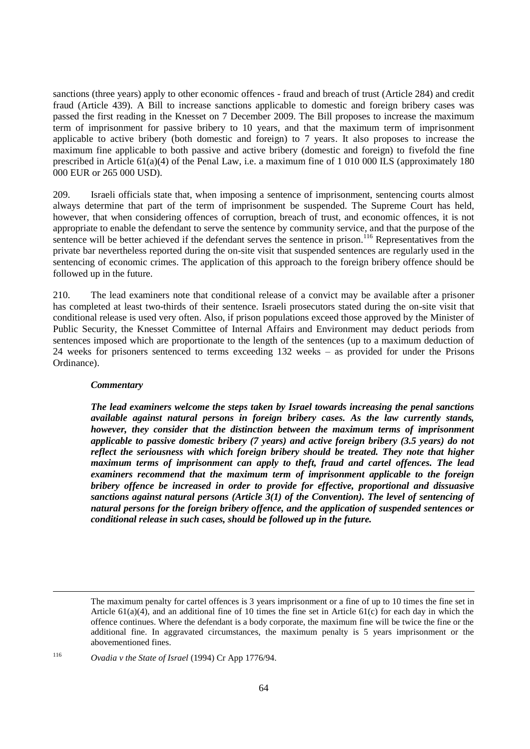sanctions (three years) apply to other economic offences - fraud and breach of trust (Article 284) and credit fraud (Article 439). A Bill to increase sanctions applicable to domestic and foreign bribery cases was passed the first reading in the Knesset on 7 December 2009. The Bill proposes to increase the maximum term of imprisonment for passive bribery to 10 years, and that the maximum term of imprisonment applicable to active bribery (both domestic and foreign) to 7 years. It also proposes to increase the maximum fine applicable to both passive and active bribery (domestic and foreign) to fivefold the fine prescribed in Article 61(a)(4) of the Penal Law, i.e. a maximum fine of 1 010 000 ILS (approximately 180 000 EUR or 265 000 USD).

209. Israeli officials state that, when imposing a sentence of imprisonment, sentencing courts almost always determine that part of the term of imprisonment be suspended. The Supreme Court has held, however, that when considering offences of corruption, breach of trust, and economic offences, it is not appropriate to enable the defendant to serve the sentence by community service, and that the purpose of the sentence will be better achieved if the defendant serves the sentence in prison.<sup>116</sup> Representatives from the private bar nevertheless reported during the on-site visit that suspended sentences are regularly used in the sentencing of economic crimes. The application of this approach to the foreign bribery offence should be followed up in the future.

210. The lead examiners note that conditional release of a convict may be available after a prisoner has completed at least two-thirds of their sentence. Israeli prosecutors stated during the on-site visit that conditional release is used very often. Also, if prison populations exceed those approved by the Minister of Public Security, the Knesset Committee of Internal Affairs and Environment may deduct periods from sentences imposed which are proportionate to the length of the sentences (up to a maximum deduction of 24 weeks for prisoners sentenced to terms exceeding 132 weeks – as provided for under the Prisons Ordinance).

#### *Commentary*

*The lead examiners welcome the steps taken by Israel towards increasing the penal sanctions available against natural persons in foreign bribery cases. As the law currently stands, however, they consider that the distinction between the maximum terms of imprisonment applicable to passive domestic bribery (7 years) and active foreign bribery (3.5 years) do not reflect the seriousness with which foreign bribery should be treated. They note that higher maximum terms of imprisonment can apply to theft, fraud and cartel offences. The lead examiners recommend that the maximum term of imprisonment applicable to the foreign bribery offence be increased in order to provide for effective, proportional and dissuasive sanctions against natural persons (Article 3(1) of the Convention). The level of sentencing of natural persons for the foreign bribery offence, and the application of suspended sentences or conditional release in such cases, should be followed up in the future.*

The maximum penalty for cartel offences is 3 years imprisonment or a fine of up to 10 times the fine set in Article  $61(a)(4)$ , and an additional fine of 10 times the fine set in Article  $61(c)$  for each day in which the offence continues. Where the defendant is a body corporate, the maximum fine will be twice the fine or the additional fine. In aggravated circumstances, the maximum penalty is 5 years imprisonment or the abovementioned fines.

<sup>116</sup> *Ovadia v the State of Israel* (1994) Cr App 1776/94.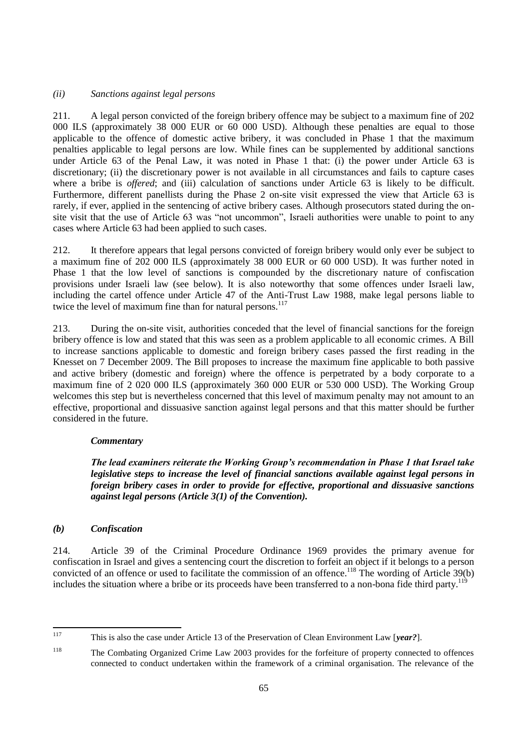## *(ii) Sanctions against legal persons*

211. A legal person convicted of the foreign bribery offence may be subject to a maximum fine of 202 000 ILS (approximately 38 000 EUR or 60 000 USD). Although these penalties are equal to those applicable to the offence of domestic active bribery, it was concluded in Phase 1 that the maximum penalties applicable to legal persons are low. While fines can be supplemented by additional sanctions under Article 63 of the Penal Law, it was noted in Phase 1 that: (i) the power under Article 63 is discretionary; (ii) the discretionary power is not available in all circumstances and fails to capture cases where a bribe is *offered*; and (iii) calculation of sanctions under Article 63 is likely to be difficult. Furthermore, different panellists during the Phase 2 on-site visit expressed the view that Article 63 is rarely, if ever, applied in the sentencing of active bribery cases. Although prosecutors stated during the onsite visit that the use of Article 63 was "not uncommon", Israeli authorities were unable to point to any cases where Article 63 had been applied to such cases.

212. It therefore appears that legal persons convicted of foreign bribery would only ever be subject to a maximum fine of 202 000 ILS (approximately 38 000 EUR or 60 000 USD). It was further noted in Phase 1 that the low level of sanctions is compounded by the discretionary nature of confiscation provisions under Israeli law (see below). It is also noteworthy that some offences under Israeli law, including the cartel offence under Article 47 of the Anti-Trust Law 1988, make legal persons liable to twice the level of maximum fine than for natural persons.<sup>117</sup>

213. During the on-site visit, authorities conceded that the level of financial sanctions for the foreign bribery offence is low and stated that this was seen as a problem applicable to all economic crimes. A Bill to increase sanctions applicable to domestic and foreign bribery cases passed the first reading in the Knesset on 7 December 2009. The Bill proposes to increase the maximum fine applicable to both passive and active bribery (domestic and foreign) where the offence is perpetrated by a body corporate to a maximum fine of 2 020 000 ILS (approximately 360 000 EUR or 530 000 USD). The Working Group welcomes this step but is nevertheless concerned that this level of maximum penalty may not amount to an effective, proportional and dissuasive sanction against legal persons and that this matter should be further considered in the future.

## *Commentary*

*The lead examiners reiterate the Working Group's recommendation in Phase 1 that Israel take legislative steps to increase the level of financial sanctions available against legal persons in foreign bribery cases in order to provide for effective, proportional and dissuasive sanctions against legal persons (Article 3(1) of the Convention).*

# *(b) Confiscation*

214. Article 39 of the Criminal Procedure Ordinance 1969 provides the primary avenue for confiscation in Israel and gives a sentencing court the discretion to forfeit an object if it belongs to a person convicted of an offence or used to facilitate the commission of an offence.<sup>118</sup> The wording of Article 39(b) includes the situation where a bribe or its proceeds have been transferred to a non-bona fide third party.<sup>119</sup>

<sup>117</sup> 

<sup>117</sup> This is also the case under Article 13 of the Preservation of Clean Environment Law [*year?*].

<sup>118</sup> The Combating Organized Crime Law 2003 provides for the forfeiture of property connected to offences connected to conduct undertaken within the framework of a criminal organisation. The relevance of the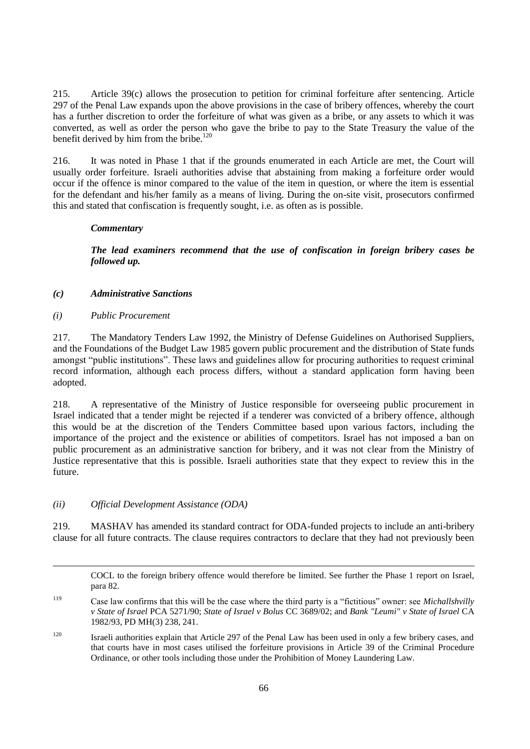215. Article 39(c) allows the prosecution to petition for criminal forfeiture after sentencing. Article 297 of the Penal Law expands upon the above provisions in the case of bribery offences, whereby the court has a further discretion to order the forfeiture of what was given as a bribe, or any assets to which it was converted, as well as order the person who gave the bribe to pay to the State Treasury the value of the benefit derived by him from the bribe.<sup>120</sup>

216. It was noted in Phase 1 that if the grounds enumerated in each Article are met, the Court will usually order forfeiture. Israeli authorities advise that abstaining from making a forfeiture order would occur if the offence is minor compared to the value of the item in question, or where the item is essential for the defendant and his/her family as a means of living. During the on-site visit, prosecutors confirmed this and stated that confiscation is frequently sought, i.e. as often as is possible.

## *Commentary*

*The lead examiners recommend that the use of confiscation in foreign bribery cases be followed up.*

# *(c) Administrative Sanctions*

*(i) Public Procurement*

 $\overline{a}$ 

217. The Mandatory Tenders Law 1992, the Ministry of Defense Guidelines on Authorised Suppliers, and the Foundations of the Budget Law 1985 govern public procurement and the distribution of State funds amongst "public institutions". These laws and guidelines allow for procuring authorities to request criminal record information, although each process differs, without a standard application form having been adopted.

218. A representative of the Ministry of Justice responsible for overseeing public procurement in Israel indicated that a tender might be rejected if a tenderer was convicted of a bribery offence, although this would be at the discretion of the Tenders Committee based upon various factors, including the importance of the project and the existence or abilities of competitors. Israel has not imposed a ban on public procurement as an administrative sanction for bribery, and it was not clear from the Ministry of Justice representative that this is possible. Israeli authorities state that they expect to review this in the future.

## *(ii) Official Development Assistance (ODA)*

219. MASHAV has amended its standard contract for ODA-funded projects to include an anti-bribery clause for all future contracts. The clause requires contractors to declare that they had not previously been

COCL to the foreign bribery offence would therefore be limited. See further the Phase 1 report on Israel, para 82.

<sup>119</sup> Case law confirms that this will be the case where the third party is a "fictitious" owner: see *Michallshvilly v State of Israel* PCA 5271/90; *State of Israel v Bolus* CC 3689/02; and *Bank "Leumi" v State of Israel* CA 1982/93, PD MH(3) 238, 241.

<sup>&</sup>lt;sup>120</sup> Israeli authorities explain that Article 297 of the Penal Law has been used in only a few bribery cases, and that courts have in most cases utilised the forfeiture provisions in Article 39 of the Criminal Procedure Ordinance, or other tools including those under the Prohibition of Money Laundering Law.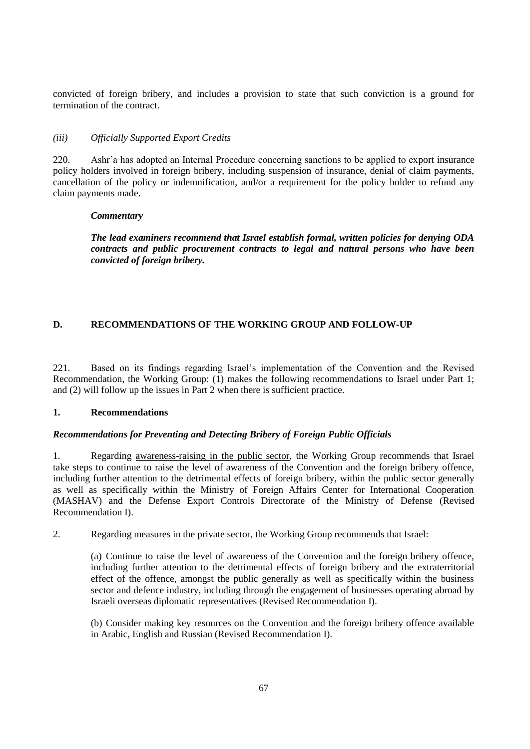convicted of foreign bribery, and includes a provision to state that such conviction is a ground for termination of the contract.

## *(iii) Officially Supported Export Credits*

220. Ashr"a has adopted an Internal Procedure concerning sanctions to be applied to export insurance policy holders involved in foreign bribery, including suspension of insurance, denial of claim payments, cancellation of the policy or indemnification, and/or a requirement for the policy holder to refund any claim payments made.

## *Commentary*

*The lead examiners recommend that Israel establish formal, written policies for denying ODA contracts and public procurement contracts to legal and natural persons who have been convicted of foreign bribery.*

# **D. RECOMMENDATIONS OF THE WORKING GROUP AND FOLLOW-UP**

221. Based on its findings regarding Israel"s implementation of the Convention and the Revised Recommendation, the Working Group: (1) makes the following recommendations to Israel under Part 1; and (2) will follow up the issues in Part 2 when there is sufficient practice.

## **1. Recommendations**

## *Recommendations for Preventing and Detecting Bribery of Foreign Public Officials*

1. Regarding awareness-raising in the public sector, the Working Group recommends that Israel take steps to continue to raise the level of awareness of the Convention and the foreign bribery offence, including further attention to the detrimental effects of foreign bribery, within the public sector generally as well as specifically within the Ministry of Foreign Affairs Center for International Cooperation (MASHAV) and the Defense Export Controls Directorate of the Ministry of Defense (Revised Recommendation I).

2. Regarding measures in the private sector, the Working Group recommends that Israel:

(a) Continue to raise the level of awareness of the Convention and the foreign bribery offence, including further attention to the detrimental effects of foreign bribery and the extraterritorial effect of the offence, amongst the public generally as well as specifically within the business sector and defence industry, including through the engagement of businesses operating abroad by Israeli overseas diplomatic representatives (Revised Recommendation I).

(b) Consider making key resources on the Convention and the foreign bribery offence available in Arabic, English and Russian (Revised Recommendation I).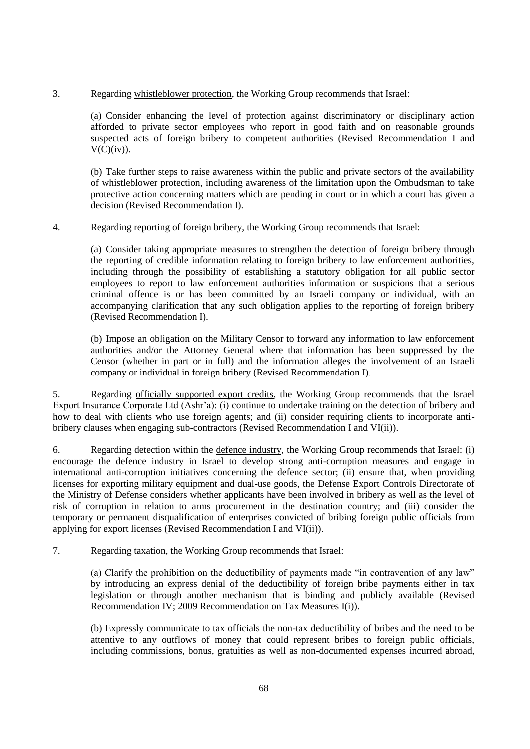3. Regarding whistleblower protection, the Working Group recommends that Israel:

(a) Consider enhancing the level of protection against discriminatory or disciplinary action afforded to private sector employees who report in good faith and on reasonable grounds suspected acts of foreign bribery to competent authorities (Revised Recommendation I and  $V(C)(iv)$ ).

(b) Take further steps to raise awareness within the public and private sectors of the availability of whistleblower protection, including awareness of the limitation upon the Ombudsman to take protective action concerning matters which are pending in court or in which a court has given a decision (Revised Recommendation I).

# 4. Regarding reporting of foreign bribery, the Working Group recommends that Israel:

(a) Consider taking appropriate measures to strengthen the detection of foreign bribery through the reporting of credible information relating to foreign bribery to law enforcement authorities, including through the possibility of establishing a statutory obligation for all public sector employees to report to law enforcement authorities information or suspicions that a serious criminal offence is or has been committed by an Israeli company or individual, with an accompanying clarification that any such obligation applies to the reporting of foreign bribery (Revised Recommendation I).

(b) Impose an obligation on the Military Censor to forward any information to law enforcement authorities and/or the Attorney General where that information has been suppressed by the Censor (whether in part or in full) and the information alleges the involvement of an Israeli company or individual in foreign bribery (Revised Recommendation I).

5. Regarding officially supported export credits, the Working Group recommends that the Israel Export Insurance Corporate Ltd (Ashr"a): (i) continue to undertake training on the detection of bribery and how to deal with clients who use foreign agents; and (ii) consider requiring clients to incorporate antibribery clauses when engaging sub-contractors (Revised Recommendation I and VI(ii)).

6. Regarding detection within the defence industry, the Working Group recommends that Israel: (i) encourage the defence industry in Israel to develop strong anti-corruption measures and engage in international anti-corruption initiatives concerning the defence sector; (ii) ensure that, when providing licenses for exporting military equipment and dual-use goods, the Defense Export Controls Directorate of the Ministry of Defense considers whether applicants have been involved in bribery as well as the level of risk of corruption in relation to arms procurement in the destination country; and (iii) consider the temporary or permanent disqualification of enterprises convicted of bribing foreign public officials from applying for export licenses (Revised Recommendation I and VI(ii)).

7. Regarding taxation, the Working Group recommends that Israel:

(a) Clarify the prohibition on the deductibility of payments made "in contravention of any law" by introducing an express denial of the deductibility of foreign bribe payments either in tax legislation or through another mechanism that is binding and publicly available (Revised Recommendation IV; 2009 Recommendation on Tax Measures I(i)).

(b) Expressly communicate to tax officials the non-tax deductibility of bribes and the need to be attentive to any outflows of money that could represent bribes to foreign public officials, including commissions, bonus, gratuities as well as non-documented expenses incurred abroad,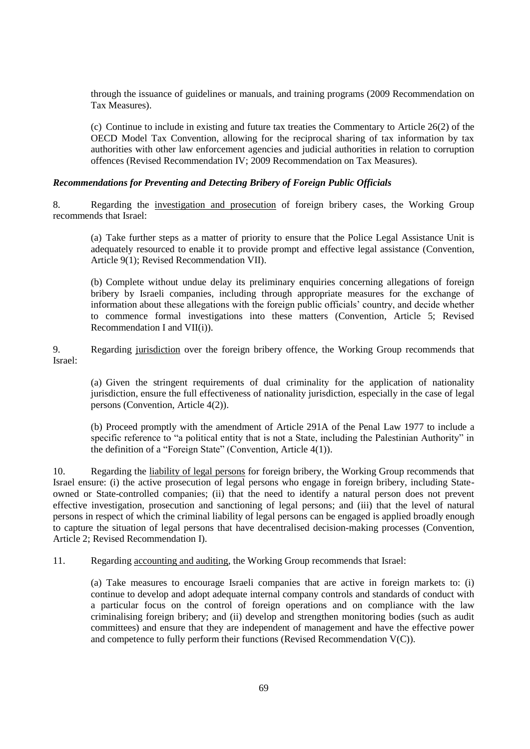through the issuance of guidelines or manuals, and training programs (2009 Recommendation on Tax Measures).

(c) Continue to include in existing and future tax treaties the Commentary to Article 26(2) of the OECD Model Tax Convention, allowing for the reciprocal sharing of tax information by tax authorities with other law enforcement agencies and judicial authorities in relation to corruption offences (Revised Recommendation IV; 2009 Recommendation on Tax Measures).

## *Recommendations for Preventing and Detecting Bribery of Foreign Public Officials*

8. Regarding the investigation and prosecution of foreign bribery cases, the Working Group recommends that Israel:

(a) Take further steps as a matter of priority to ensure that the Police Legal Assistance Unit is adequately resourced to enable it to provide prompt and effective legal assistance (Convention, Article 9(1); Revised Recommendation VII).

(b) Complete without undue delay its preliminary enquiries concerning allegations of foreign bribery by Israeli companies, including through appropriate measures for the exchange of information about these allegations with the foreign public officials" country, and decide whether to commence formal investigations into these matters (Convention, Article 5; Revised Recommendation I and VII(i)).

9. Regarding jurisdiction over the foreign bribery offence, the Working Group recommends that Israel:

(a) Given the stringent requirements of dual criminality for the application of nationality jurisdiction, ensure the full effectiveness of nationality jurisdiction, especially in the case of legal persons (Convention, Article 4(2)).

(b) Proceed promptly with the amendment of Article 291A of the Penal Law 1977 to include a specific reference to "a political entity that is not a State, including the Palestinian Authority" in the definition of a "Foreign State" (Convention, Article 4(1)).

10. Regarding the liability of legal persons for foreign bribery, the Working Group recommends that Israel ensure: (i) the active prosecution of legal persons who engage in foreign bribery, including Stateowned or State-controlled companies; (ii) that the need to identify a natural person does not prevent effective investigation, prosecution and sanctioning of legal persons; and (iii) that the level of natural persons in respect of which the criminal liability of legal persons can be engaged is applied broadly enough to capture the situation of legal persons that have decentralised decision-making processes (Convention, Article 2; Revised Recommendation I).

11. Regarding accounting and auditing, the Working Group recommends that Israel:

(a) Take measures to encourage Israeli companies that are active in foreign markets to: (i) continue to develop and adopt adequate internal company controls and standards of conduct with a particular focus on the control of foreign operations and on compliance with the law criminalising foreign bribery; and (ii) develop and strengthen monitoring bodies (such as audit committees) and ensure that they are independent of management and have the effective power and competence to fully perform their functions (Revised Recommendation V(C)).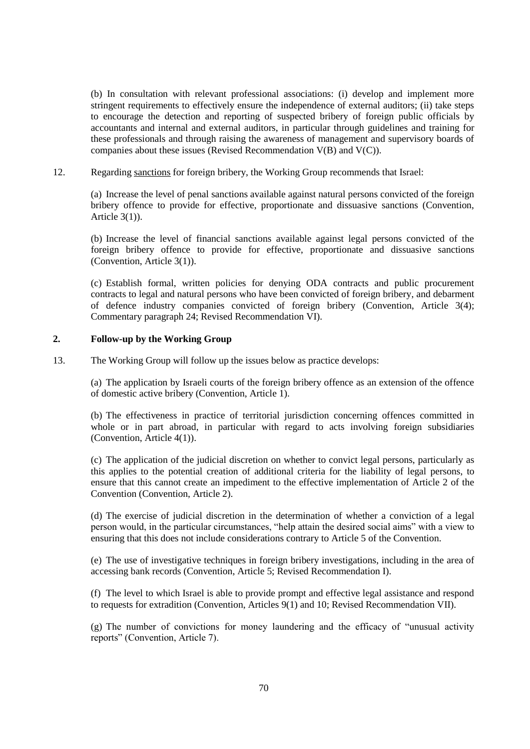(b) In consultation with relevant professional associations: (i) develop and implement more stringent requirements to effectively ensure the independence of external auditors; (ii) take steps to encourage the detection and reporting of suspected bribery of foreign public officials by accountants and internal and external auditors, in particular through guidelines and training for these professionals and through raising the awareness of management and supervisory boards of companies about these issues (Revised Recommendation V(B) and V(C)).

12. Regarding sanctions for foreign bribery, the Working Group recommends that Israel:

(a) Increase the level of penal sanctions available against natural persons convicted of the foreign bribery offence to provide for effective, proportionate and dissuasive sanctions (Convention, Article 3(1)).

(b) Increase the level of financial sanctions available against legal persons convicted of the foreign bribery offence to provide for effective, proportionate and dissuasive sanctions (Convention, Article 3(1)).

(c) Establish formal, written policies for denying ODA contracts and public procurement contracts to legal and natural persons who have been convicted of foreign bribery, and debarment of defence industry companies convicted of foreign bribery (Convention, Article 3(4); Commentary paragraph 24; Revised Recommendation VI).

#### **2. Follow-up by the Working Group**

13. The Working Group will follow up the issues below as practice develops:

(a) The application by Israeli courts of the foreign bribery offence as an extension of the offence of domestic active bribery (Convention, Article 1).

(b) The effectiveness in practice of territorial jurisdiction concerning offences committed in whole or in part abroad, in particular with regard to acts involving foreign subsidiaries (Convention, Article 4(1)).

(c) The application of the judicial discretion on whether to convict legal persons, particularly as this applies to the potential creation of additional criteria for the liability of legal persons, to ensure that this cannot create an impediment to the effective implementation of Article 2 of the Convention (Convention, Article 2).

(d) The exercise of judicial discretion in the determination of whether a conviction of a legal person would, in the particular circumstances, "help attain the desired social aims" with a view to ensuring that this does not include considerations contrary to Article 5 of the Convention.

(e) The use of investigative techniques in foreign bribery investigations, including in the area of accessing bank records (Convention, Article 5; Revised Recommendation I).

(f) The level to which Israel is able to provide prompt and effective legal assistance and respond to requests for extradition (Convention, Articles 9(1) and 10; Revised Recommendation VII).

(g) The number of convictions for money laundering and the efficacy of "unusual activity reports" (Convention, Article 7).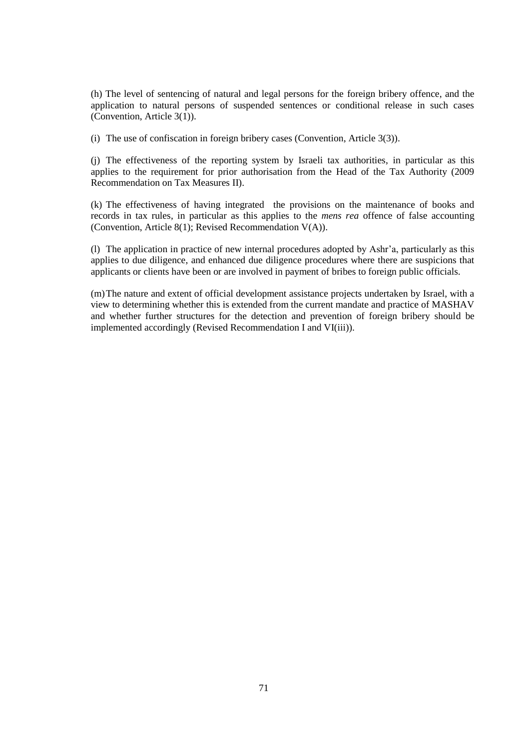(h) The level of sentencing of natural and legal persons for the foreign bribery offence, and the application to natural persons of suspended sentences or conditional release in such cases (Convention, Article 3(1)).

(i) The use of confiscation in foreign bribery cases (Convention, Article 3(3)).

(j) The effectiveness of the reporting system by Israeli tax authorities, in particular as this applies to the requirement for prior authorisation from the Head of the Tax Authority (2009 Recommendation on Tax Measures II).

(k) The effectiveness of having integrated the provisions on the maintenance of books and records in tax rules, in particular as this applies to the *mens rea* offence of false accounting (Convention, Article 8(1); Revised Recommendation V(A)).

(l) The application in practice of new internal procedures adopted by Ashr"a, particularly as this applies to due diligence, and enhanced due diligence procedures where there are suspicions that applicants or clients have been or are involved in payment of bribes to foreign public officials.

(m)The nature and extent of official development assistance projects undertaken by Israel, with a view to determining whether this is extended from the current mandate and practice of MASHAV and whether further structures for the detection and prevention of foreign bribery should be implemented accordingly (Revised Recommendation I and VI(iii)).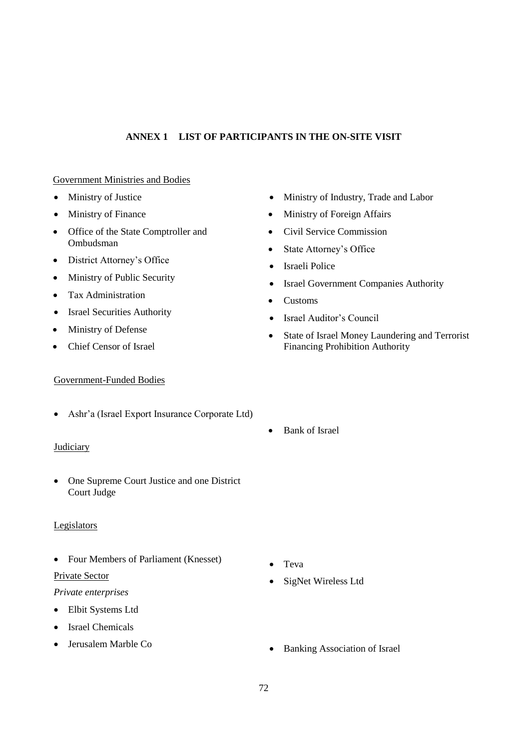# **ANNEX 1 LIST OF PARTICIPANTS IN THE ON-SITE VISIT**

## Government Ministries and Bodies

- Ministry of Justice
- Ministry of Finance
- Office of the State Comptroller and Ombudsman
- District Attorney's Office
- Ministry of Public Security
- Tax Administration
- Israel Securities Authority
- Ministry of Defense
- Chief Censor of Israel

## Government-Funded Bodies

Ashr"a (Israel Export Insurance Corporate Ltd)

## **Judiciary**

• One Supreme Court Justice and one District Court Judge

## **Legislators**

• Four Members of Parliament (Knesset)

## Private Sector

## *Private enterprises*

- Elbit Systems Ltd
- Israel Chemicals
- Jerusalem Marble Co
- Ministry of Industry, Trade and Labor
- Ministry of Foreign Affairs
- Civil Service Commission
- State Attorney's Office
- Israeli Police
- Israel Government Companies Authority
- Customs
- Israel Auditor"s Council
- State of Israel Money Laundering and Terrorist Financing Prohibition Authority
- Bank of Israel

- Teva
- SigNet Wireless Ltd
- Banking Association of Israel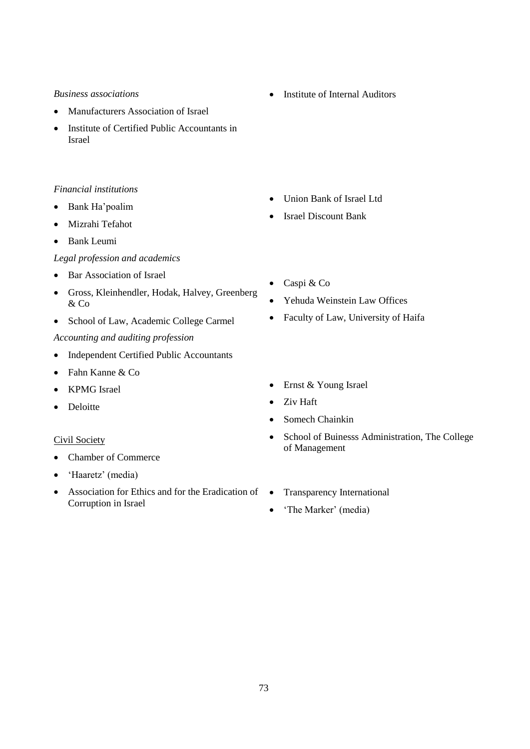### *Business associations*

- Manufacturers Association of Israel
- Institute of Certified Public Accountants in Israel

### *Financial institutions*

- Bank Ha'poalim
- Mizrahi Tefahot
- Bank Leumi

### *Legal profession and academics*

- Bar Association of Israel
- Gross, Kleinhendler, Hodak, Halvey, Greenberg & Co
- School of Law, Academic College Carmel

## *Accounting and auditing profession*

- Independent Certified Public Accountants
- Fahn Kanne & Co
- KPMG Israel
- Deloitte

### Civil Society

- Chamber of Commerce
- 'Haaretz' (media)
- Association for Ethics and for the Eradication of  $\bullet$ Corruption in Israel

• Institute of Internal Auditors

- Union Bank of Israel Ltd
- Israel Discount Bank
- Caspi & Co
- Yehuda Weinstein Law Offices
- Faculty of Law, University of Haifa
- Ernst & Young Israel
- Ziv Haft
- Somech Chainkin
- School of Buinesss Administration, The College of Management
- Transparency International
- 'The Marker' (media)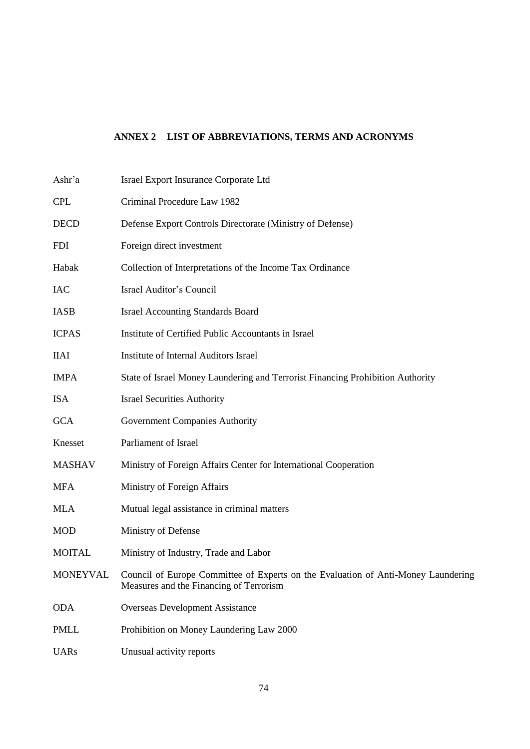# **ANNEX 2 LIST OF ABBREVIATIONS, TERMS AND ACRONYMS**

| Ashr'a        | <b>Israel Export Insurance Corporate Ltd</b>                                                                                          |
|---------------|---------------------------------------------------------------------------------------------------------------------------------------|
| <b>CPL</b>    | Criminal Procedure Law 1982                                                                                                           |
| <b>DECD</b>   | Defense Export Controls Directorate (Ministry of Defense)                                                                             |
| <b>FDI</b>    | Foreign direct investment                                                                                                             |
| Habak         | Collection of Interpretations of the Income Tax Ordinance                                                                             |
| <b>IAC</b>    | Israel Auditor's Council                                                                                                              |
| <b>IASB</b>   | <b>Israel Accounting Standards Board</b>                                                                                              |
| <b>ICPAS</b>  | Institute of Certified Public Accountants in Israel                                                                                   |
| <b>IIAI</b>   | <b>Institute of Internal Auditors Israel</b>                                                                                          |
| <b>IMPA</b>   | State of Israel Money Laundering and Terrorist Financing Prohibition Authority                                                        |
| <b>ISA</b>    | <b>Israel Securities Authority</b>                                                                                                    |
| <b>GCA</b>    | Government Companies Authority                                                                                                        |
| Knesset       | Parliament of Israel                                                                                                                  |
| <b>MASHAV</b> | Ministry of Foreign Affairs Center for International Cooperation                                                                      |
| <b>MFA</b>    | Ministry of Foreign Affairs                                                                                                           |
| <b>MLA</b>    | Mutual legal assistance in criminal matters                                                                                           |
| <b>MOD</b>    | Ministry of Defense                                                                                                                   |
| <b>MOITAL</b> | Ministry of Industry, Trade and Labor                                                                                                 |
|               | MONEYVAL Council of Europe Committee of Experts on the Evaluation of Anti-Money Laundering<br>Measures and the Financing of Terrorism |
| <b>ODA</b>    | <b>Overseas Development Assistance</b>                                                                                                |
| <b>PMLL</b>   | Prohibition on Money Laundering Law 2000                                                                                              |
| <b>UARs</b>   | Unusual activity reports                                                                                                              |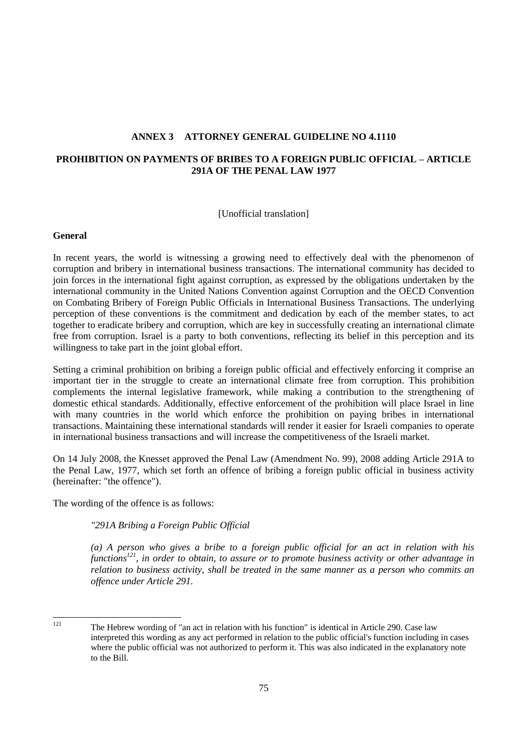### **ANNEX 3 ATTORNEY GENERAL GUIDELINE NO 4.1110**

## **PROHIBITION ON PAYMENTS OF BRIBES TO A FOREIGN PUBLIC OFFICIAL – ARTICLE 291A OF THE PENAL LAW 1977**

[Unofficial translation]

### **General**

In recent years, the world is witnessing a growing need to effectively deal with the phenomenon of corruption and bribery in international business transactions. The international community has decided to join forces in the international fight against corruption, as expressed by the obligations undertaken by the international community in the United Nations Convention against Corruption and the OECD Convention on Combating Bribery of Foreign Public Officials in International Business Transactions. The underlying perception of these conventions is the commitment and dedication by each of the member states, to act together to eradicate bribery and corruption, which are key in successfully creating an international climate free from corruption. Israel is a party to both conventions, reflecting its belief in this perception and its willingness to take part in the joint global effort.

Setting a criminal prohibition on bribing a foreign public official and effectively enforcing it comprise an important tier in the struggle to create an international climate free from corruption. This prohibition complements the internal legislative framework, while making a contribution to the strengthening of domestic ethical standards. Additionally, effective enforcement of the prohibition will place Israel in line with many countries in the world which enforce the prohibition on paying bribes in international transactions. Maintaining these international standards will render it easier for Israeli companies to operate in international business transactions and will increase the competitiveness of the Israeli market.

On 14 July 2008, the Knesset approved the Penal Law (Amendment No. 99), 2008 adding Article 291A to the Penal Law, 1977, which set forth an offence of bribing a foreign public official in business activity (hereinafter: "the offence").

The wording of the offence is as follows:

*"291A Bribing a Foreign Public Official*

*(a) A person who gives a bribe to a foreign public official for an act in relation with his functions<sup>121</sup>, in order to obtain, to assure or to promote business activity or other advantage in relation to business activity, shall be treated in the same manner as a person who commits an offence under Article 291.* 

 $121$ 

The Hebrew wording of "an act in relation with his function" is identical in Article 290. Case law interpreted this wording as any act performed in relation to the public official's function including in cases where the public official was not authorized to perform it. This was also indicated in the explanatory note to the Bill.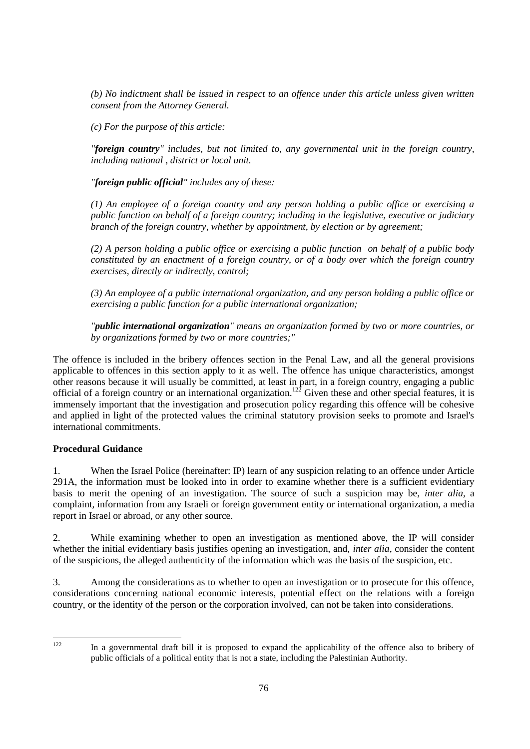*(b) No indictment shall be issued in respect to an offence under this article unless given written consent from the Attorney General.*

*(c) For the purpose of this article:*

*"foreign country" includes, but not limited to, any governmental unit in the foreign country, including national , district or local unit.* 

*"foreign public official" includes any of these:*

*(1) An employee of a foreign country and any person holding a public office or exercising a public function on behalf of a foreign country; including in the legislative, executive or judiciary branch of the foreign country, whether by appointment, by election or by agreement;*

*(2) A person holding a public office or exercising a public function on behalf of a public body constituted by an enactment of a foreign country, or of a body over which the foreign country exercises, directly or indirectly, control;*

*(3) An employee of a public international organization, and any person holding a public office or exercising a public function for a public international organization;* 

*"public international organization" means an organization formed by two or more countries, or by organizations formed by two or more countries;"*

The offence is included in the bribery offences section in the Penal Law, and all the general provisions applicable to offences in this section apply to it as well. The offence has unique characteristics, amongst other reasons because it will usually be committed, at least in part, in a foreign country, engaging a public official of a foreign country or an international organization.<sup>122</sup> Given these and other special features, it is immensely important that the investigation and prosecution policy regarding this offence will be cohesive and applied in light of the protected values the criminal statutory provision seeks to promote and Israel's international commitments.

# **Procedural Guidance**

1. When the Israel Police (hereinafter: IP) learn of any suspicion relating to an offence under Article 291A, the information must be looked into in order to examine whether there is a sufficient evidentiary basis to merit the opening of an investigation. The source of such a suspicion may be, *inter alia*, a complaint, information from any Israeli or foreign government entity or international organization, a media report in Israel or abroad, or any other source.

2. While examining whether to open an investigation as mentioned above, the IP will consider whether the initial evidentiary basis justifies opening an investigation, and, *inter alia*, consider the content of the suspicions, the alleged authenticity of the information which was the basis of the suspicion, etc.

3. Among the considerations as to whether to open an investigation or to prosecute for this offence, considerations concerning national economic interests, potential effect on the relations with a foreign country, or the identity of the person or the corporation involved, can not be taken into considerations.

122

In a governmental draft bill it is proposed to expand the applicability of the offence also to bribery of public officials of a political entity that is not a state, including the Palestinian Authority.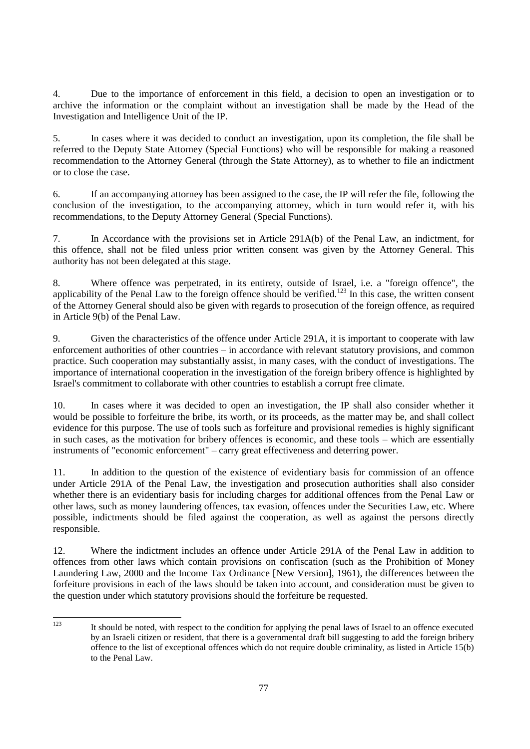4. Due to the importance of enforcement in this field, a decision to open an investigation or to archive the information or the complaint without an investigation shall be made by the Head of the Investigation and Intelligence Unit of the IP.

5. In cases where it was decided to conduct an investigation, upon its completion, the file shall be referred to the Deputy State Attorney (Special Functions) who will be responsible for making a reasoned recommendation to the Attorney General (through the State Attorney), as to whether to file an indictment or to close the case.

6. If an accompanying attorney has been assigned to the case, the IP will refer the file, following the conclusion of the investigation, to the accompanying attorney, which in turn would refer it, with his recommendations, to the Deputy Attorney General (Special Functions).

7. In Accordance with the provisions set in Article 291A(b) of the Penal Law, an indictment, for this offence, shall not be filed unless prior written consent was given by the Attorney General. This authority has not been delegated at this stage.

8. Where offence was perpetrated, in its entirety, outside of Israel, i.e. a "foreign offence", the applicability of the Penal Law to the foreign offence should be verified.<sup>123</sup> In this case, the written consent of the Attorney General should also be given with regards to prosecution of the foreign offence, as required in Article 9(b) of the Penal Law.

9. Given the characteristics of the offence under Article 291A, it is important to cooperate with law enforcement authorities of other countries – in accordance with relevant statutory provisions, and common practice. Such cooperation may substantially assist, in many cases, with the conduct of investigations. The importance of international cooperation in the investigation of the foreign bribery offence is highlighted by Israel's commitment to collaborate with other countries to establish a corrupt free climate.

10. In cases where it was decided to open an investigation, the IP shall also consider whether it would be possible to forfeiture the bribe, its worth, or its proceeds, as the matter may be, and shall collect evidence for this purpose. The use of tools such as forfeiture and provisional remedies is highly significant in such cases, as the motivation for bribery offences is economic, and these tools – which are essentially instruments of "economic enforcement" – carry great effectiveness and deterring power.

11. In addition to the question of the existence of evidentiary basis for commission of an offence under Article 291A of the Penal Law, the investigation and prosecution authorities shall also consider whether there is an evidentiary basis for including charges for additional offences from the Penal Law or other laws, such as money laundering offences, tax evasion, offences under the Securities Law, etc. Where possible, indictments should be filed against the cooperation, as well as against the persons directly responsible.

12. Where the indictment includes an offence under Article 291A of the Penal Law in addition to offences from other laws which contain provisions on confiscation (such as the Prohibition of Money Laundering Law, 2000 and the Income Tax Ordinance [New Version], 1961), the differences between the forfeiture provisions in each of the laws should be taken into account, and consideration must be given to the question under which statutory provisions should the forfeiture be requested.

 $123$ It should be noted, with respect to the condition for applying the penal laws of Israel to an offence executed by an Israeli citizen or resident, that there is a governmental draft bill suggesting to add the foreign bribery offence to the list of exceptional offences which do not require double criminality, as listed in Article 15(b) to the Penal Law.